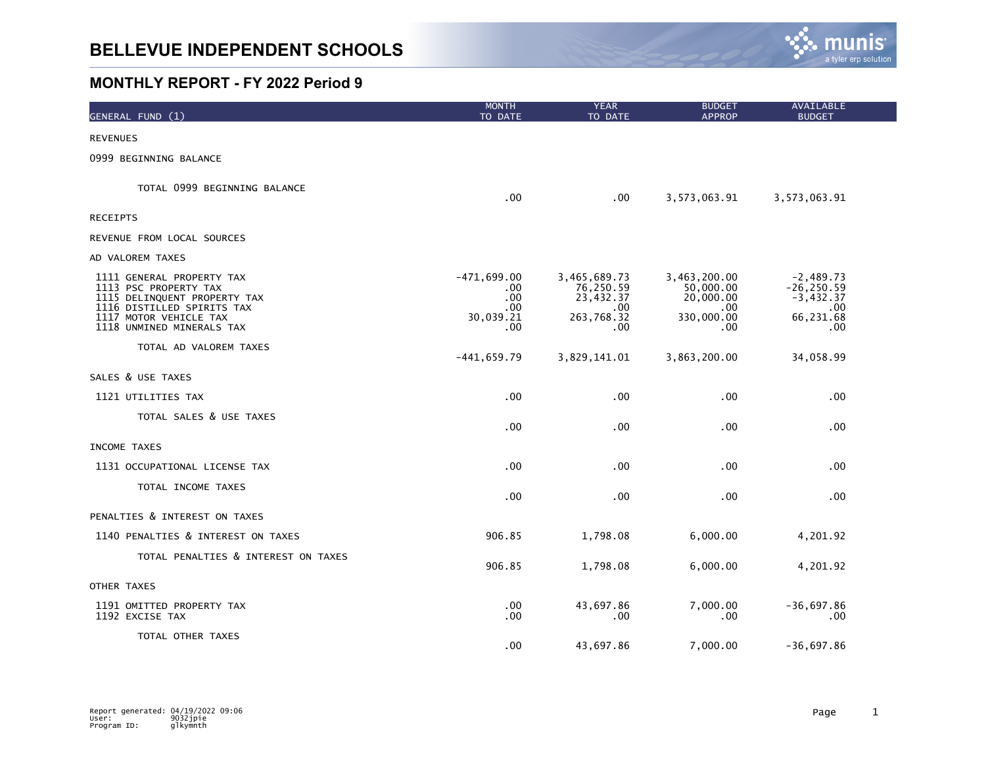

| GENERAL FUND (1)                                                                                                                                                        | <b>MONTH</b><br>TO DATE                                     | <b>YEAR</b><br>TO DATE                                             | <b>BUDGET</b><br><b>APPROP</b>                                     | AVAILABLE<br><b>BUDGET</b>                                                  |
|-------------------------------------------------------------------------------------------------------------------------------------------------------------------------|-------------------------------------------------------------|--------------------------------------------------------------------|--------------------------------------------------------------------|-----------------------------------------------------------------------------|
| <b>REVENUES</b>                                                                                                                                                         |                                                             |                                                                    |                                                                    |                                                                             |
| 0999 BEGINNING BALANCE                                                                                                                                                  |                                                             |                                                                    |                                                                    |                                                                             |
| TOTAL 0999 BEGINNING BALANCE                                                                                                                                            | .00                                                         | .00                                                                | 3,573,063.91                                                       | 3,573,063.91                                                                |
| <b>RECEIPTS</b>                                                                                                                                                         |                                                             |                                                                    |                                                                    |                                                                             |
| REVENUE FROM LOCAL SOURCES                                                                                                                                              |                                                             |                                                                    |                                                                    |                                                                             |
| AD VALOREM TAXES                                                                                                                                                        |                                                             |                                                                    |                                                                    |                                                                             |
| 1111 GENERAL PROPERTY TAX<br>1113 PSC PROPERTY TAX<br>1115 DELINQUENT PROPERTY TAX<br>1116 DISTILLED SPIRITS TAX<br>1117 MOTOR VEHICLE TAX<br>1118 UNMINED MINERALS TAX | $-471,699.00$<br>.00<br>$.00 \,$<br>.00<br>30,039.21<br>.00 | 3,465,689.73<br>76,250.59<br>23,432.37<br>.00<br>263,768.32<br>.00 | 3,463,200.00<br>50,000.00<br>20,000.00<br>.00<br>330,000.00<br>.00 | $-2,489.73$<br>$-26, 250.59$<br>$-3,432.37$<br>$.00 \,$<br>66,231.68<br>.00 |
| TOTAL AD VALOREM TAXES                                                                                                                                                  | $-441,659.79$                                               | 3,829,141.01                                                       | 3,863,200.00                                                       | 34,058.99                                                                   |
| SALES & USE TAXES                                                                                                                                                       |                                                             |                                                                    |                                                                    |                                                                             |
| 1121 UTILITIES TAX                                                                                                                                                      | .00                                                         | .00                                                                | .00                                                                | .00                                                                         |
| TOTAL SALES & USE TAXES                                                                                                                                                 | $.00 \,$                                                    | .00                                                                | .00.                                                               | .00 <sub>1</sub>                                                            |
| INCOME TAXES                                                                                                                                                            |                                                             |                                                                    |                                                                    |                                                                             |
| 1131 OCCUPATIONAL LICENSE TAX                                                                                                                                           | .00                                                         | .00                                                                | .00.                                                               | .00 <sub>1</sub>                                                            |
| TOTAL INCOME TAXES                                                                                                                                                      | .00                                                         | .00                                                                | .00.                                                               | .00                                                                         |
| PENALTIES & INTEREST ON TAXES                                                                                                                                           |                                                             |                                                                    |                                                                    |                                                                             |
| 1140 PENALTIES & INTEREST ON TAXES                                                                                                                                      | 906.85                                                      | 1,798.08                                                           | 6,000.00                                                           | 4,201.92                                                                    |
| TOTAL PENALTIES & INTEREST ON TAXES                                                                                                                                     | 906.85                                                      | 1,798.08                                                           | 6,000.00                                                           | 4,201.92                                                                    |
| OTHER TAXES                                                                                                                                                             |                                                             |                                                                    |                                                                    |                                                                             |
| 1191 OMITTED PROPERTY TAX<br>1192 EXCISE TAX                                                                                                                            | .00<br>.00                                                  | 43,697.86<br>.00                                                   | 7,000.00<br>.00                                                    | $-36,697.86$<br>.00                                                         |
| TOTAL OTHER TAXES                                                                                                                                                       | .00                                                         | 43,697.86                                                          | 7,000.00                                                           | $-36,697.86$                                                                |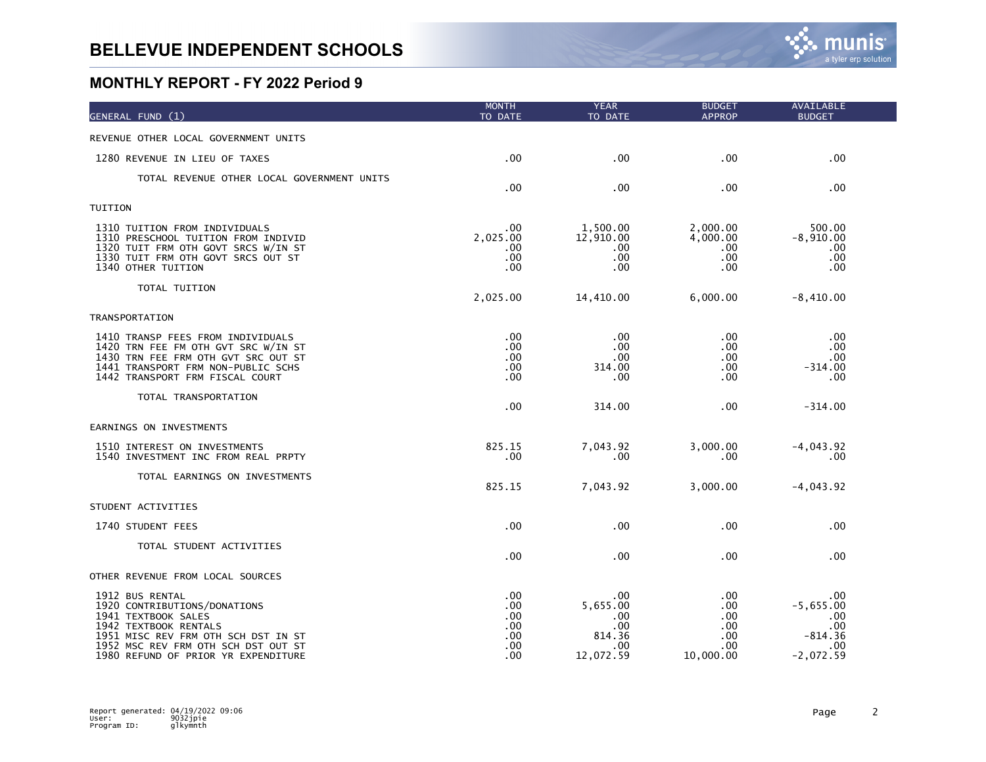| GENERAL FUND (1)                                                                                                                                                                                                     | <b>MONTH</b><br>TO DATE                       | <b>YEAR</b><br>TO DATE                                      | <b>BUDGET</b><br><b>APPROP</b>                      | AVAILABLE<br><b>BUDGET</b>                                         |
|----------------------------------------------------------------------------------------------------------------------------------------------------------------------------------------------------------------------|-----------------------------------------------|-------------------------------------------------------------|-----------------------------------------------------|--------------------------------------------------------------------|
| REVENUE OTHER LOCAL GOVERNMENT UNITS                                                                                                                                                                                 |                                               |                                                             |                                                     |                                                                    |
| 1280 REVENUE IN LIEU OF TAXES                                                                                                                                                                                        | .00                                           | .00                                                         | .00                                                 | .00 <sub>1</sub>                                                   |
| TOTAL REVENUE OTHER LOCAL GOVERNMENT UNITS                                                                                                                                                                           | .00                                           | .00                                                         | .00                                                 | .00                                                                |
| TUITION                                                                                                                                                                                                              |                                               |                                                             |                                                     |                                                                    |
| 1310 TUITION FROM INDIVIDUALS<br>1310 PRESCHOOL TUITION FROM INDIVID<br>1320 TUIT FRM OTH GOVT SRCS W/IN ST<br>1330 TUIT FRM OTH GOVT SRCS OUT ST<br>1340 OTHER TUITION                                              | .00<br>2,025.00<br>.00.<br>.00<br>.00         | 1,500.00<br>12,910.00<br>.00<br>.00<br>.00                  | 2,000.00<br>4,000.00<br>.00<br>.00<br>.00           | 500.00<br>$-8,910.00$<br>.00<br>.00<br>.00                         |
| TOTAL TUITION                                                                                                                                                                                                        | 2,025.00                                      | 14,410.00                                                   | 6,000.00                                            | $-8,410.00$                                                        |
| <b>TRANSPORTATION</b>                                                                                                                                                                                                |                                               |                                                             |                                                     |                                                                    |
| 1410 TRANSP FEES FROM INDIVIDUALS<br>1420 TRN FEE FM OTH GVT SRC W/IN ST<br>1430 TRN FEE FRM OTH GVT SRC OUT ST<br>1441 TRANSPORT FRM NON-PUBLIC SCHS<br>1442 TRANSPORT FRM FISCAL COURT                             | .00<br>.00<br>.00<br>.00<br>.00               | .00<br>.00<br>.00<br>314.00<br>.00                          | .00<br>.00<br>.00<br>.00<br>.00                     | .00<br>.00<br>.00<br>$-314.00$<br>.00                              |
| TOTAL TRANSPORTATION                                                                                                                                                                                                 | .00                                           | 314.00                                                      | .00                                                 | $-314.00$                                                          |
| EARNINGS ON INVESTMENTS                                                                                                                                                                                              |                                               |                                                             |                                                     |                                                                    |
| 1510 INTEREST ON INVESTMENTS<br>1540 INVESTMENT INC FROM REAL PRPTY                                                                                                                                                  | 825.15<br>.00                                 | 7,043.92<br>.00                                             | 3,000.00<br>.00                                     | $-4,043.92$<br>.00                                                 |
| TOTAL EARNINGS ON INVESTMENTS                                                                                                                                                                                        | 825.15                                        | 7,043.92                                                    | 3,000.00                                            | $-4,043.92$                                                        |
| STUDENT ACTIVITIES                                                                                                                                                                                                   |                                               |                                                             |                                                     |                                                                    |
| 1740 STUDENT FEES                                                                                                                                                                                                    | .00                                           | .00                                                         | .00                                                 | .00                                                                |
| TOTAL STUDENT ACTIVITIES                                                                                                                                                                                             | .00                                           | .00                                                         | .00                                                 | .00                                                                |
| OTHER REVENUE FROM LOCAL SOURCES                                                                                                                                                                                     |                                               |                                                             |                                                     |                                                                    |
| 1912 BUS RENTAL<br>1920 CONTRIBUTIONS/DONATIONS<br>1941 TEXTBOOK SALES<br>1942 TEXTBOOK RENTALS<br>1951 MISC REV FRM OTH SCH DST IN ST<br>1952 MSC REV FRM OTH SCH DST OUT ST<br>1980 REFUND OF PRIOR YR EXPENDITURE | .00<br>.00<br>.00<br>.00<br>.00<br>.00<br>.00 | .00<br>5,655.00<br>.00<br>.00<br>814.36<br>.00<br>12,072.59 | .00<br>.00<br>.00<br>.00<br>.00<br>.00<br>10,000.00 | .00<br>$-5,655.00$<br>.00.<br>.00<br>-814.36<br>.00<br>$-2,072.59$ |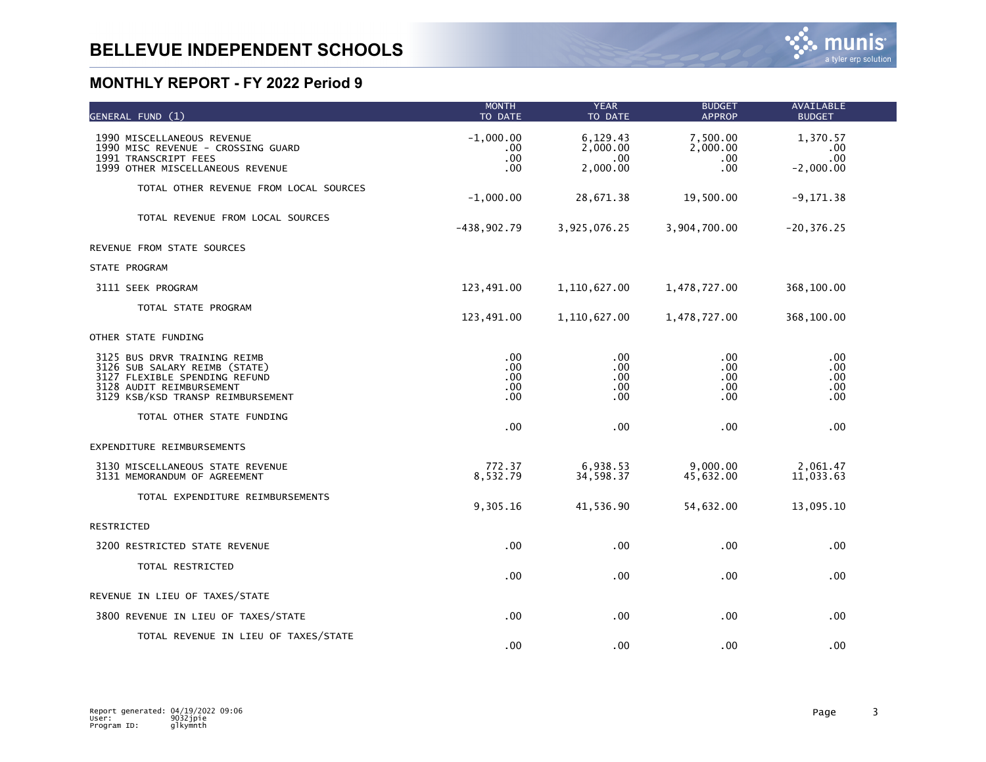| GENERAL FUND (1)                                                                                                                                                | <b>MONTH</b><br>TO DATE               | <b>YEAR</b><br>TO DATE                  | <b>BUDGET</b><br><b>APPROP</b>     | AVAILABLE<br><b>BUDGET</b>            |  |
|-----------------------------------------------------------------------------------------------------------------------------------------------------------------|---------------------------------------|-----------------------------------------|------------------------------------|---------------------------------------|--|
| 1990 MISCELLANEOUS REVENUE<br>1990 MISC REVENUE - CROSSING GUARD<br>1991 TRANSCRIPT FEES<br>1999 OTHER MISCELLANEOUS REVENUE                                    | $-1,000.00$<br>.00<br>$.00 \,$<br>.00 | 6,129.43<br>2,000.00<br>.00<br>2,000.00 | 7,500.00<br>2,000.00<br>.00<br>.00 | 1,370.57<br>.00<br>.00<br>$-2,000.00$ |  |
| TOTAL OTHER REVENUE FROM LOCAL SOURCES                                                                                                                          | $-1,000.00$                           | 28,671.38                               | 19,500.00                          | $-9,171.38$                           |  |
| TOTAL REVENUE FROM LOCAL SOURCES                                                                                                                                | $-438,902.79$                         | 3,925,076.25                            | 3,904,700.00                       | $-20, 376.25$                         |  |
| REVENUE FROM STATE SOURCES                                                                                                                                      |                                       |                                         |                                    |                                       |  |
| STATE PROGRAM                                                                                                                                                   |                                       |                                         |                                    |                                       |  |
| 3111 SEEK PROGRAM                                                                                                                                               | 123,491.00                            | 1,110,627.00                            | 1,478,727.00                       | 368,100.00                            |  |
| TOTAL STATE PROGRAM                                                                                                                                             | 123,491.00                            | 1,110,627.00                            | 1,478,727.00                       | 368,100.00                            |  |
| OTHER STATE FUNDING                                                                                                                                             |                                       |                                         |                                    |                                       |  |
| 3125 BUS DRVR TRAINING REIMB<br>3126 SUB SALARY REIMB (STATE)<br>3127 FLEXIBLE SPENDING REFUND<br>3128 AUDIT REIMBURSEMENT<br>3129 KSB/KSD TRANSP REIMBURSEMENT | .00<br>.00<br>.00<br>.00.<br>.00.     | .00<br>.00<br>.00<br>$.00 \,$<br>.00    | .00<br>.00<br>.00<br>.00<br>.00    | .00<br>.00<br>.00<br>.00<br>.00.      |  |
| TOTAL OTHER STATE FUNDING                                                                                                                                       | .00                                   | .00                                     | .00                                | .00                                   |  |
| EXPENDITURE REIMBURSEMENTS                                                                                                                                      |                                       |                                         |                                    |                                       |  |
| 3130 MISCELLANEOUS STATE REVENUE<br>3131 MEMORANDUM OF AGREEMENT                                                                                                | 772.37<br>8,532.79                    | 6,938.53<br>34,598.37                   | 9,000.00<br>45,632.00              | 2,061.47<br>11,033.63                 |  |
| TOTAL EXPENDITURE REIMBURSEMENTS                                                                                                                                | 9,305.16                              | 41,536.90                               | 54,632.00                          | 13,095.10                             |  |
| RESTRICTED                                                                                                                                                      |                                       |                                         |                                    |                                       |  |
| 3200 RESTRICTED STATE REVENUE                                                                                                                                   | .00.                                  | .00                                     | .00                                | .00                                   |  |
| TOTAL RESTRICTED                                                                                                                                                | .00                                   | .00                                     | .00                                | .00                                   |  |
| REVENUE IN LIEU OF TAXES/STATE                                                                                                                                  |                                       |                                         |                                    |                                       |  |
| 3800 REVENUE IN LIEU OF TAXES/STATE                                                                                                                             | .00.                                  | .00                                     | .00                                | .00                                   |  |
| TOTAL REVENUE IN LIEU OF TAXES/STATE                                                                                                                            | .00                                   | .00                                     | .00                                | .00                                   |  |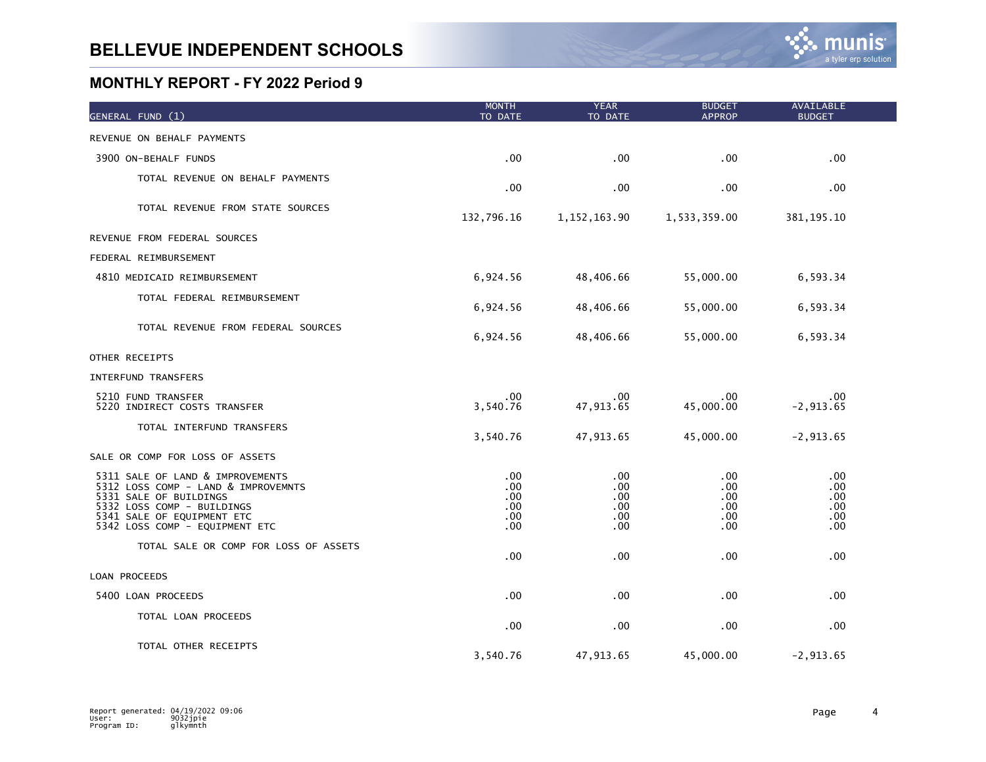| GENERAL FUND (1)                                                                                                                                                                                | <b>MONTH</b><br>TO DATE                                        | <b>YEAR</b><br>TO DATE                 | <b>BUDGET</b><br><b>APPROP</b>           | AVAILABLE<br><b>BUDGET</b>                 |
|-------------------------------------------------------------------------------------------------------------------------------------------------------------------------------------------------|----------------------------------------------------------------|----------------------------------------|------------------------------------------|--------------------------------------------|
| REVENUE ON BEHALF PAYMENTS                                                                                                                                                                      |                                                                |                                        |                                          |                                            |
| 3900 ON-BEHALF FUNDS                                                                                                                                                                            | .00                                                            | .00                                    | .00                                      | .00                                        |
| TOTAL REVENUE ON BEHALF PAYMENTS                                                                                                                                                                | .00                                                            | .00                                    | .00                                      | .00                                        |
| TOTAL REVENUE FROM STATE SOURCES                                                                                                                                                                | 132,796.16                                                     | 1, 152, 163.90                         | 1,533,359.00                             | 381, 195. 10                               |
| REVENUE FROM FEDERAL SOURCES                                                                                                                                                                    |                                                                |                                        |                                          |                                            |
| FEDERAL REIMBURSEMENT                                                                                                                                                                           |                                                                |                                        |                                          |                                            |
| 4810 MEDICAID REIMBURSEMENT                                                                                                                                                                     | 6,924.56                                                       | 48,406.66                              | 55,000.00                                | 6,593.34                                   |
| TOTAL FEDERAL REIMBURSEMENT                                                                                                                                                                     | 6,924.56                                                       | 48,406.66                              | 55,000.00                                | 6,593.34                                   |
| TOTAL REVENUE FROM FEDERAL SOURCES                                                                                                                                                              | 6,924.56                                                       | 48,406.66                              | 55,000.00                                | 6,593.34                                   |
| OTHER RECEIPTS                                                                                                                                                                                  |                                                                |                                        |                                          |                                            |
| INTERFUND TRANSFERS                                                                                                                                                                             |                                                                |                                        |                                          |                                            |
| 5210 FUND TRANSFER<br>5220 INDIRECT COSTS TRANSFER                                                                                                                                              | .00<br>3,540.76                                                | .00<br>47,913.65                       | .00<br>45,000.00                         | .00.<br>$-2,913.65$                        |
| TOTAL INTERFUND TRANSFERS                                                                                                                                                                       | 3,540.76                                                       | 47,913.65                              | 45,000.00                                | $-2,913.65$                                |
| SALE OR COMP FOR LOSS OF ASSETS                                                                                                                                                                 |                                                                |                                        |                                          |                                            |
| 5311 SALE OF LAND & IMPROVEMENTS<br>5312 LOSS COMP - LAND & IMPROVEMNTS<br>5331 SALE OF BUILDINGS<br>5332 LOSS COMP - BUILDINGS<br>5341 SALE OF EQUIPMENT ETC<br>5342 LOSS COMP - EQUIPMENT ETC | $.00 \times$<br>.00<br>.00<br>$.00 \,$<br>$.00 \,$<br>$.00 \,$ | .00<br>.00<br>.00<br>.00<br>.00<br>.00 | .00<br>.00<br>.00<br>.00<br>.00.<br>.00. | .00.<br>.00.<br>.00<br>.00<br>.00.<br>.00. |
| TOTAL SALE OR COMP FOR LOSS OF ASSETS                                                                                                                                                           | .00                                                            | .00                                    | .00                                      | .00                                        |
| LOAN PROCEEDS                                                                                                                                                                                   |                                                                |                                        |                                          |                                            |
| 5400 LOAN PROCEEDS                                                                                                                                                                              | .00 <sub>1</sub>                                               | .00                                    | .00                                      | .00                                        |
| TOTAL LOAN PROCEEDS                                                                                                                                                                             | .00                                                            | .00                                    | .00                                      | .00                                        |
| TOTAL OTHER RECEIPTS                                                                                                                                                                            | 3,540.76                                                       | 47,913.65                              | 45,000.00                                | $-2,913.65$                                |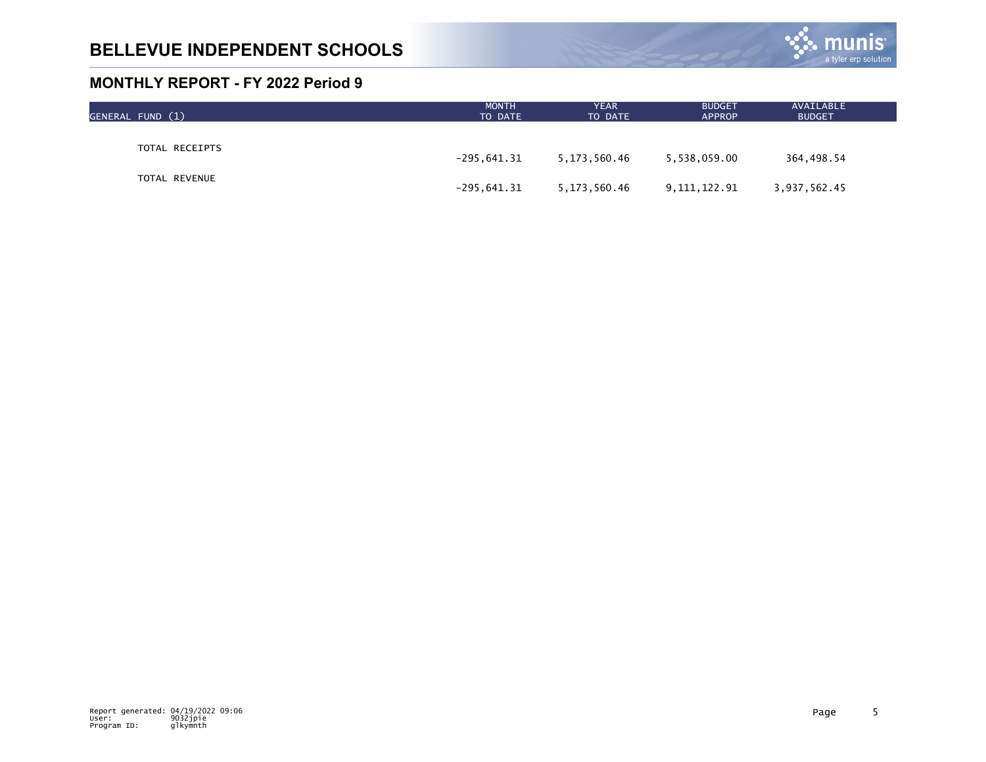

| GENERAL FUND (1) | <b>MONTH</b><br>TO DATE | <b>YEAR</b><br>TO DATE | <b>BUDGET</b><br><b>APPROP</b> | AVAILABLE<br><b>BUDGET</b> |  |
|------------------|-------------------------|------------------------|--------------------------------|----------------------------|--|
|                  |                         |                        |                                |                            |  |
| TOTAL RECEIPTS   | $-295,641.31$           | 5,173,560.46           | 5,538,059.00                   | 364,498.54                 |  |
| TOTAL REVENUE    | $-295,641.31$           | 5,173,560.46           | 9,111,122.91                   | 3,937,562.45               |  |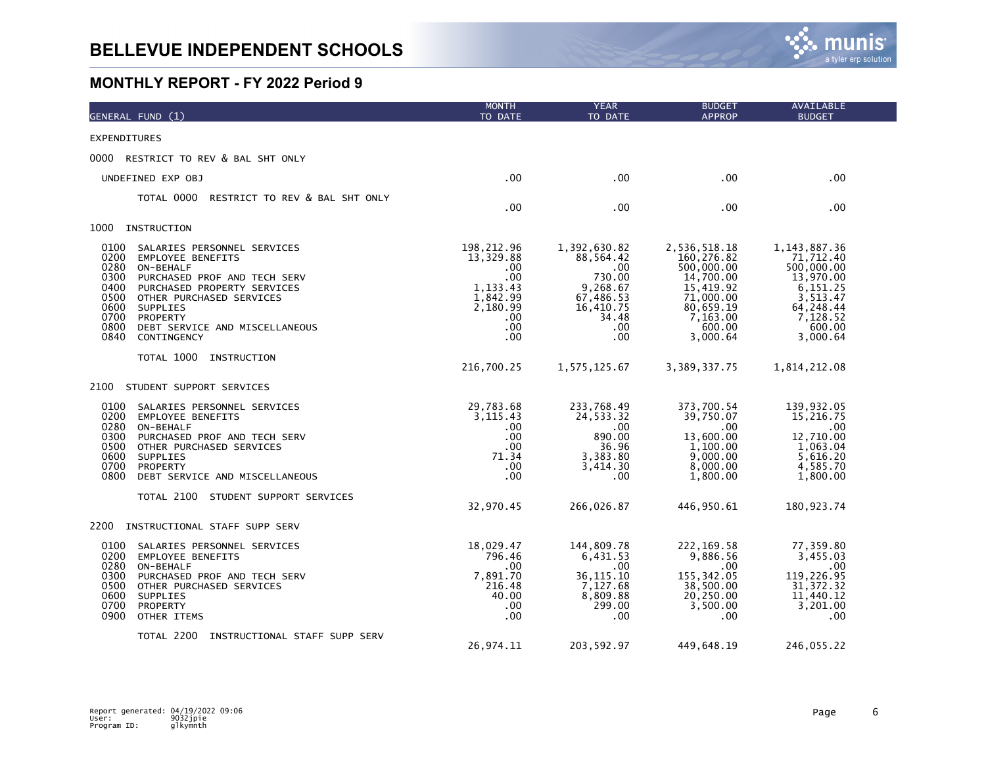

| GENERAL FUND (1)                                                                                                                                                                                                                                                                                                         | <b>MONTH</b><br>TO DATE                                                                        | <b>YEAR</b><br>TO DATE                                                                                  | <b>BUDGET</b><br><b>APPROP</b>                                                                                                 | <b>AVAILABLE</b><br><b>BUDGET</b>                                                                                               |
|--------------------------------------------------------------------------------------------------------------------------------------------------------------------------------------------------------------------------------------------------------------------------------------------------------------------------|------------------------------------------------------------------------------------------------|---------------------------------------------------------------------------------------------------------|--------------------------------------------------------------------------------------------------------------------------------|---------------------------------------------------------------------------------------------------------------------------------|
| EXPENDITURES                                                                                                                                                                                                                                                                                                             |                                                                                                |                                                                                                         |                                                                                                                                |                                                                                                                                 |
| RESTRICT TO REV & BAL SHT ONLY<br>0000                                                                                                                                                                                                                                                                                   |                                                                                                |                                                                                                         |                                                                                                                                |                                                                                                                                 |
| UNDEFINED EXP OBJ                                                                                                                                                                                                                                                                                                        | .00                                                                                            | .00                                                                                                     | .00.                                                                                                                           | .00.                                                                                                                            |
| TOTAL 0000<br>RESTRICT TO REV & BAL SHT ONLY                                                                                                                                                                                                                                                                             | .00                                                                                            | .00                                                                                                     | .00.                                                                                                                           | .00                                                                                                                             |
| 1000<br>INSTRUCTION                                                                                                                                                                                                                                                                                                      |                                                                                                |                                                                                                         |                                                                                                                                |                                                                                                                                 |
| 0100<br>SALARIES PERSONNEL SERVICES<br>0200<br><b>EMPLOYEE BENEFITS</b><br>0280<br>ON-BEHALF<br>0300<br>PURCHASED PROF AND TECH SERV<br>0400<br>PURCHASED PROPERTY SERVICES<br>0500<br>OTHER PURCHASED SERVICES<br>0600<br>SUPPLIES<br>0700<br>PROPERTY<br>0800<br>DEBT SERVICE AND MISCELLANEOUS<br>0840<br>CONTINGENCY | 198,212.96<br>13,329.88<br>.00<br>.00<br>1,133.43<br>1,842.99<br>2,180.99<br>.00<br>.00<br>.00 | 1,392,630.82<br>88,564.42<br>.00<br>730.00<br>9,268.67<br>67,486.53<br>16,410.75<br>34.48<br>.00<br>.00 | 2,536,518.18<br>160,276.82<br>500,000.00<br>14,700.00<br>15,419.92<br>71,000.00<br>80,659.19<br>7,163.00<br>600.00<br>3,000.64 | 1, 143, 887. 36<br>71,712.40<br>500,000.00<br>13,970.00<br>6,151.25<br>3,513.47<br>64, 248.44<br>7,128.52<br>600.00<br>3,000.64 |
| TOTAL 1000 INSTRUCTION                                                                                                                                                                                                                                                                                                   | 216,700.25                                                                                     | 1,575,125.67                                                                                            | 3,389,337.75                                                                                                                   | 1,814,212.08                                                                                                                    |
| 2100<br>STUDENT SUPPORT SERVICES                                                                                                                                                                                                                                                                                         |                                                                                                |                                                                                                         |                                                                                                                                |                                                                                                                                 |
| 0100<br>SALARIES PERSONNEL SERVICES<br>0200<br><b>EMPLOYEE BENEFITS</b><br>0280<br>ON-BEHALF<br>0300<br>PURCHASED PROF AND TECH SERV<br>0500<br>OTHER PURCHASED SERVICES<br>0600<br>SUPPLIES<br>0700<br>PROPERTY<br>0800<br>DEBT SERVICE AND MISCELLANEOUS                                                               | 29,783.68<br>3, 115.43<br>.00<br>.00<br>.00<br>71.34<br>$.00 \,$<br>.00                        | 233,768.49<br>24,533.32<br>.00<br>890.00<br>36.96<br>3,383.80<br>3,414.30<br>.00                        | 373,700.54<br>39,750.07<br>$.00 \,$<br>13,600.00<br>1,100.00<br>9,000.00<br>8,000.00<br>1,800.00                               | 139,932.05<br>15,216.75<br>.00<br>12,710.00<br>1,063.04<br>5,616.20<br>4,585.70<br>1,800.00                                     |
| TOTAL 2100 STUDENT SUPPORT SERVICES                                                                                                                                                                                                                                                                                      | 32,970.45                                                                                      | 266,026.87                                                                                              | 446,950.61                                                                                                                     | 180,923.74                                                                                                                      |
| INSTRUCTIONAL STAFF SUPP SERV<br>2200                                                                                                                                                                                                                                                                                    |                                                                                                |                                                                                                         |                                                                                                                                |                                                                                                                                 |
| 0100<br>SALARIES PERSONNEL SERVICES<br>0200<br><b>EMPLOYEE BENEFITS</b><br>0280<br>ON-BEHALF<br>0300<br>PURCHASED PROF AND TECH SERV<br>0500<br>OTHER PURCHASED SERVICES<br>0600<br>SUPPLIES<br>0700<br>PROPERTY<br>0900<br>OTHER ITEMS                                                                                  | 18,029.47<br>796.46<br>.00<br>7,891.70<br>216.48<br>40.00<br>.00<br>.00                        | 144,809.78<br>6,431.53<br>.00<br>36, 115.10<br>7,127.68<br>8,809.88<br>299.00<br>.00                    | 222, 169.58<br>9,886.56<br>$.00 \,$<br>155, 342.05<br>38,500.00<br>20, 250.00<br>3,500.00<br>.00                               | 77,359.80<br>3,455.03<br>.00<br>119,226.95<br>31, 372.32<br>11,440.12<br>3,201.00<br>.00                                        |
| TOTAL 2200 INSTRUCTIONAL STAFF SUPP SERV                                                                                                                                                                                                                                                                                 | 26,974.11                                                                                      | 203, 592.97                                                                                             | 449,648.19                                                                                                                     | 246,055.22                                                                                                                      |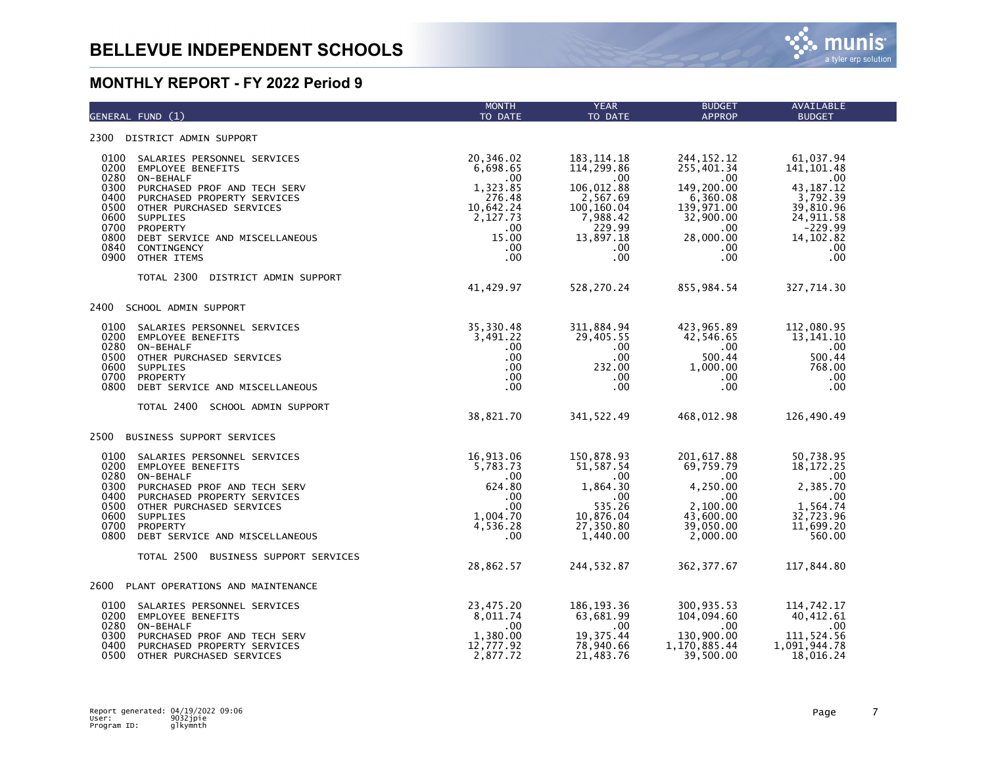| GENERAL FUND (1)                                                                                                                                                                                                                                                                                                                                | <b>MONTH</b><br>TO DATE                                                                                             | <b>YEAR</b><br>TO DATE                                                                                                                | <b>BUDGET</b><br><b>APPROP</b>                                                                                                              | AVAILABLE<br><b>BUDGET</b>                                                                                                           |
|-------------------------------------------------------------------------------------------------------------------------------------------------------------------------------------------------------------------------------------------------------------------------------------------------------------------------------------------------|---------------------------------------------------------------------------------------------------------------------|---------------------------------------------------------------------------------------------------------------------------------------|---------------------------------------------------------------------------------------------------------------------------------------------|--------------------------------------------------------------------------------------------------------------------------------------|
| 2300 DISTRICT ADMIN SUPPORT                                                                                                                                                                                                                                                                                                                     |                                                                                                                     |                                                                                                                                       |                                                                                                                                             |                                                                                                                                      |
| 0100<br>SALARIES PERSONNEL SERVICES<br>0200<br><b>EMPLOYEE BENEFITS</b><br>0280<br>ON-BEHALF<br>0300<br>PURCHASED PROF AND TECH SERV<br>0400<br>PURCHASED PROPERTY SERVICES<br>0500<br>OTHER PURCHASED SERVICES<br>0600<br>SUPPLIES<br>0700<br>PROPERTY<br>0800<br>DEBT SERVICE AND MISCELLANEOUS<br>0840<br>CONTINGENCY<br>0900<br>OTHER ITEMS | 20,346.02<br>6,698.65<br>$.00 \,$<br>1,323.85<br>276.48<br>10,642.24<br>2,127.73<br>.00<br>15.00<br>$.00 \,$<br>.00 | 183, 114. 18<br>114,299.86<br>$.00 \,$<br>106,012.88<br>2,567.69<br>100, 160.04<br>7,988.42<br>229.99<br>13,897.18<br>$.00 \,$<br>.00 | 244, 152. 12<br>255,401.34<br>.00<br>149,200.00<br>6,360.08<br>139,971.00<br>32,900.00<br>$.00 \,$<br>28,000.00<br>.00.<br>.00 <sub>1</sub> | 61,037.94<br>141, 101.48<br>$.00 \,$<br>43, 187. 12<br>3,792.39<br>39,810.96<br>24, 911.58<br>$-229.99$<br>14, 102.82<br>.00.<br>.00 |
| TOTAL 2300<br>DISTRICT ADMIN SUPPORT                                                                                                                                                                                                                                                                                                            | 41,429.97                                                                                                           | 528,270.24                                                                                                                            | 855,984.54                                                                                                                                  | 327,714.30                                                                                                                           |
| 2400<br>SCHOOL ADMIN SUPPORT                                                                                                                                                                                                                                                                                                                    |                                                                                                                     |                                                                                                                                       |                                                                                                                                             |                                                                                                                                      |
| 0100<br>SALARIES PERSONNEL SERVICES<br>0200<br><b>EMPLOYEE BENEFITS</b><br>0280<br>ON-BEHALF<br>0500<br>OTHER PURCHASED SERVICES<br>0600<br>SUPPLIES<br>0700<br>PROPERTY<br>0800<br>DEBT SERVICE AND MISCELLANEOUS                                                                                                                              | 35,330.48<br>3,491.22<br>$.00 \,$<br>.00<br>$.00 \,$<br>.00<br>$.00 \,$                                             | 311,884.94<br>29,405.55<br>$.00 \,$<br>$.00 \,$<br>232.00<br>$.00 \,$<br>$.00 \,$                                                     | 423,965.89<br>42,546.65<br>$.00 \,$<br>500.44<br>1,000.00<br>$.00 \,$<br>.00                                                                | 112,080.95<br>13, 141. 10<br>.00.<br>500.44<br>768.00<br>.00<br>.00.                                                                 |
| TOTAL 2400 SCHOOL ADMIN SUPPORT                                                                                                                                                                                                                                                                                                                 | 38,821.70                                                                                                           | 341, 522.49                                                                                                                           | 468,012.98                                                                                                                                  | 126,490.49                                                                                                                           |
| 2500<br>BUSINESS SUPPORT SERVICES                                                                                                                                                                                                                                                                                                               |                                                                                                                     |                                                                                                                                       |                                                                                                                                             |                                                                                                                                      |
| 0100<br>SALARIES PERSONNEL SERVICES<br>0200<br><b>EMPLOYEE BENEFITS</b><br>0280<br>ON-BEHALF<br>0300<br>PURCHASED PROF AND TECH SERV<br>0400<br>PURCHASED PROPERTY SERVICES<br>0500<br>OTHER PURCHASED SERVICES<br>0600<br>SUPPLIES<br>0700<br>PROPERTY<br>0800<br>DEBT SERVICE AND MISCELLANEOUS<br>TOTAL 2500 BUSINESS SUPPORT SERVICES       | 16,913.06<br>5,783.73<br>$.00 \,$<br>624.80<br>$.00 \,$<br>$.00 \,$<br>1,004.70<br>4,536.28<br>.00                  | 150,878.93<br>51, 587. 54<br>$.00 \,$<br>1,864.30<br>.00<br>535.26<br>10,876.04<br>27,350.80<br>1,440.00                              | 201, 617.88<br>69,759.79<br>.00<br>4,250.00<br>.00<br>2,100.00<br>43,600.00<br>39,050.00<br>2,000.00                                        | 50,738.95<br>18, 172.25<br>$.00 \,$<br>2,385.70<br>.00.<br>1,564.74<br>32,723.96<br>11,699.20<br>560.00                              |
|                                                                                                                                                                                                                                                                                                                                                 | 28,862.57                                                                                                           | 244, 532.87                                                                                                                           | 362, 377.67                                                                                                                                 | 117,844.80                                                                                                                           |
| 2600<br>PLANT OPERATIONS AND MAINTENANCE                                                                                                                                                                                                                                                                                                        |                                                                                                                     |                                                                                                                                       |                                                                                                                                             |                                                                                                                                      |
| 0100<br>SALARIES PERSONNEL SERVICES<br>0200<br><b>EMPLOYEE BENEFITS</b><br>0280<br>ON-BEHALF<br>0300<br>PURCHASED PROF AND TECH SERV<br>0400<br>PURCHASED PROPERTY SERVICES<br>0500<br>OTHER PURCHASED SERVICES                                                                                                                                 | 23,475.20<br>8,011.74<br>$.00 \,$<br>1,380.00<br>12,777.92<br>2,877.72                                              | 186, 193. 36<br>63,681.99<br>.00<br>19, 375.44<br>78,940.66<br>21,483.76                                                              | 300,935.53<br>104,094.60<br>.00<br>130,900.00<br>1,170,885.44<br>39,500.00                                                                  | 114,742.17<br>40,412.61<br>$.00 \times$<br>111, 524.56<br>1,091,944.78<br>18,016.24                                                  |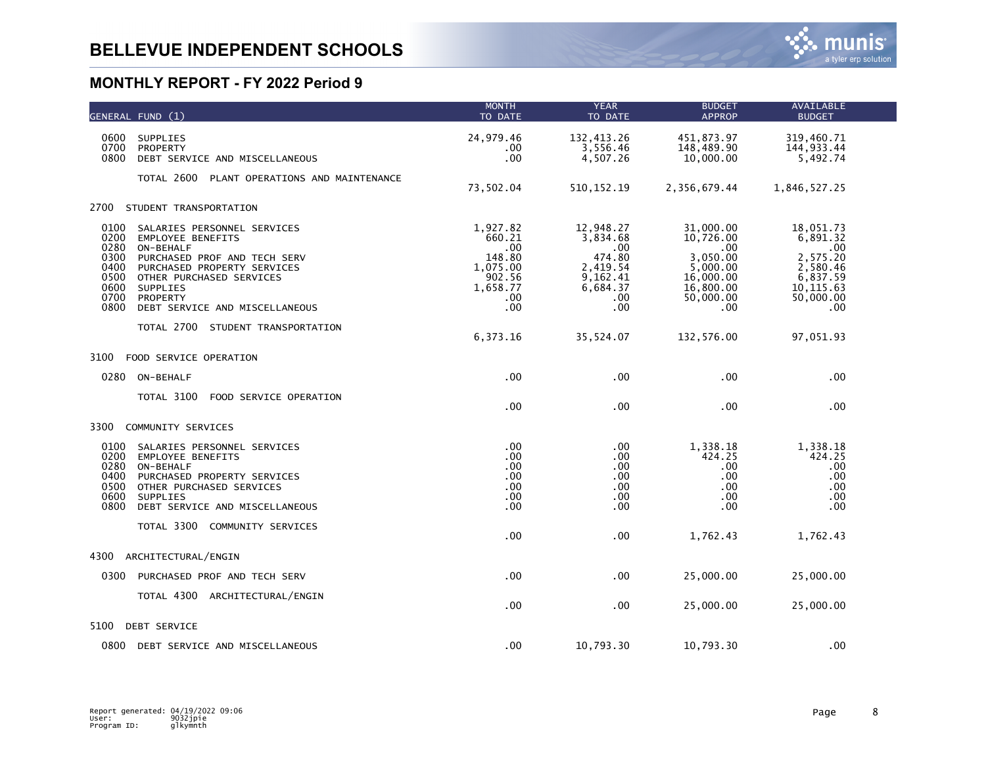|                                                                      | GENERAL FUND (1)                                                                                                                                                                                                                        | <b>MONTH</b><br>TO DATE                                                             | <b>YEAR</b><br>TO DATE                                                                   | <b>BUDGET</b><br><b>APPROP</b>                                                                        | <b>AVAILABLE</b><br><b>BUDGET</b>                                                                  |  |
|----------------------------------------------------------------------|-----------------------------------------------------------------------------------------------------------------------------------------------------------------------------------------------------------------------------------------|-------------------------------------------------------------------------------------|------------------------------------------------------------------------------------------|-------------------------------------------------------------------------------------------------------|----------------------------------------------------------------------------------------------------|--|
| 0600<br>0700<br>0800                                                 | <b>SUPPLIES</b><br>PROPERTY<br>DEBT SERVICE AND MISCELLANEOUS                                                                                                                                                                           | 24,979.46<br>.00<br>.00                                                             | 132,413.26<br>3,556.46<br>4,507.26                                                       | 451,873.97<br>148,489.90<br>10,000.00                                                                 | 319,460.71<br>144, 933.44<br>5,492.74                                                              |  |
|                                                                      | TOTAL 2600 PLANT OPERATIONS AND MAINTENANCE                                                                                                                                                                                             | 73,502.04                                                                           | 510, 152.19                                                                              | 2,356,679.44                                                                                          | 1,846,527.25                                                                                       |  |
| 2700                                                                 | STUDENT TRANSPORTATION                                                                                                                                                                                                                  |                                                                                     |                                                                                          |                                                                                                       |                                                                                                    |  |
| 0100<br>0200<br>0280<br>0300<br>0400<br>0500<br>0600<br>0700<br>0800 | SALARIES PERSONNEL SERVICES<br><b>EMPLOYEE BENEFITS</b><br>ON-BEHALF<br>PURCHASED PROF AND TECH SERV<br>PURCHASED PROPERTY SERVICES<br>OTHER PURCHASED SERVICES<br><b>SUPPLIES</b><br><b>PROPERTY</b><br>DEBT SERVICE AND MISCELLANEOUS | 1,927.82<br>660.21<br>.00<br>148.80<br>1,075.00<br>902.56<br>1,658.77<br>.00<br>.00 | 12,948.27<br>3,834.68<br>.00<br>474.80<br>2,419.54<br>9,162.41<br>6,684.37<br>.00<br>.00 | 31,000.00<br>10,726.00<br>.00.<br>3,050.00<br>5,000.00<br>16,000.00<br>16,800.00<br>50,000.00<br>.00. | 18,051.73<br>6,891.32<br>.00<br>2,575.20<br>2,580.46<br>6,837.59<br>10, 115.63<br>50,000.00<br>.00 |  |
|                                                                      | TOTAL 2700 STUDENT TRANSPORTATION                                                                                                                                                                                                       | 6,373.16                                                                            | 35,524.07                                                                                | 132,576.00                                                                                            | 97,051.93                                                                                          |  |
| 3100                                                                 | FOOD SERVICE OPERATION                                                                                                                                                                                                                  |                                                                                     |                                                                                          |                                                                                                       |                                                                                                    |  |
| 0280                                                                 | ON-BEHALF                                                                                                                                                                                                                               | .00                                                                                 | .00                                                                                      | .00                                                                                                   | $.00 \,$                                                                                           |  |
|                                                                      | TOTAL 3100<br>FOOD SERVICE OPERATION                                                                                                                                                                                                    | .00                                                                                 | .00                                                                                      | .00                                                                                                   | .00                                                                                                |  |
| 3300                                                                 | COMMUNITY SERVICES                                                                                                                                                                                                                      |                                                                                     |                                                                                          |                                                                                                       |                                                                                                    |  |
| 0100<br>0200<br>0280<br>0400<br>0500<br>0600<br>0800                 | SALARIES PERSONNEL SERVICES<br><b>EMPLOYEE BENEFITS</b><br>ON-BEHALF<br>PURCHASED PROPERTY SERVICES<br>OTHER PURCHASED SERVICES<br>SUPPLIES<br>DEBT SERVICE AND MISCELLANEOUS                                                           | .00<br>$.00 \,$<br>.00<br>.00<br>.00<br>.00<br>.00                                  | .00<br>.00<br>.00<br>.00<br>.00<br>.00<br>.00                                            | 1,338.18<br>424.25<br>.00<br>.00<br>.00<br>.00<br>.00                                                 | 1,338.18<br>424.25<br>.00<br>.00<br>.00<br>.00<br>.00                                              |  |
|                                                                      | TOTAL 3300<br>COMMUNITY SERVICES                                                                                                                                                                                                        | .00                                                                                 | .00                                                                                      | 1,762.43                                                                                              | 1,762.43                                                                                           |  |
| 4300                                                                 | ARCHITECTURAL/ENGIN                                                                                                                                                                                                                     |                                                                                     |                                                                                          |                                                                                                       |                                                                                                    |  |
| 0300                                                                 | PURCHASED PROF AND TECH SERV                                                                                                                                                                                                            | .00                                                                                 | .00                                                                                      | 25,000.00                                                                                             | 25,000.00                                                                                          |  |
|                                                                      | TOTAL 4300 ARCHITECTURAL/ENGIN                                                                                                                                                                                                          | .00                                                                                 | .00                                                                                      | 25,000.00                                                                                             | 25,000.00                                                                                          |  |
| 5100                                                                 | <b>DEBT SERVICE</b>                                                                                                                                                                                                                     |                                                                                     |                                                                                          |                                                                                                       |                                                                                                    |  |
|                                                                      | 0800 DEBT SERVICE AND MISCELLANEOUS                                                                                                                                                                                                     | .00                                                                                 | 10,793.30                                                                                | 10,793.30                                                                                             | .00                                                                                                |  |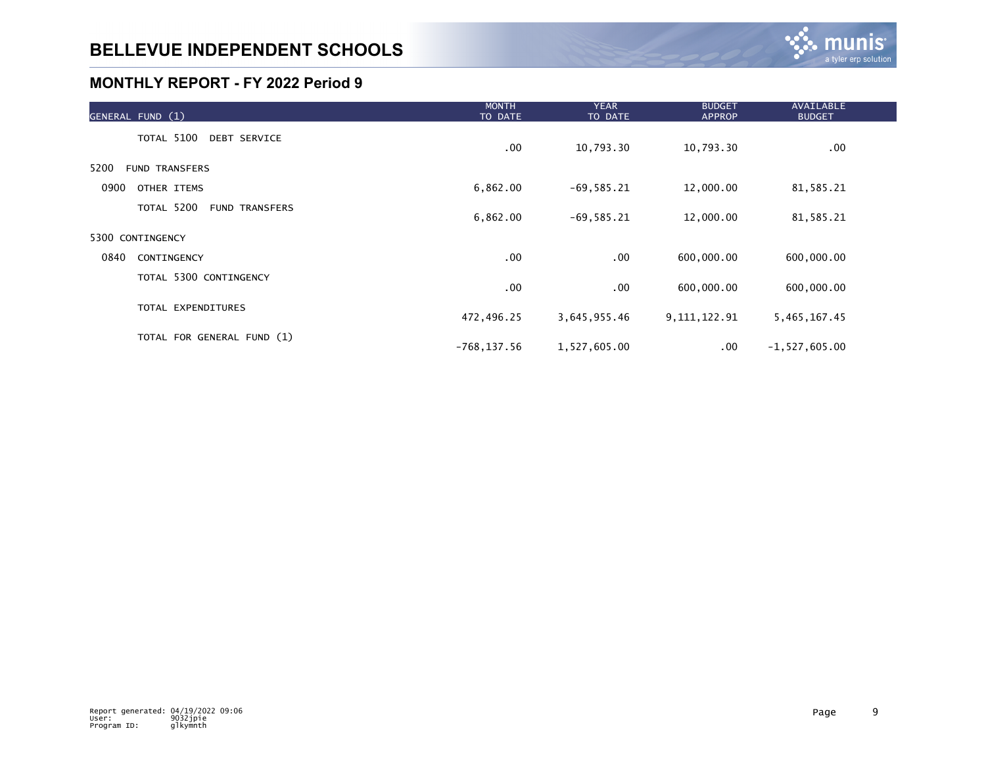| GENERAL FUND (1)                    | <b>MONTH</b><br>TO DATE | <b>YEAR</b><br>TO DATE | <b>BUDGET</b><br><b>APPROP</b> | <b>AVAILABLE</b><br><b>BUDGET</b> |  |
|-------------------------------------|-------------------------|------------------------|--------------------------------|-----------------------------------|--|
| TOTAL 5100<br><b>DEBT SERVICE</b>   | $.00 \,$                | 10,793.30              | 10,793.30                      | $.00 \,$                          |  |
| 5200<br>FUND TRANSFERS              |                         |                        |                                |                                   |  |
| 0900<br>OTHER ITEMS                 | 6,862.00                | $-69,585.21$           | 12,000.00                      | 81,585.21                         |  |
| TOTAL 5200<br><b>FUND TRANSFERS</b> | 6,862.00                | $-69,585.21$           | 12,000.00                      | 81,585.21                         |  |
| 5300 CONTINGENCY                    |                         |                        |                                |                                   |  |
| 0840<br>CONTINGENCY                 | .00                     | $.00 \,$               | 600,000.00                     | 600,000.00                        |  |
| TOTAL 5300 CONTINGENCY              | $.00 \,$                | $.00 \,$               | 600,000.00                     | 600,000.00                        |  |
| TOTAL EXPENDITURES                  | 472,496.25              | 3,645,955.46           | 9, 111, 122.91                 | 5,465,167.45                      |  |
| TOTAL FOR GENERAL FUND (1)          | $-768, 137.56$          | 1,527,605.00           | $.00 \,$                       | $-1, 527, 605.00$                 |  |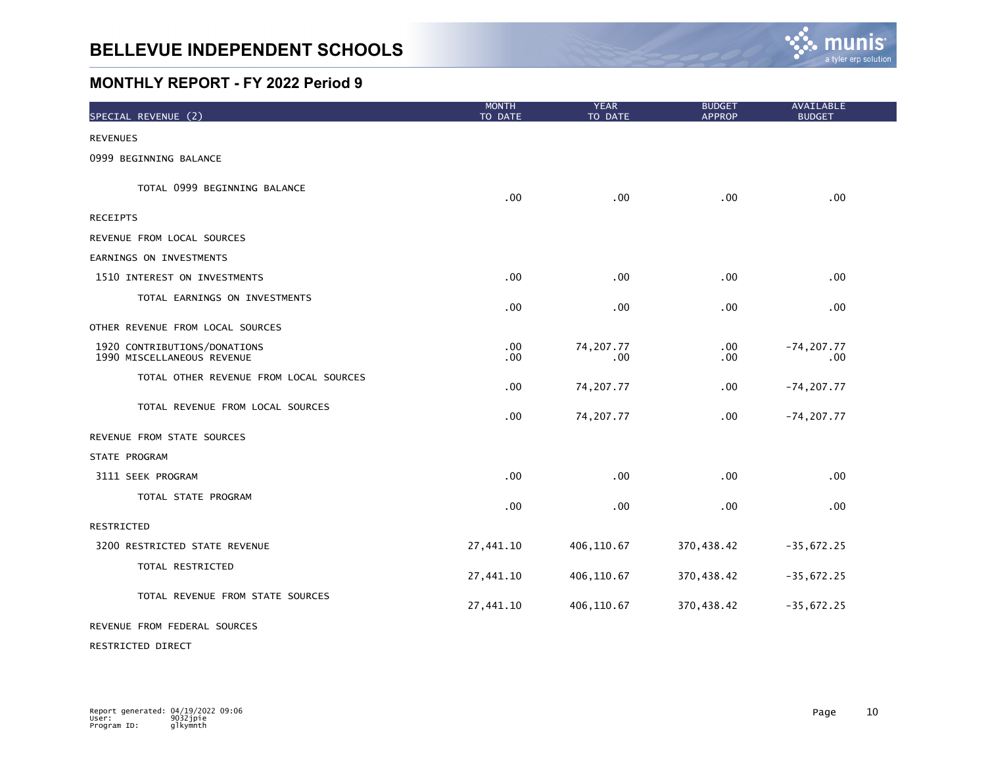# **BELLEVUE INDEPENDENT SCHOOLS**



#### **MONTHLY REPORT - FY 2022 Period 9**

| SPECIAL REVENUE (2)                                        | <b>MONTH</b><br>TO DATE | <b>YEAR</b><br>TO DATE | <b>BUDGET</b><br><b>APPROP</b> | AVAILABLE<br><b>BUDGET</b> |
|------------------------------------------------------------|-------------------------|------------------------|--------------------------------|----------------------------|
| <b>REVENUES</b>                                            |                         |                        |                                |                            |
| 0999 BEGINNING BALANCE                                     |                         |                        |                                |                            |
| TOTAL 0999 BEGINNING BALANCE                               | .00                     | .00                    | .00.                           | .00                        |
| <b>RECEIPTS</b>                                            |                         |                        |                                |                            |
| REVENUE FROM LOCAL SOURCES                                 |                         |                        |                                |                            |
| EARNINGS ON INVESTMENTS                                    |                         |                        |                                |                            |
| 1510 INTEREST ON INVESTMENTS                               | .00                     | .00 <sub>1</sub>       | .00                            | .00                        |
| TOTAL EARNINGS ON INVESTMENTS                              | .00                     | .00                    | .00                            | .00                        |
| OTHER REVENUE FROM LOCAL SOURCES                           |                         |                        |                                |                            |
| 1920 CONTRIBUTIONS/DONATIONS<br>1990 MISCELLANEOUS REVENUE | .00<br>.00              | 74, 207. 77<br>.00.    | .00.<br>.00                    | $-74, 207.77$<br>$.00 \,$  |
| TOTAL OTHER REVENUE FROM LOCAL SOURCES                     | .00                     | 74, 207.77             | .00                            | $-74, 207.77$              |
| TOTAL REVENUE FROM LOCAL SOURCES                           | .00                     | 74, 207. 77            | .00                            | $-74, 207.77$              |
| REVENUE FROM STATE SOURCES                                 |                         |                        |                                |                            |
| STATE PROGRAM                                              |                         |                        |                                |                            |
| 3111 SEEK PROGRAM                                          | .00                     | .00                    | .00                            | .00                        |
| TOTAL STATE PROGRAM                                        | .00                     | .00                    | .00                            | .00                        |
| RESTRICTED                                                 |                         |                        |                                |                            |
| 3200 RESTRICTED STATE REVENUE                              | 27,441.10               | 406,110.67             | 370,438.42                     | $-35,672.25$               |
| TOTAL RESTRICTED                                           | 27,441.10               | 406, 110.67            | 370,438.42                     | $-35,672.25$               |
| TOTAL REVENUE FROM STATE SOURCES                           | 27,441.10               | 406,110.67             | 370,438.42                     | $-35,672.25$               |
| REVENUE FROM FEDERAL SOURCES                               |                         |                        |                                |                            |

#### RESTRICTED DIRECT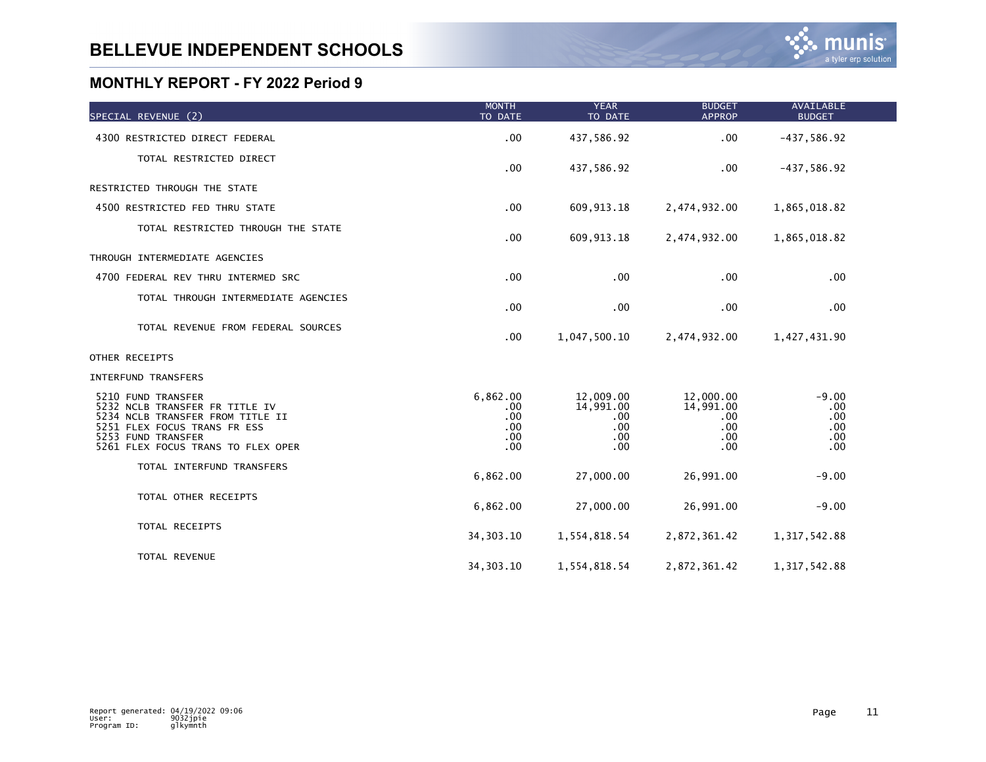| SPECIAL REVENUE (2)                                                                                                                                                                  | <b>MONTH</b><br>TO DATE                     | <b>YEAR</b><br>TO DATE                                       | <b>BUDGET</b><br><b>APPROP</b>                               | AVAILABLE<br><b>BUDGET</b>                      |  |
|--------------------------------------------------------------------------------------------------------------------------------------------------------------------------------------|---------------------------------------------|--------------------------------------------------------------|--------------------------------------------------------------|-------------------------------------------------|--|
| 4300 RESTRICTED DIRECT FEDERAL                                                                                                                                                       | .00                                         | 437,586.92                                                   | .00                                                          | $-437,586.92$                                   |  |
| TOTAL RESTRICTED DIRECT                                                                                                                                                              | .00                                         | 437,586.92                                                   | $.00 \,$                                                     | $-437,586.92$                                   |  |
| RESTRICTED THROUGH THE STATE                                                                                                                                                         |                                             |                                                              |                                                              |                                                 |  |
| 4500 RESTRICTED FED THRU STATE                                                                                                                                                       | .00                                         | 609, 913.18                                                  | 2,474,932.00                                                 | 1,865,018.82                                    |  |
| TOTAL RESTRICTED THROUGH THE STATE                                                                                                                                                   | .00                                         | 609, 913. 18                                                 | 2,474,932.00                                                 | 1,865,018.82                                    |  |
| THROUGH INTERMEDIATE AGENCIES                                                                                                                                                        |                                             |                                                              |                                                              |                                                 |  |
| 4700 FEDERAL REV THRU INTERMED SRC                                                                                                                                                   | .00                                         | .00                                                          | .00                                                          | .00                                             |  |
| TOTAL THROUGH INTERMEDIATE AGENCIES                                                                                                                                                  | .00                                         | .00                                                          | .00                                                          | .00                                             |  |
| TOTAL REVENUE FROM FEDERAL SOURCES                                                                                                                                                   | .00                                         | 1,047,500.10                                                 | 2,474,932.00                                                 | 1,427,431.90                                    |  |
| OTHER RECEIPTS                                                                                                                                                                       |                                             |                                                              |                                                              |                                                 |  |
| INTERFUND TRANSFERS                                                                                                                                                                  |                                             |                                                              |                                                              |                                                 |  |
| 5210 FUND TRANSFER<br>5232 NCLB TRANSFER FR TITLE IV<br>5234 NCLB TRANSFER FROM TITLE II<br>5251 FLEX FOCUS TRANS FR ESS<br>5253 FUND TRANSFER<br>5261 FLEX FOCUS TRANS TO FLEX OPER | 6,862.00<br>.00<br>.00<br>.00<br>.00<br>.00 | 12,009.00<br>14,991.00<br>$.00 \,$<br>$.00 \,$<br>.00<br>.00 | 12,000.00<br>14,991.00<br>$.00 \,$<br>$.00 \,$<br>.00<br>.00 | $-9.00$<br>.00<br>$.00 \,$<br>.00<br>.00<br>.00 |  |
| TOTAL INTERFUND TRANSFERS                                                                                                                                                            | 6,862.00                                    | 27,000.00                                                    | 26,991.00                                                    | $-9.00$                                         |  |
| TOTAL OTHER RECEIPTS                                                                                                                                                                 | 6,862.00                                    | 27,000.00                                                    | 26,991.00                                                    | $-9.00$                                         |  |
| TOTAL RECEIPTS                                                                                                                                                                       | 34, 303. 10                                 | 1,554,818.54                                                 | 2,872,361.42                                                 | 1,317,542.88                                    |  |
| TOTAL REVENUE                                                                                                                                                                        | 34, 303. 10                                 | 1,554,818.54                                                 | 2,872,361.42                                                 | 1, 317, 542.88                                  |  |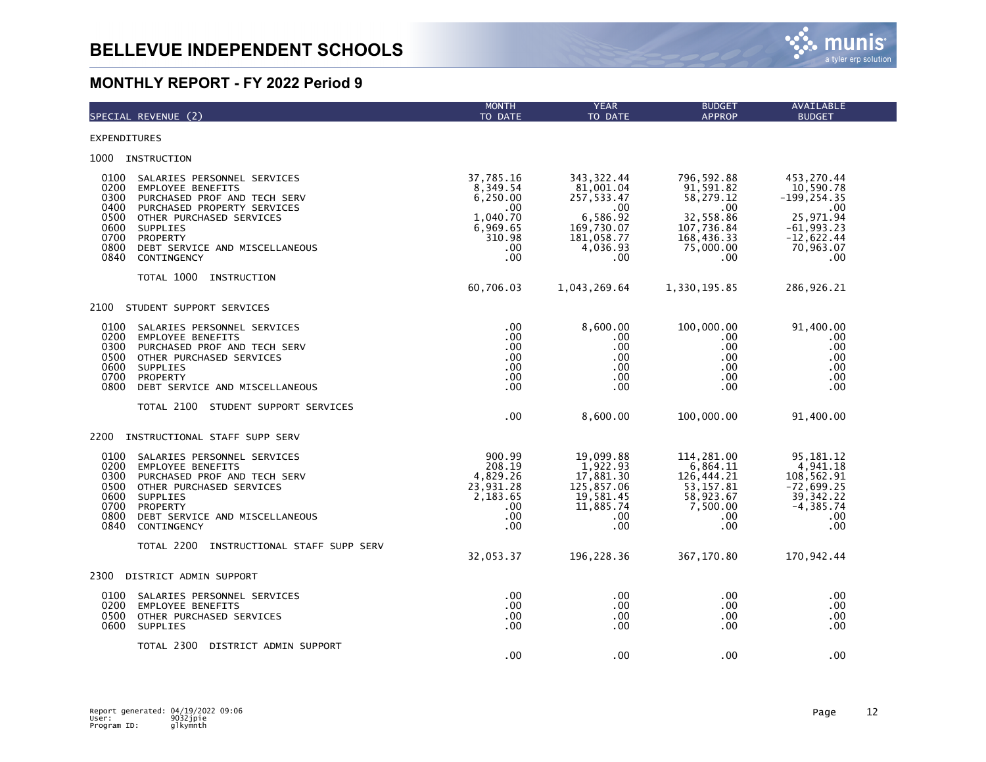|                                                                      | SPECIAL REVENUE (2)                                                                                                                                                                                                                | <b>MONTH</b><br>TO DATE                                                                       | <b>YEAR</b><br>TO DATE                                                                                         | <b>BUDGET</b><br><b>APPROP</b>                                                                            | AVAILABLE<br><b>BUDGET</b>                                                                                        |
|----------------------------------------------------------------------|------------------------------------------------------------------------------------------------------------------------------------------------------------------------------------------------------------------------------------|-----------------------------------------------------------------------------------------------|----------------------------------------------------------------------------------------------------------------|-----------------------------------------------------------------------------------------------------------|-------------------------------------------------------------------------------------------------------------------|
| <b>EXPENDITURES</b>                                                  |                                                                                                                                                                                                                                    |                                                                                               |                                                                                                                |                                                                                                           |                                                                                                                   |
| 1000                                                                 | INSTRUCTION                                                                                                                                                                                                                        |                                                                                               |                                                                                                                |                                                                                                           |                                                                                                                   |
| 0100<br>0200<br>0300<br>0400<br>0500<br>0600<br>0700<br>0800<br>0840 | SALARIES PERSONNEL SERVICES<br><b>EMPLOYEE BENEFITS</b><br>PURCHASED PROF AND TECH SERV<br>PURCHASED PROPERTY SERVICES<br>OTHER PURCHASED SERVICES<br><b>SUPPLIES</b><br>PROPERTY<br>DEBT SERVICE AND MISCELLANEOUS<br>CONTINGENCY | 37,785.16<br>8,349.54<br>6,250.00<br>$.00 \,$<br>1,040.70<br>6,969.65<br>310.98<br>.00<br>.00 | 343, 322.44<br>81,001.04<br>257, 533.47<br>$.00 \,$<br>6,586.92<br>169,730.07<br>181,058.77<br>4,036.93<br>.00 | 796, 592.88<br>91,591.82<br>58,279.12<br>.00<br>32,558.86<br>107,736.84<br>168,436.33<br>75,000.00<br>.00 | 453,270.44<br>10,590.78<br>$-199, 254.35$<br>.00<br>25,971.94<br>$-61.993.23$<br>$-12,622.44$<br>70,963.07<br>.00 |
|                                                                      | TOTAL 1000<br>INSTRUCTION                                                                                                                                                                                                          | 60,706.03                                                                                     | 1,043,269.64                                                                                                   | 1,330,195.85                                                                                              | 286,926.21                                                                                                        |
| 2100                                                                 | STUDENT SUPPORT SERVICES                                                                                                                                                                                                           |                                                                                               |                                                                                                                |                                                                                                           |                                                                                                                   |
| 0100<br>0200<br>0300<br>0500<br>0600<br>0700<br>0800                 | SALARIES PERSONNEL SERVICES<br><b>EMPLOYEE BENEFITS</b><br>PURCHASED PROF AND TECH SERV<br>OTHER PURCHASED SERVICES<br>SUPPLIES<br><b>PROPERTY</b><br>DEBT SERVICE AND MISCELLANEOUS                                               | $.00 \,$<br>.00<br>.00<br>.00<br>.00<br>.00<br>$.00 \,$                                       | 8,600.00<br>.00<br>.00<br>.00<br>.00<br>.00<br>.00                                                             | 100,000.00<br>.00<br>.00<br>.00<br>.00<br>.00<br>.00                                                      | 91,400.00<br>.00<br>.00<br>.00<br>.00<br>.00<br>.00                                                               |
|                                                                      | TOTAL 2100 STUDENT SUPPORT SERVICES                                                                                                                                                                                                | .00                                                                                           | 8,600.00                                                                                                       | 100,000.00                                                                                                | 91,400.00                                                                                                         |
| 2200                                                                 | INSTRUCTIONAL STAFF SUPP SERV                                                                                                                                                                                                      |                                                                                               |                                                                                                                |                                                                                                           |                                                                                                                   |
| 0100<br>0200<br>0300<br>0500<br>0600<br>0700<br>0800<br>0840         | SALARIES PERSONNEL SERVICES<br><b>EMPLOYEE BENEFITS</b><br>PURCHASED PROF AND TECH SERV<br>OTHER PURCHASED SERVICES<br>SUPPLIES<br>PROPERTY<br>DEBT SERVICE AND MISCELLANEOUS<br>CONTINGENCY                                       | 900.99<br>208.19<br>4,829.26<br>23,931.28<br>2,183.65<br>.00.<br>.00<br>.00                   | 19,099.88<br>1,922.93<br>17,881.30<br>125,857.06<br>19,581.45<br>11,885.74<br>.00<br>.00                       | 114,281.00<br>6,864.11<br>126,444.21<br>53, 157.81<br>58,923.67<br>7,500.00<br>.00.<br>.00                | 95, 181. 12<br>4,941.18<br>108,562.91<br>$-72,699.25$<br>39, 342.22<br>$-4, 385.74$<br>.00<br>.00                 |
|                                                                      | TOTAL 2200<br>INSTRUCTIONAL STAFF SUPP SERV                                                                                                                                                                                        | 32,053.37                                                                                     | 196, 228.36                                                                                                    | 367,170.80                                                                                                | 170,942.44                                                                                                        |
| 2300                                                                 | DISTRICT ADMIN SUPPORT                                                                                                                                                                                                             |                                                                                               |                                                                                                                |                                                                                                           |                                                                                                                   |
| 0100<br>0200<br>0500<br>0600                                         | SALARIES PERSONNEL SERVICES<br><b>EMPLOYEE BENEFITS</b><br>OTHER PURCHASED SERVICES<br>SUPPLIES                                                                                                                                    | $.00 \,$<br>$.00 \,$<br>.00<br>.00                                                            | .00<br>.00<br>$.00 \,$<br>.00                                                                                  | .00<br>.00<br>.00<br>.00                                                                                  | .00<br>.00<br>.00<br>.00                                                                                          |
|                                                                      | TOTAL 2300<br>DISTRICT ADMIN SUPPORT                                                                                                                                                                                               | .00                                                                                           | .00                                                                                                            | .00                                                                                                       | .00                                                                                                               |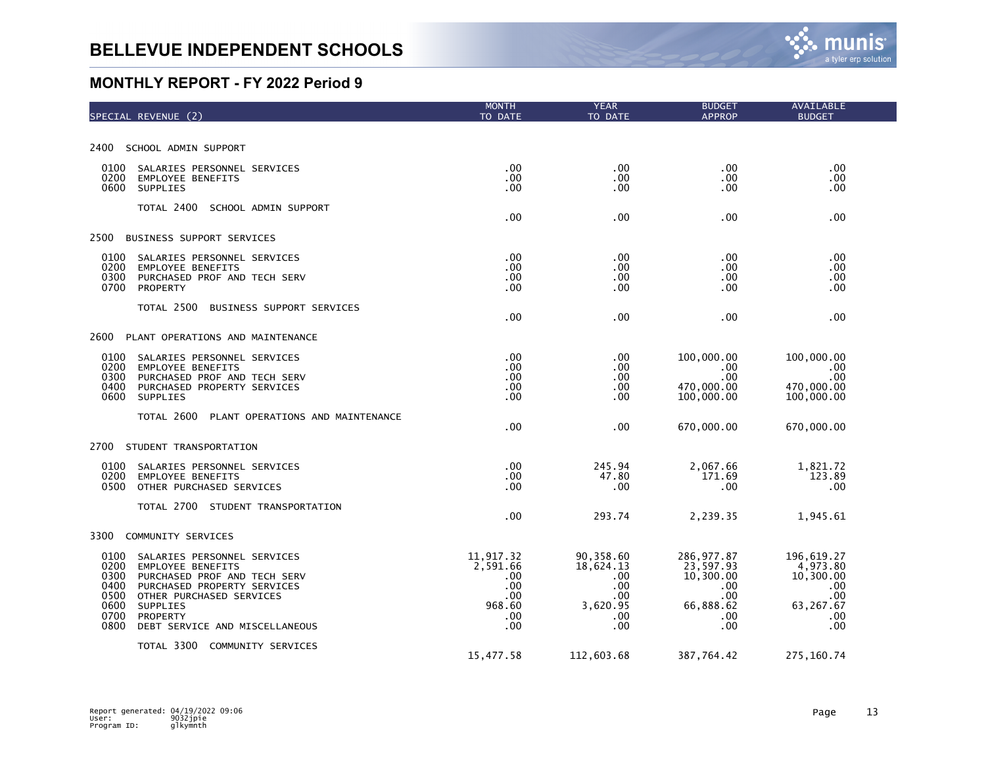

| SPECIAL REVENUE (2)                                                                                                                                                                                                                                                          | <b>MONTH</b><br>TO DATE                                              | <b>YEAR</b><br>TO DATE                                                | <b>BUDGET</b><br><b>APPROP</b>                                                   | AVAILABLE<br><b>BUDGET</b>                                                             |
|------------------------------------------------------------------------------------------------------------------------------------------------------------------------------------------------------------------------------------------------------------------------------|----------------------------------------------------------------------|-----------------------------------------------------------------------|----------------------------------------------------------------------------------|----------------------------------------------------------------------------------------|
|                                                                                                                                                                                                                                                                              |                                                                      |                                                                       |                                                                                  |                                                                                        |
| 2400<br>SCHOOL ADMIN SUPPORT                                                                                                                                                                                                                                                 |                                                                      |                                                                       |                                                                                  |                                                                                        |
| 0100<br>SALARIES PERSONNEL SERVICES<br>0200<br><b>EMPLOYEE BENEFITS</b><br>0600<br>SUPPLIES                                                                                                                                                                                  | $.00 \,$<br>$.00 \,$<br>$.00 \,$                                     | $.00 \,$<br>.00<br>.00                                                | .00.<br>.00.<br>.00                                                              | .00.<br>.00.<br>.00                                                                    |
| TOTAL 2400<br>SCHOOL ADMIN SUPPORT                                                                                                                                                                                                                                           | .00                                                                  | .00                                                                   | .00                                                                              | .00                                                                                    |
| 2500<br>BUSINESS SUPPORT SERVICES                                                                                                                                                                                                                                            |                                                                      |                                                                       |                                                                                  |                                                                                        |
| 0100<br>SALARIES PERSONNEL SERVICES<br>0200<br><b>EMPLOYEE BENEFITS</b><br>0300<br>PURCHASED PROF AND TECH SERV<br>0700<br>PROPERTY                                                                                                                                          | .00<br>$.00 \,$<br>.00.<br>.00                                       | .00<br>.00<br>.00<br>.00                                              | .00.<br>.00<br>.00<br>.00                                                        | .00.<br>.00.<br>.00.<br>.00.                                                           |
| TOTAL 2500<br>BUSINESS SUPPORT SERVICES                                                                                                                                                                                                                                      | .00                                                                  | .00                                                                   | .00                                                                              | .00 <sub>1</sub>                                                                       |
| PLANT OPERATIONS AND MAINTENANCE<br>2600                                                                                                                                                                                                                                     |                                                                      |                                                                       |                                                                                  |                                                                                        |
| 0100<br>SALARIES PERSONNEL SERVICES<br>0200<br><b>EMPLOYEE BENEFITS</b><br>0300<br>PURCHASED PROF AND TECH SERV<br>0400<br>PURCHASED PROPERTY SERVICES<br>0600<br>SUPPLIES                                                                                                   | .00 <sub>1</sub><br>.00<br>.00<br>.00.<br>$.00 \,$                   | $.00 \,$<br>$.00 \,$<br>.00<br>$.00 \,$<br>.00                        | 100,000.00<br>.00<br>.00<br>470,000.00<br>100,000.00                             | 100,000.00<br>.00<br>.00<br>470,000.00<br>100,000.00                                   |
| TOTAL 2600<br>PLANT OPERATIONS AND MAINTENANCE                                                                                                                                                                                                                               | $.00 \,$                                                             | .00                                                                   | 670,000.00                                                                       | 670,000.00                                                                             |
| 2700<br>STUDENT TRANSPORTATION                                                                                                                                                                                                                                               |                                                                      |                                                                       |                                                                                  |                                                                                        |
| 0100<br>SALARIES PERSONNEL SERVICES<br>0200<br><b>EMPLOYEE BENEFITS</b><br>0500<br>OTHER PURCHASED SERVICES                                                                                                                                                                  | .00.<br>.00<br>.00                                                   | 245.94<br>47.80<br>.00                                                | 2,067.66<br>171.69<br>.00                                                        | 1,821.72<br>123.89<br>.00                                                              |
| TOTAL 2700 STUDENT TRANSPORTATION                                                                                                                                                                                                                                            | .00                                                                  | 293.74                                                                | 2,239.35                                                                         | 1,945.61                                                                               |
| 3300<br>COMMUNITY SERVICES                                                                                                                                                                                                                                                   |                                                                      |                                                                       |                                                                                  |                                                                                        |
| 0100<br>SALARIES PERSONNEL SERVICES<br>0200<br><b>EMPLOYEE BENEFITS</b><br>0300<br>PURCHASED PROF AND TECH SERV<br>0400<br>PURCHASED PROPERTY SERVICES<br>0500<br>OTHER PURCHASED SERVICES<br>0600<br>SUPPLIES<br>0700<br>PROPERTY<br>0800<br>DEBT SERVICE AND MISCELLANEOUS | 11,917.32<br>2,591.66<br>.00.<br>.00.<br>.00<br>968.60<br>.00<br>.00 | 90,358.60<br>18,624.13<br>.00<br>.00<br>.00<br>3,620.95<br>.00<br>.00 | 286, 977.87<br>23,597.93<br>10,300.00<br>.00.<br>.00<br>66,888.62<br>.00.<br>.00 | 196,619.27<br>4,973.80<br>10,300.00<br>.00.<br>.00<br>63,267.67<br>$.00 \times$<br>.00 |
| TOTAL 3300 COMMUNITY SERVICES                                                                                                                                                                                                                                                | 15,477.58                                                            | 112,603.68                                                            | 387,764.42                                                                       | 275,160.74                                                                             |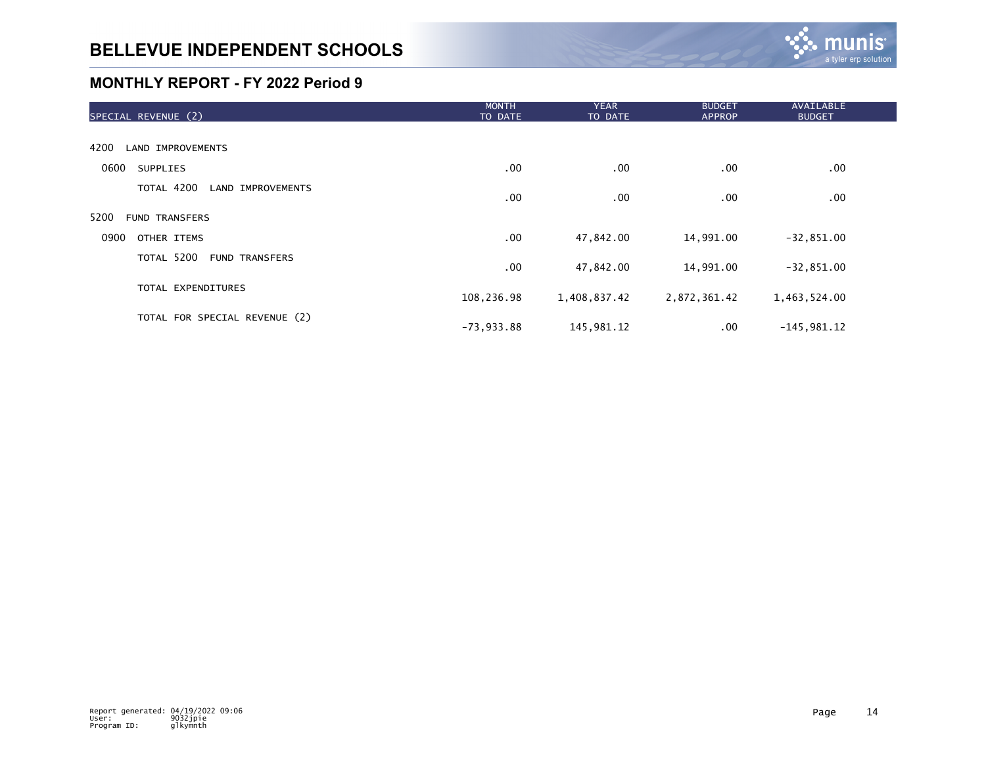

| SPECIAL REVENUE (2)                 | <b>MONTH</b><br>TO DATE | <b>YEAR</b><br>TO DATE | <b>BUDGET</b><br><b>APPROP</b> | AVAILABLE<br><b>BUDGET</b> |  |
|-------------------------------------|-------------------------|------------------------|--------------------------------|----------------------------|--|
|                                     |                         |                        |                                |                            |  |
| 4200<br><b>LAND IMPROVEMENTS</b>    |                         |                        |                                |                            |  |
| 0600<br><b>SUPPLIES</b>             | .00                     | .00                    | .00                            | $.00 \,$                   |  |
| TOTAL 4200 LAND IMPROVEMENTS        | .00                     | .00                    | .00                            | .00                        |  |
| 5200<br><b>FUND TRANSFERS</b>       |                         |                        |                                |                            |  |
| 0900<br>OTHER ITEMS                 | .00                     | 47,842.00              | 14,991.00                      | $-32,851.00$               |  |
| TOTAL 5200<br><b>FUND TRANSFERS</b> | .00                     | 47,842.00              | 14,991.00                      | $-32,851.00$               |  |
| TOTAL EXPENDITURES                  | 108,236.98              | 1,408,837.42           | 2,872,361.42                   | 1,463,524.00               |  |
| TOTAL FOR SPECIAL REVENUE (2)       | $-73,933.88$            | 145,981.12             | .00                            | $-145,981.12$              |  |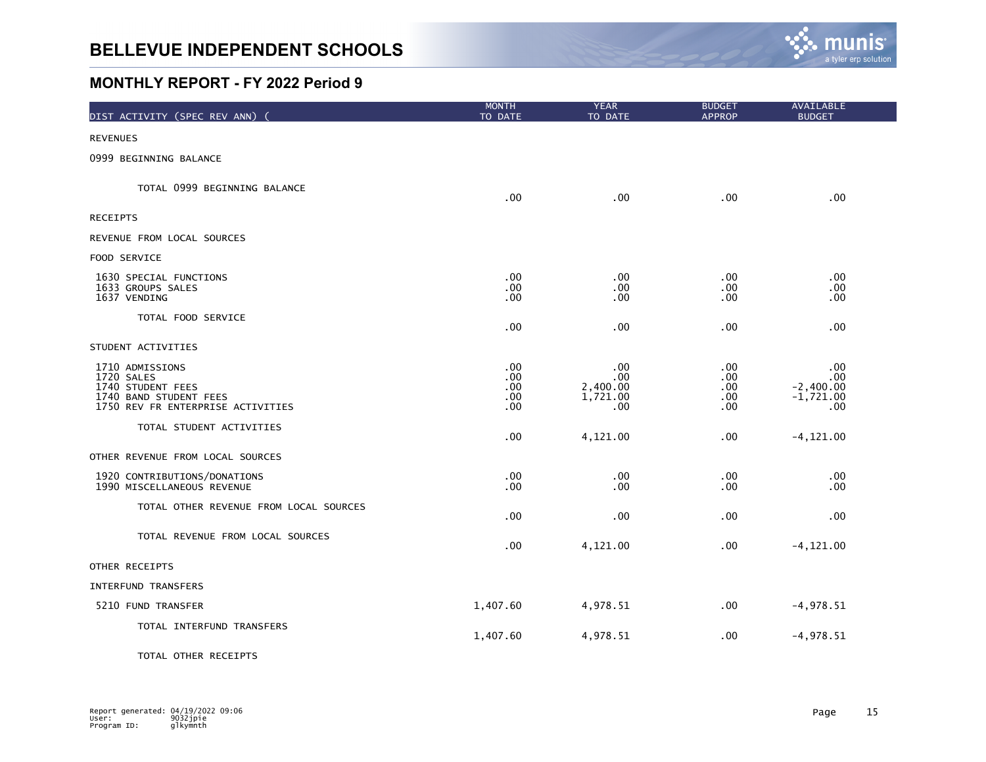## **BELLEVUE INDEPENDENT SCHOOLS**



#### **MONTHLY REPORT - FY 2022 Period 9**

| DIST ACTIVITY (SPEC REV ANN)                                                                                      | <b>MONTH</b><br>TO DATE                  | <b>YEAR</b><br>TO DATE                    | <b>BUDGET</b><br><b>APPROP</b>   | AVAILABLE<br><b>BUDGET</b>                      |
|-------------------------------------------------------------------------------------------------------------------|------------------------------------------|-------------------------------------------|----------------------------------|-------------------------------------------------|
| <b>REVENUES</b>                                                                                                   |                                          |                                           |                                  |                                                 |
| 0999 BEGINNING BALANCE                                                                                            |                                          |                                           |                                  |                                                 |
| TOTAL 0999 BEGINNING BALANCE                                                                                      | .00                                      | .00                                       | .00                              | .00                                             |
| <b>RECEIPTS</b>                                                                                                   |                                          |                                           |                                  |                                                 |
| REVENUE FROM LOCAL SOURCES                                                                                        |                                          |                                           |                                  |                                                 |
| FOOD SERVICE                                                                                                      |                                          |                                           |                                  |                                                 |
| 1630 SPECIAL FUNCTIONS<br>1633 GROUPS SALES<br>1637 VENDING                                                       | .00 <sub>1</sub><br>$.00 \,$<br>$.00 \,$ | .00<br>.00<br>.00                         | .00<br>.00<br>.00                | .00<br>.00<br>.00.                              |
| TOTAL FOOD SERVICE                                                                                                | .00 <sub>1</sub>                         | .00                                       | .00                              | .00                                             |
| STUDENT ACTIVITIES                                                                                                |                                          |                                           |                                  |                                                 |
| 1710 ADMISSIONS<br>1720 SALES<br>1740 STUDENT FEES<br>1740 BAND STUDENT FEES<br>1750 REV FR ENTERPRISE ACTIVITIES | .00<br>.00<br>.00<br>.00<br>.00          | .00<br>.00<br>2,400.00<br>1,721.00<br>.00 | .00<br>.00<br>.00<br>.00.<br>.00 | .00<br>.00<br>$-2,400.00$<br>$-1,721.00$<br>.00 |
| TOTAL STUDENT ACTIVITIES                                                                                          | .00                                      | 4,121.00                                  | .00                              | $-4, 121.00$                                    |
| OTHER REVENUE FROM LOCAL SOURCES                                                                                  |                                          |                                           |                                  |                                                 |
| 1920 CONTRIBUTIONS/DONATIONS<br>1990 MISCELLANEOUS REVENUE                                                        | .00<br>.00                               | .00<br>.00                                | .00<br>.00.                      | .00<br>.00                                      |
| TOTAL OTHER REVENUE FROM LOCAL SOURCES                                                                            | .00                                      | .00                                       | .00                              | .00                                             |
| TOTAL REVENUE FROM LOCAL SOURCES                                                                                  | .00                                      | 4,121.00                                  | .00                              | $-4, 121.00$                                    |
| OTHER RECEIPTS                                                                                                    |                                          |                                           |                                  |                                                 |
| INTERFUND TRANSFERS                                                                                               |                                          |                                           |                                  |                                                 |
| 5210 FUND TRANSFER                                                                                                | 1,407.60                                 | 4,978.51                                  | .00                              | $-4,978.51$                                     |
| TOTAL INTERFUND TRANSFERS                                                                                         | 1,407.60                                 | 4,978.51                                  | .00.                             | $-4,978.51$                                     |

TOTAL OTHER RECEIPTS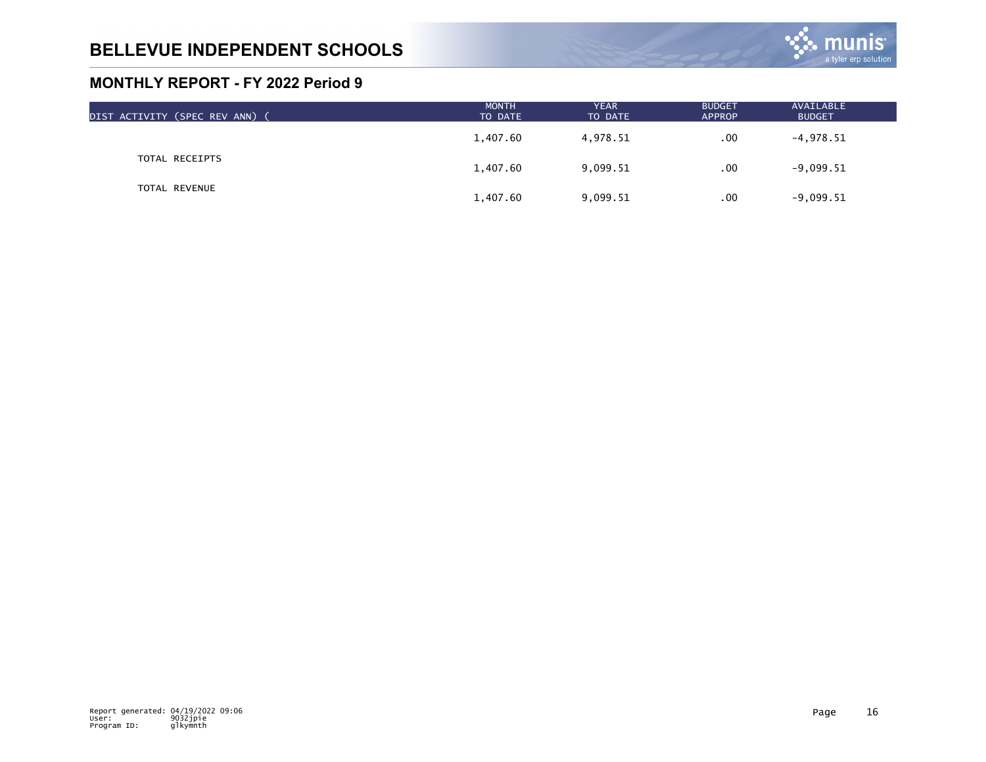

| DIST ACTIVITY (SPEC REV ANN) ( | <b>MONTH</b><br>TO DATE | <b>YEAR</b><br>TO DATE | <b>BUDGET</b><br><b>APPROP</b> | AVAILABLE<br><b>BUDGET</b> |  |
|--------------------------------|-------------------------|------------------------|--------------------------------|----------------------------|--|
|                                | 1,407.60                | 4,978.51               | .00                            | -4,978.51                  |  |
| TOTAL RECEIPTS                 | 1,407.60                | 9,099.51               | .00                            | $-9,099.51$                |  |
| TOTAL REVENUE                  | 1,407.60                | 9,099.51               | .00                            | $-9,099.51$                |  |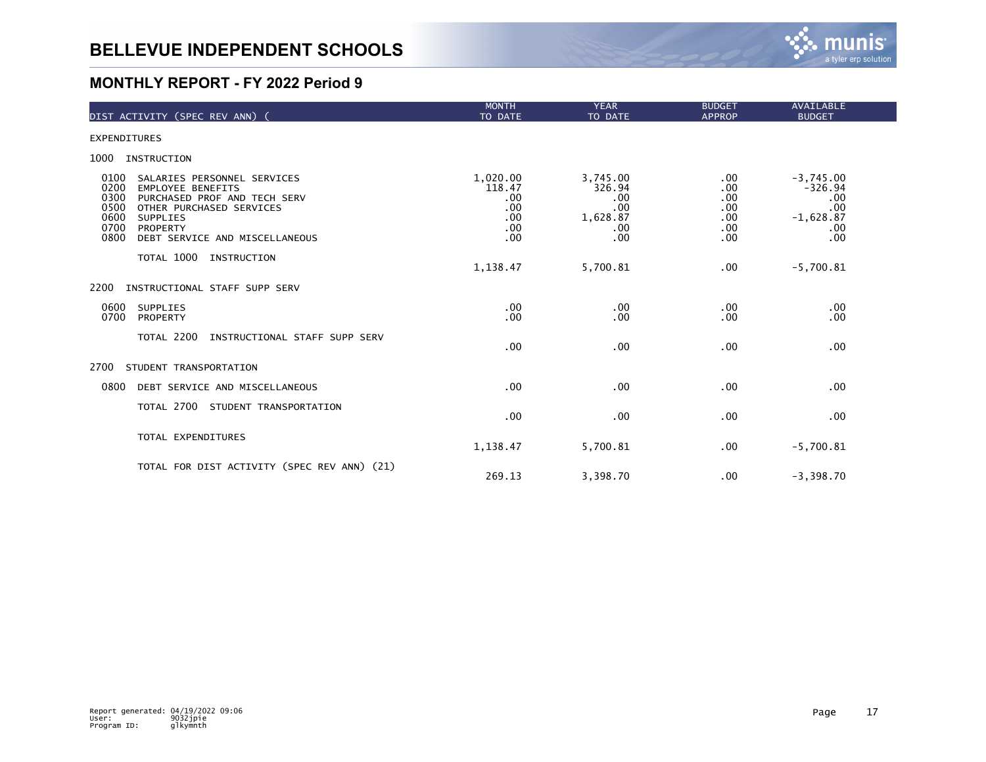

| DIST ACTIVITY (SPEC REV ANN)                                                                                                                                                                                                          | <b>MONTH</b><br>TO DATE                               | <b>YEAR</b><br>TO DATE                                     | <b>BUDGET</b><br><b>APPROP</b>                 | AVAILABLE<br><b>BUDGET</b>                                          |
|---------------------------------------------------------------------------------------------------------------------------------------------------------------------------------------------------------------------------------------|-------------------------------------------------------|------------------------------------------------------------|------------------------------------------------|---------------------------------------------------------------------|
| <b>EXPENDITURES</b>                                                                                                                                                                                                                   |                                                       |                                                            |                                                |                                                                     |
| 1000<br>INSTRUCTION                                                                                                                                                                                                                   |                                                       |                                                            |                                                |                                                                     |
| 0100<br>SALARIES PERSONNEL SERVICES<br>0200<br><b>EMPLOYEE BENEFITS</b><br>0300<br>PURCHASED PROF AND TECH SERV<br>0500<br>OTHER PURCHASED SERVICES<br>0600<br>SUPPLIES<br>0700<br>PROPERTY<br>0800<br>DEBT SERVICE AND MISCELLANEOUS | 1,020.00<br>118.47<br>.00<br>.00<br>.00<br>.00<br>.00 | 3,745.00<br>326.94<br>.00<br>.00<br>1,628.87<br>.00<br>.00 | .00.<br>.00<br>.00<br>.00<br>.00<br>.00<br>.00 | $-3,745.00$<br>$-326.94$<br>.00<br>.00<br>$-1,628.87$<br>.00<br>.00 |
| TOTAL 1000<br>INSTRUCTION                                                                                                                                                                                                             | 1,138.47                                              | 5,700.81                                                   | .00                                            | $-5,700.81$                                                         |
| 2200<br>INSTRUCTIONAL STAFF SUPP SERV                                                                                                                                                                                                 |                                                       |                                                            |                                                |                                                                     |
| 0600<br><b>SUPPLIES</b><br>0700<br>PROPERTY                                                                                                                                                                                           | .00<br>.00                                            | $.00 \,$<br>.00                                            | .00.<br>.00                                    | $.00 \,$<br>.00                                                     |
| TOTAL 2200<br>INSTRUCTIONAL STAFF SUPP SERV                                                                                                                                                                                           | .00                                                   | .00                                                        | .00                                            | .00                                                                 |
| 2700<br>STUDENT TRANSPORTATION                                                                                                                                                                                                        |                                                       |                                                            |                                                |                                                                     |
| 0800<br>DEBT SERVICE AND MISCELLANEOUS                                                                                                                                                                                                | .00                                                   | .00                                                        | .00                                            | .00                                                                 |
| TOTAL 2700<br>STUDENT TRANSPORTATION                                                                                                                                                                                                  | .00                                                   | .00                                                        | .00                                            | .00                                                                 |
| TOTAL EXPENDITURES                                                                                                                                                                                                                    | 1,138.47                                              | 5,700.81                                                   | .00                                            | $-5,700.81$                                                         |
| TOTAL FOR DIST ACTIVITY (SPEC REV ANN) (21)                                                                                                                                                                                           | 269.13                                                | 3,398.70                                                   | .00                                            | $-3,398.70$                                                         |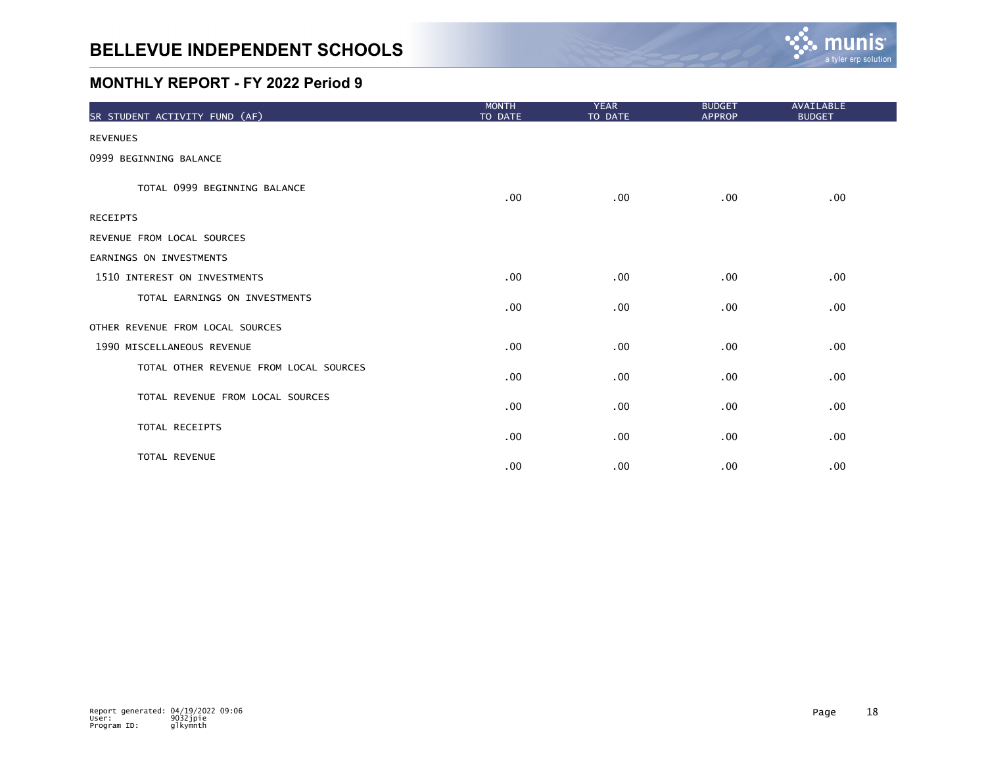## **BELLEVUE INDEPENDENT SCHOOLS**



| SR STUDENT ACTIVITY FUND (AF)          | <b>MONTH</b><br>TO DATE | <b>YEAR</b><br>TO DATE | <b>BUDGET</b><br><b>APPROP</b> | <b>AVAILABLE</b><br><b>BUDGET</b> |  |
|----------------------------------------|-------------------------|------------------------|--------------------------------|-----------------------------------|--|
| <b>REVENUES</b>                        |                         |                        |                                |                                   |  |
| 0999 BEGINNING BALANCE                 |                         |                        |                                |                                   |  |
| TOTAL 0999 BEGINNING BALANCE           | .00.                    | .00                    | .00.                           | .00                               |  |
| RECEIPTS                               |                         |                        |                                |                                   |  |
| REVENUE FROM LOCAL SOURCES             |                         |                        |                                |                                   |  |
| EARNINGS ON INVESTMENTS                |                         |                        |                                |                                   |  |
| 1510 INTEREST ON INVESTMENTS           | .00                     | .00                    | .00                            | .00 <sub>1</sub>                  |  |
| TOTAL EARNINGS ON INVESTMENTS          | .00                     | .00                    | .00                            | $.00 \,$                          |  |
| OTHER REVENUE FROM LOCAL SOURCES       |                         |                        |                                |                                   |  |
| 1990 MISCELLANEOUS REVENUE             | .00                     | .00                    | .00                            | .00                               |  |
| TOTAL OTHER REVENUE FROM LOCAL SOURCES | .00                     | .00                    | .00                            | .00                               |  |
| TOTAL REVENUE FROM LOCAL SOURCES       | .00                     | .00                    | .00                            | .00                               |  |
| TOTAL RECEIPTS                         | .00                     | .00                    | .00                            | .00                               |  |
| TOTAL REVENUE                          | .00                     | .00                    | .00                            | .00                               |  |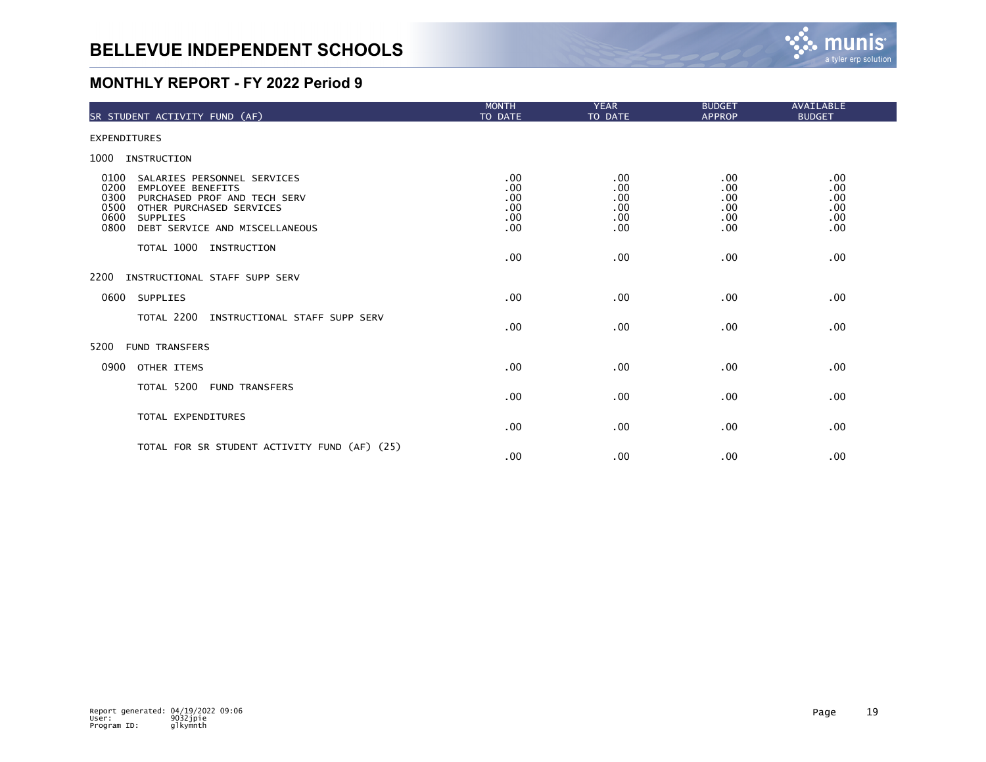

| SR STUDENT ACTIVITY FUND (AF)                                                                                                                                                                                            | <b>MONTH</b><br>TO DATE                | <b>YEAR</b><br>TO DATE                 | <b>BUDGET</b><br><b>APPROP</b>         | AVAILABLE<br><b>BUDGET</b>             |
|--------------------------------------------------------------------------------------------------------------------------------------------------------------------------------------------------------------------------|----------------------------------------|----------------------------------------|----------------------------------------|----------------------------------------|
| <b>EXPENDITURES</b>                                                                                                                                                                                                      |                                        |                                        |                                        |                                        |
| 1000<br>INSTRUCTION                                                                                                                                                                                                      |                                        |                                        |                                        |                                        |
| 0100<br>SALARIES PERSONNEL SERVICES<br>0200<br><b>EMPLOYEE BENEFITS</b><br>0300<br>PURCHASED PROF AND TECH SERV<br>0500<br>OTHER PURCHASED SERVICES<br>0600<br><b>SUPPLIES</b><br>0800<br>DEBT SERVICE AND MISCELLANEOUS | .00<br>.00<br>.00<br>.00<br>.00<br>.00 | .00<br>.00<br>.00<br>.00<br>.00<br>.00 | .00<br>.00<br>.00<br>.00<br>.00<br>.00 | .00<br>.00<br>.00<br>.00<br>.00<br>.00 |
| TOTAL 1000<br>INSTRUCTION                                                                                                                                                                                                | .00                                    | .00                                    | .00                                    | .00                                    |
| 2200<br>INSTRUCTIONAL STAFF SUPP SERV                                                                                                                                                                                    |                                        |                                        |                                        |                                        |
| SUPPLIES<br>0600                                                                                                                                                                                                         | .00                                    | .00                                    | .00                                    | .00                                    |
| TOTAL 2200<br>INSTRUCTIONAL STAFF SUPP SERV                                                                                                                                                                              | .00                                    | .00                                    | .00                                    | .00                                    |
| 5200<br><b>FUND TRANSFERS</b>                                                                                                                                                                                            |                                        |                                        |                                        |                                        |
| 0900<br>OTHER ITEMS                                                                                                                                                                                                      | .00                                    | .00                                    | .00                                    | .00                                    |
| TOTAL 5200 FUND TRANSFERS                                                                                                                                                                                                | .00                                    | .00                                    | .00                                    | .00                                    |
| TOTAL EXPENDITURES                                                                                                                                                                                                       | .00                                    | .00                                    | .00                                    | .00                                    |
| TOTAL FOR SR STUDENT ACTIVITY FUND (AF) (25)                                                                                                                                                                             | .00                                    | .00                                    | .00                                    | .00                                    |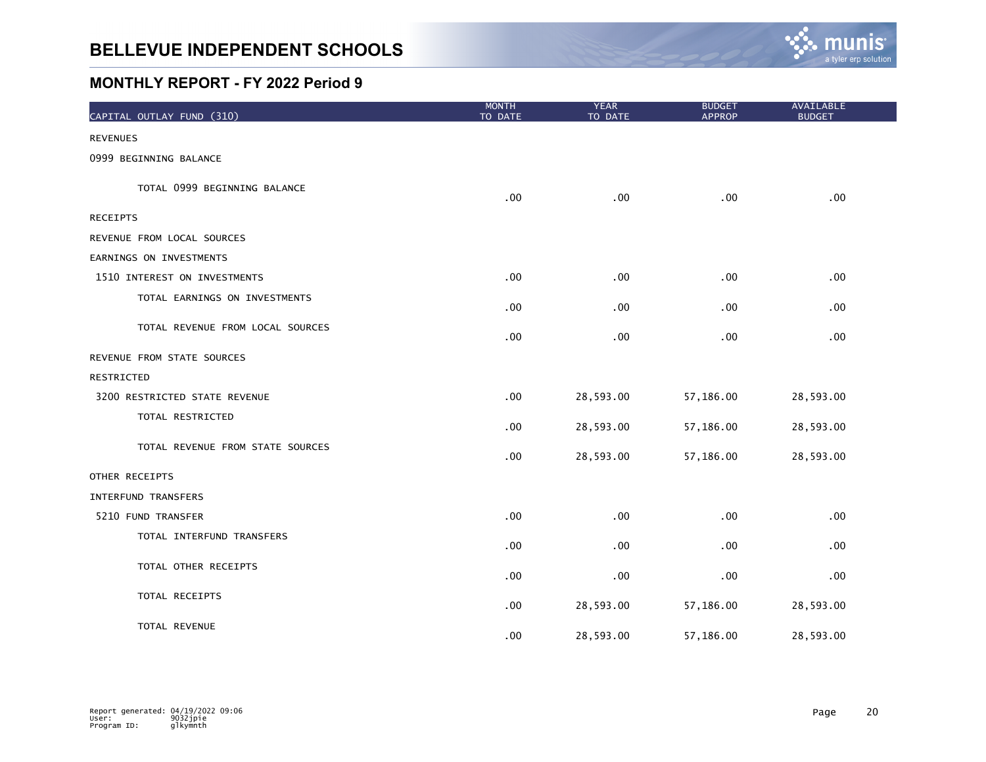# **BELLEVUE INDEPENDENT SCHOOLS**



| CAPITAL OUTLAY FUND (310)        | <b>MONTH</b><br>TO DATE | <b>YEAR</b><br>TO DATE | <b>BUDGET</b><br><b>APPROP</b> | <b>AVAILABLE</b><br><b>BUDGET</b> |
|----------------------------------|-------------------------|------------------------|--------------------------------|-----------------------------------|
| <b>REVENUES</b>                  |                         |                        |                                |                                   |
| 0999 BEGINNING BALANCE           |                         |                        |                                |                                   |
| TOTAL 0999 BEGINNING BALANCE     | .00                     | .00                    | .00                            | .00                               |
| <b>RECEIPTS</b>                  |                         |                        |                                |                                   |
| REVENUE FROM LOCAL SOURCES       |                         |                        |                                |                                   |
| EARNINGS ON INVESTMENTS          |                         |                        |                                |                                   |
| 1510 INTEREST ON INVESTMENTS     | .00                     | .00                    | .00                            | .00                               |
| TOTAL EARNINGS ON INVESTMENTS    | .00                     | .00                    | .00.                           | .00                               |
| TOTAL REVENUE FROM LOCAL SOURCES | .00                     | .00                    | .00                            | .00                               |
| REVENUE FROM STATE SOURCES       |                         |                        |                                |                                   |
| RESTRICTED                       |                         |                        |                                |                                   |
| 3200 RESTRICTED STATE REVENUE    | .00                     | 28,593.00              | 57,186.00                      | 28,593.00                         |
| TOTAL RESTRICTED                 | .00                     | 28,593.00              | 57,186.00                      | 28,593.00                         |
| TOTAL REVENUE FROM STATE SOURCES | .00                     | 28,593.00              | 57,186.00                      | 28,593.00                         |
| OTHER RECEIPTS                   |                         |                        |                                |                                   |
| <b>INTERFUND TRANSFERS</b>       |                         |                        |                                |                                   |
| 5210 FUND TRANSFER               | .00                     | .00                    | .00                            | .00                               |
| TOTAL INTERFUND TRANSFERS        | .00                     | .00                    | .00                            | .00                               |
| TOTAL OTHER RECEIPTS             | .00                     | .00                    | .00                            | .00                               |
| TOTAL RECEIPTS                   | .00                     | 28,593.00              | 57,186.00                      | 28,593.00                         |
| TOTAL REVENUE                    | .00                     | 28,593.00              | 57,186.00                      | 28,593.00                         |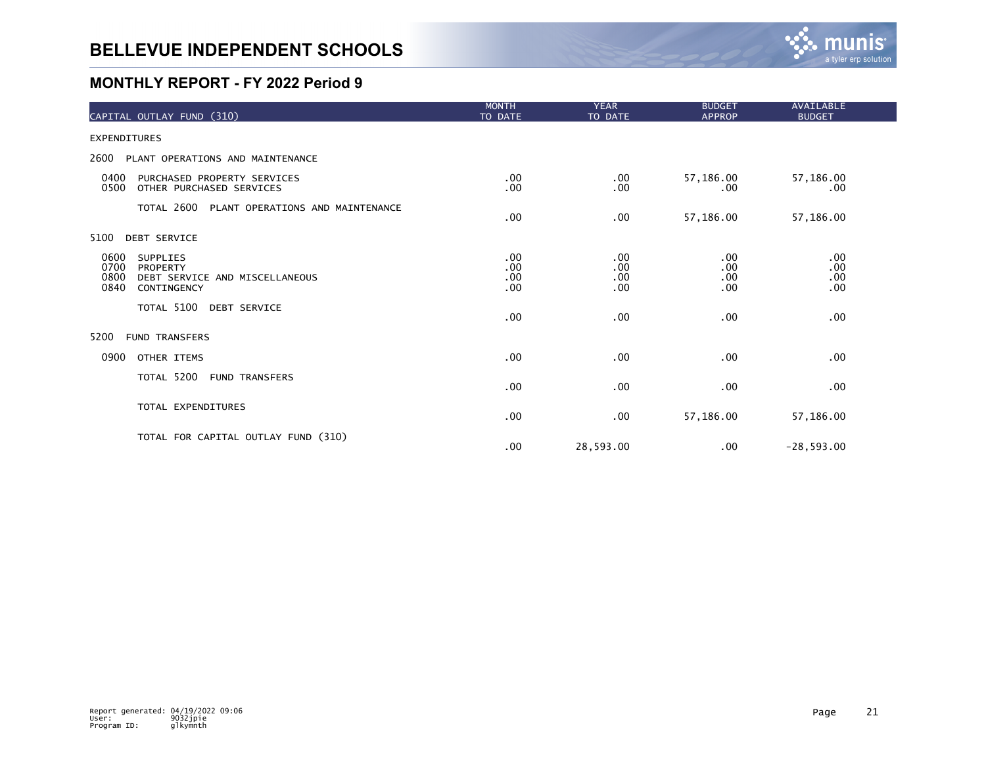

| CAPITAL OUTLAY FUND (310)                                                                                    | <b>MONTH</b><br>TO DATE  | <b>YEAR</b><br>TO DATE   | <b>BUDGET</b><br><b>APPROP</b> | <b>AVAILABLE</b><br><b>BUDGET</b> |  |
|--------------------------------------------------------------------------------------------------------------|--------------------------|--------------------------|--------------------------------|-----------------------------------|--|
| <b>EXPENDITURES</b>                                                                                          |                          |                          |                                |                                   |  |
| 2600<br>PLANT OPERATIONS AND MAINTENANCE                                                                     |                          |                          |                                |                                   |  |
| 0400<br>PURCHASED PROPERTY SERVICES<br>0500<br>OTHER PURCHASED SERVICES                                      | .00<br>.00               | $.00 \,$<br>.00          | 57,186.00<br>.00               | 57,186.00<br>.00                  |  |
| TOTAL 2600 PLANT OPERATIONS AND MAINTENANCE                                                                  | .00                      | .00 <sub>1</sub>         | 57,186.00                      | 57,186.00                         |  |
| <b>DEBT SERVICE</b><br>5100                                                                                  |                          |                          |                                |                                   |  |
| 0600<br><b>SUPPLIES</b><br>0700<br>PROPERTY<br>0800<br>DEBT SERVICE AND MISCELLANEOUS<br>0840<br>CONTINGENCY | .00<br>.00<br>.00<br>.00 | .00<br>.00<br>.00<br>.00 | $.00 \,$<br>.00<br>.00<br>.00. | .00<br>.00<br>.00<br>.00          |  |
| TOTAL 5100<br><b>DEBT SERVICE</b>                                                                            | .00                      | $.00 \,$                 | $.00 \,$                       | .00                               |  |
| 5200<br><b>FUND TRANSFERS</b>                                                                                |                          |                          |                                |                                   |  |
| 0900<br>OTHER ITEMS                                                                                          | .00                      | .00                      | $.00 \,$                       | .00                               |  |
| TOTAL 5200<br><b>FUND TRANSFERS</b>                                                                          | .00                      | .00                      | .00.                           | .00                               |  |
| TOTAL EXPENDITURES                                                                                           | .00                      | .00                      | 57,186.00                      | 57,186.00                         |  |
| TOTAL FOR CAPITAL OUTLAY FUND (310)                                                                          | .00                      | 28,593.00                | .00                            | $-28,593.00$                      |  |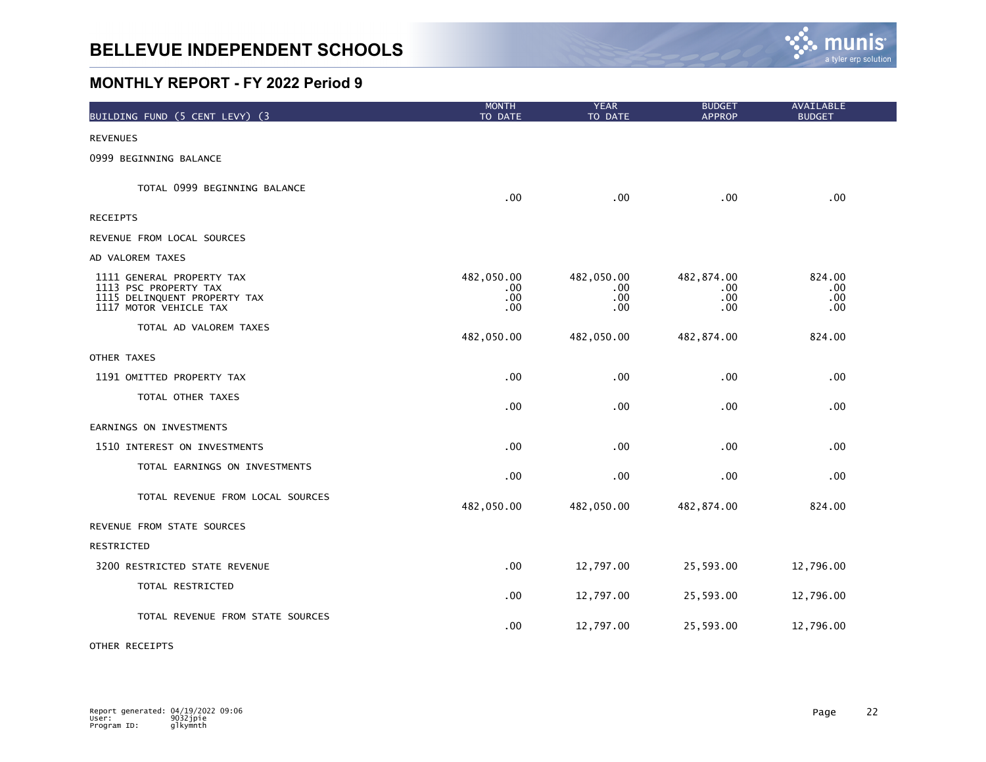

| BUILDING FUND (5 CENT LEVY) (3                                                                               | <b>MONTH</b><br>TO DATE          | <b>YEAR</b><br>TO DATE               | <b>BUDGET</b><br><b>APPROP</b>    | AVAILABLE<br><b>BUDGET</b>  |  |
|--------------------------------------------------------------------------------------------------------------|----------------------------------|--------------------------------------|-----------------------------------|-----------------------------|--|
| <b>REVENUES</b>                                                                                              |                                  |                                      |                                   |                             |  |
| 0999 BEGINNING BALANCE                                                                                       |                                  |                                      |                                   |                             |  |
| TOTAL 0999 BEGINNING BALANCE                                                                                 | .00                              | .00                                  | .00                               | .00                         |  |
| <b>RECEIPTS</b>                                                                                              |                                  |                                      |                                   |                             |  |
| REVENUE FROM LOCAL SOURCES                                                                                   |                                  |                                      |                                   |                             |  |
| AD VALOREM TAXES                                                                                             |                                  |                                      |                                   |                             |  |
| 1111 GENERAL PROPERTY TAX<br>1113 PSC PROPERTY TAX<br>1115 DELINQUENT PROPERTY TAX<br>1117 MOTOR VEHICLE TAX | 482,050.00<br>.00.<br>.00<br>.00 | 482,050.00<br>$.00 \,$<br>.00<br>.00 | 482,874.00<br>.00.<br>.00.<br>.00 | 824.00<br>.00<br>.00<br>.00 |  |
| TOTAL AD VALOREM TAXES                                                                                       | 482,050.00                       | 482,050.00                           | 482,874.00                        | 824.00                      |  |
| OTHER TAXES                                                                                                  |                                  |                                      |                                   |                             |  |
| 1191 OMITTED PROPERTY TAX                                                                                    | .00                              | .00                                  | .00                               | .00                         |  |
| TOTAL OTHER TAXES                                                                                            | .00                              | .00                                  | .00                               | .00                         |  |
| EARNINGS ON INVESTMENTS                                                                                      |                                  |                                      |                                   |                             |  |
| 1510 INTEREST ON INVESTMENTS                                                                                 | .00                              | .00                                  | .00                               | .00                         |  |
| TOTAL EARNINGS ON INVESTMENTS                                                                                | .00                              | .00                                  | .00                               | .00                         |  |
| TOTAL REVENUE FROM LOCAL SOURCES                                                                             | 482,050.00                       | 482,050.00                           | 482,874.00                        | 824.00                      |  |
| REVENUE FROM STATE SOURCES                                                                                   |                                  |                                      |                                   |                             |  |
| RESTRICTED                                                                                                   |                                  |                                      |                                   |                             |  |
| 3200 RESTRICTED STATE REVENUE                                                                                | .00                              | 12,797.00                            | 25,593.00                         | 12,796.00                   |  |
| TOTAL RESTRICTED                                                                                             | .00                              | 12,797.00                            | 25,593.00                         | 12,796.00                   |  |
| TOTAL REVENUE FROM STATE SOURCES                                                                             | .00                              | 12,797.00                            | 25,593.00                         | 12,796.00                   |  |
|                                                                                                              |                                  |                                      |                                   |                             |  |

OTHER RECEIPTS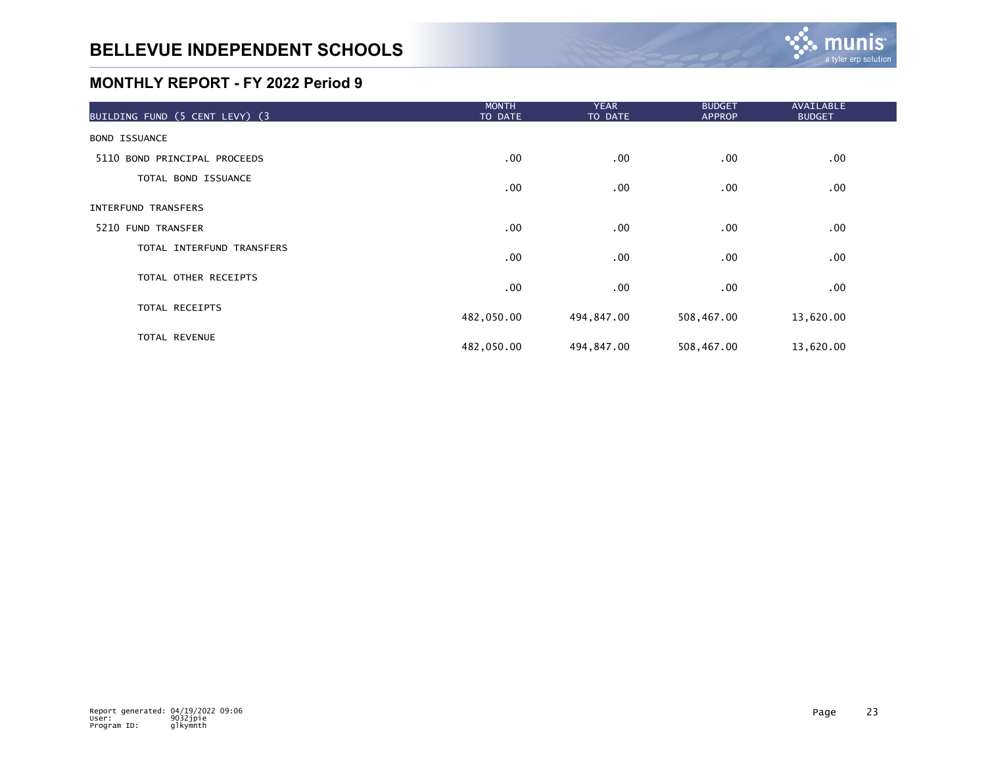| BUILDING FUND (5 CENT LEVY) (3 | <b>MONTH</b><br>TO DATE | <b>YEAR</b><br>TO DATE | <b>BUDGET</b><br><b>APPROP</b> | AVAILABLE<br><b>BUDGET</b> |  |
|--------------------------------|-------------------------|------------------------|--------------------------------|----------------------------|--|
| <b>BOND ISSUANCE</b>           |                         |                        |                                |                            |  |
| 5110 BOND PRINCIPAL PROCEEDS   | .00                     | .00                    | $.00 \,$                       | .00                        |  |
| TOTAL BOND ISSUANCE            | .00                     | .00                    | .00                            | $.00 \times$               |  |
| <b>INTERFUND TRANSFERS</b>     |                         |                        |                                |                            |  |
| 5210 FUND TRANSFER             | .00                     | .00                    | $.00 \,$                       | .00                        |  |
| TOTAL INTERFUND TRANSFERS      | .00                     | .00                    | .00                            | .00                        |  |
| TOTAL OTHER RECEIPTS           | .00                     | .00                    | .00                            | $.00 \times$               |  |
| TOTAL RECEIPTS                 | 482,050.00              | 494,847.00             | 508,467.00                     | 13,620.00                  |  |
| TOTAL REVENUE                  | 482,050.00              | 494,847.00             | 508,467.00                     | 13,620.00                  |  |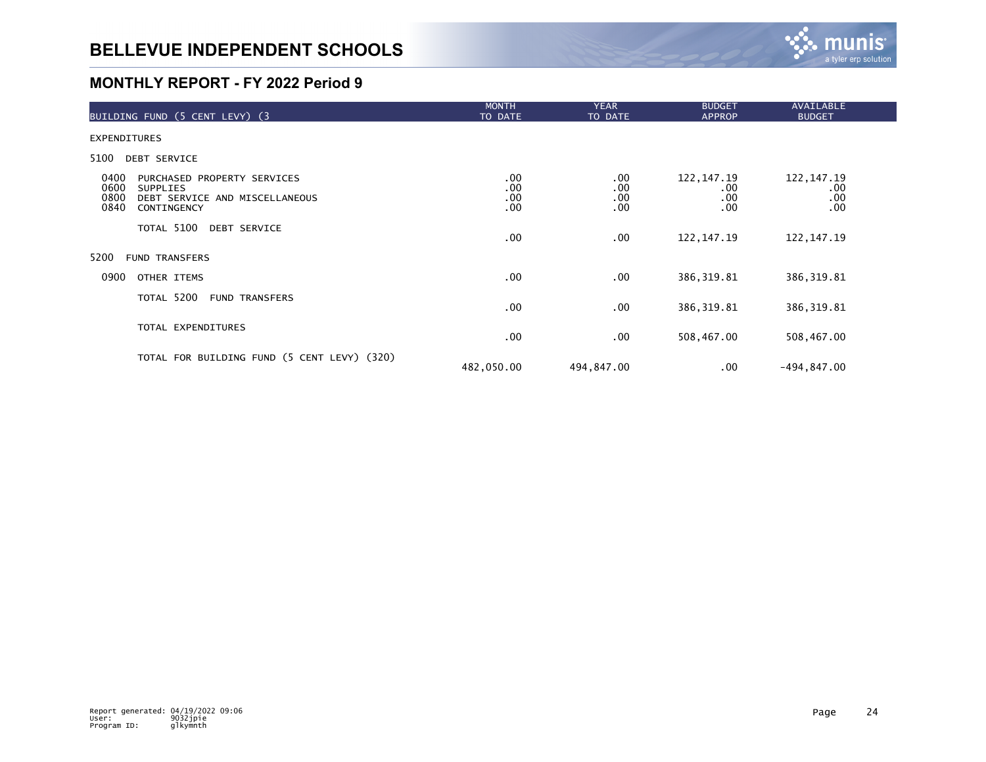

| BUILDING FUND (5 CENT LEVY) (3                                                                                                  | <b>MONTH</b><br>TO DATE  | <b>YEAR</b><br>TO DATE        | <b>BUDGET</b><br><b>APPROP</b>               | AVAILABLE<br><b>BUDGET</b>        |  |
|---------------------------------------------------------------------------------------------------------------------------------|--------------------------|-------------------------------|----------------------------------------------|-----------------------------------|--|
| <b>EXPENDITURES</b>                                                                                                             |                          |                               |                                              |                                   |  |
| 5100<br><b>DEBT SERVICE</b>                                                                                                     |                          |                               |                                              |                                   |  |
| 0400<br>PURCHASED PROPERTY SERVICES<br>0600<br><b>SUPPLIES</b><br>0800<br>DEBT SERVICE AND MISCELLANEOUS<br>0840<br>CONTINGENCY | .00<br>.00<br>.00<br>.00 | $.00 \,$<br>.00<br>.00<br>.00 | 122, 147. 19<br>$.00 \,$<br>$.00 \,$<br>.00. | 122, 147. 19<br>.00<br>.00<br>.00 |  |
| TOTAL 5100<br><b>DEBT SERVICE</b>                                                                                               | $.00 \,$                 | $.00 \,$                      | 122, 147. 19                                 | 122, 147. 19                      |  |
| 5200<br><b>FUND TRANSFERS</b>                                                                                                   |                          |                               |                                              |                                   |  |
| 0900<br>OTHER ITEMS                                                                                                             | $.00 \,$                 | $.00 \,$                      | 386, 319.81                                  | 386, 319.81                       |  |
| TOTAL 5200<br><b>FUND TRANSFERS</b>                                                                                             | $.00 \,$                 | $.00 \,$                      | 386, 319.81                                  | 386, 319.81                       |  |
| TOTAL EXPENDITURES                                                                                                              | $.00 \,$                 | .00                           | 508,467.00                                   | 508,467.00                        |  |
| TOTAL FOR BUILDING FUND (5 CENT LEVY) (320)                                                                                     | 482,050.00               | 494,847.00                    | $.00 \,$                                     | $-494, 847.00$                    |  |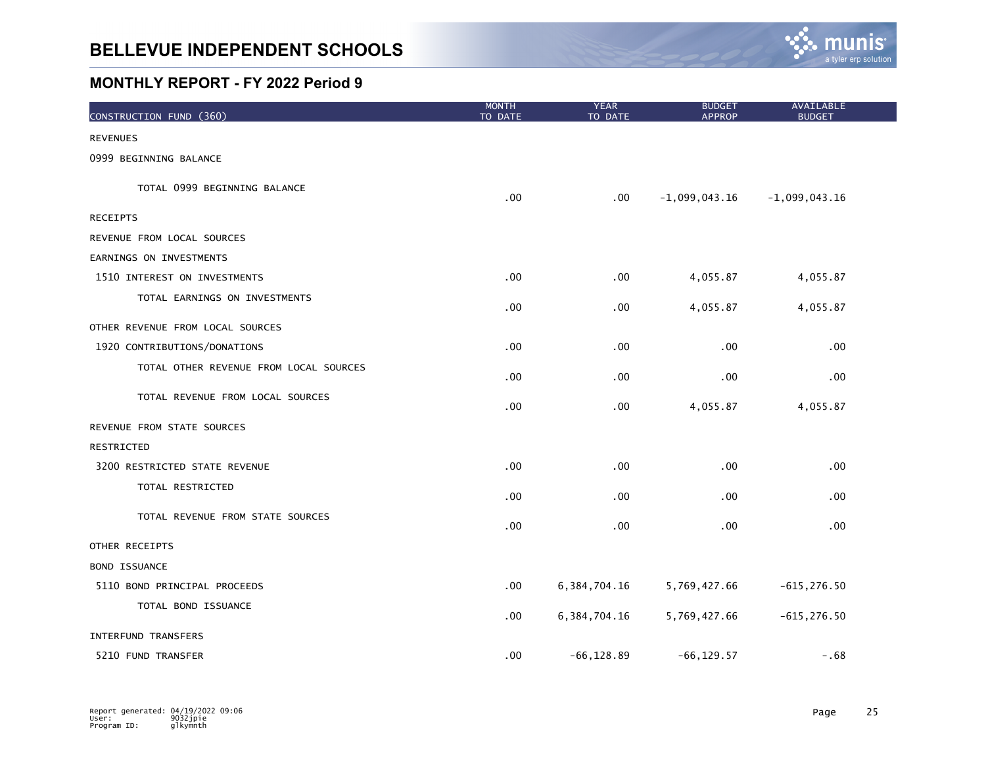

| CONSTRUCTION FUND (360)                | <b>MONTH</b><br>TO DATE | <b>YEAR</b><br>TO DATE | <b>BUDGET</b><br><b>APPROP</b> | AVAILABLE<br><b>BUDGET</b> |  |
|----------------------------------------|-------------------------|------------------------|--------------------------------|----------------------------|--|
| <b>REVENUES</b>                        |                         |                        |                                |                            |  |
| 0999 BEGINNING BALANCE                 |                         |                        |                                |                            |  |
| TOTAL 0999 BEGINNING BALANCE           | .00                     | .00                    | $-1,099,043.16$                | $-1,099,043.16$            |  |
| <b>RECEIPTS</b>                        |                         |                        |                                |                            |  |
| REVENUE FROM LOCAL SOURCES             |                         |                        |                                |                            |  |
| EARNINGS ON INVESTMENTS                |                         |                        |                                |                            |  |
| 1510 INTEREST ON INVESTMENTS           | .00                     | .00                    | 4,055.87                       | 4,055.87                   |  |
| TOTAL EARNINGS ON INVESTMENTS          | .00                     | $.00 \,$               | 4,055.87                       | 4,055.87                   |  |
| OTHER REVENUE FROM LOCAL SOURCES       |                         |                        |                                |                            |  |
| 1920 CONTRIBUTIONS/DONATIONS           | .00                     | .00                    | .00                            | .00                        |  |
| TOTAL OTHER REVENUE FROM LOCAL SOURCES | .00                     | .00 <sub>1</sub>       | .00.                           | .00                        |  |
| TOTAL REVENUE FROM LOCAL SOURCES       | .00                     | $.00 \,$               | 4,055.87                       | 4,055.87                   |  |
| REVENUE FROM STATE SOURCES             |                         |                        |                                |                            |  |
| RESTRICTED                             |                         |                        |                                |                            |  |
| 3200 RESTRICTED STATE REVENUE          | .00                     | .00                    | .00                            | .00                        |  |
| TOTAL RESTRICTED                       | .00                     | .00                    | .00                            | .00                        |  |
| TOTAL REVENUE FROM STATE SOURCES       | .00                     | .00                    | .00                            | .00                        |  |
| OTHER RECEIPTS                         |                         |                        |                                |                            |  |
| <b>BOND ISSUANCE</b>                   |                         |                        |                                |                            |  |
| 5110 BOND PRINCIPAL PROCEEDS           | .00                     | 6, 384, 704. 16        | 5,769,427.66                   | $-615, 276.50$             |  |
| TOTAL BOND ISSUANCE                    | .00                     | 6, 384, 704. 16        | 5,769,427.66                   | $-615, 276.50$             |  |
| <b>INTERFUND TRANSFERS</b>             |                         |                        |                                |                            |  |
| 5210 FUND TRANSFER                     | .00                     | $-66, 128.89$          | $-66, 129.57$                  | $-.68$                     |  |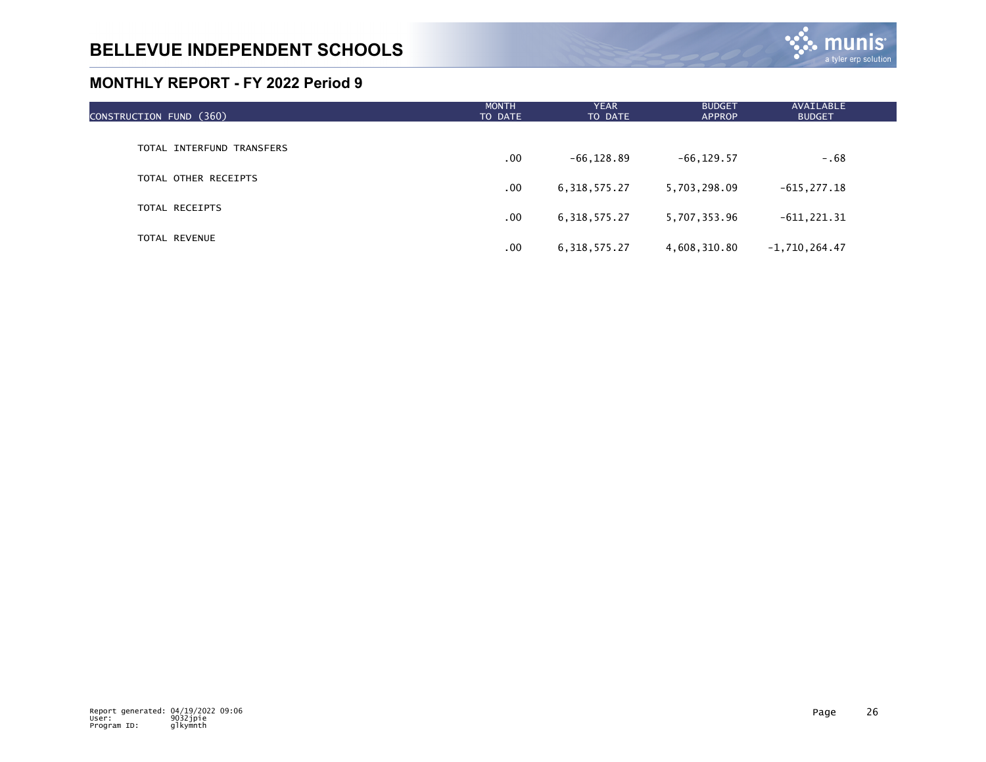

| CONSTRUCTION FUND (360)   | <b>MONTH</b><br>TO DATE | <b>YEAR</b><br>TO DATE | <b>BUDGET</b><br><b>APPROP</b> | <b>AVAILABLE</b><br><b>BUDGET</b> |  |
|---------------------------|-------------------------|------------------------|--------------------------------|-----------------------------------|--|
|                           |                         |                        |                                |                                   |  |
| TOTAL INTERFUND TRANSFERS | .00                     | $-66, 128.89$          | $-66, 129.57$                  | $-0.68$                           |  |
| TOTAL OTHER RECEIPTS      | .00                     | 6, 318, 575.27         | 5,703,298.09                   | $-615, 277.18$                    |  |
|                           |                         |                        |                                |                                   |  |
| TOTAL RECEIPTS            | .00                     | 6, 318, 575. 27        | 5,707,353.96                   | $-611, 221.31$                    |  |
| <b>TOTAL REVENUE</b>      | .00                     | 6, 318, 575.27         | 4,608,310.80                   | $-1,710,264.47$                   |  |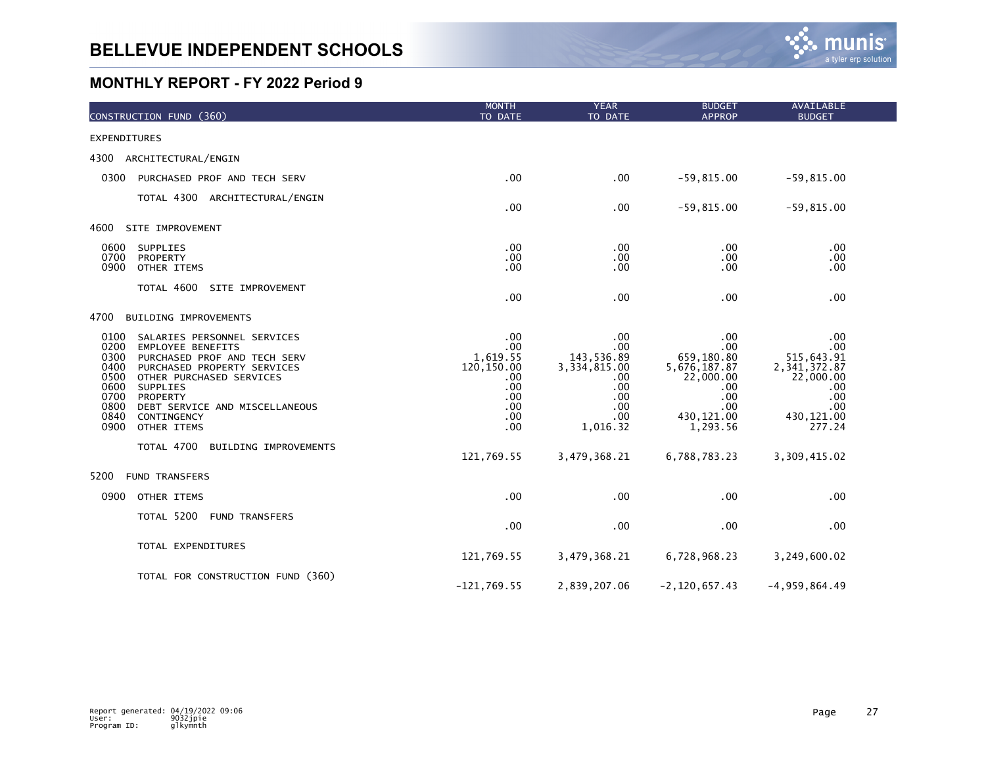

| CONSTRUCTION FUND (360)                                                                                                                                                                                                                                                                                                    | <b>MONTH</b><br>TO DATE                                                         | <b>YEAR</b><br>TO DATE                                                                  | <b>BUDGET</b><br><b>APPROP</b>                                                                          | <b>AVAILABLE</b><br><b>BUDGET</b>                                                                     |
|----------------------------------------------------------------------------------------------------------------------------------------------------------------------------------------------------------------------------------------------------------------------------------------------------------------------------|---------------------------------------------------------------------------------|-----------------------------------------------------------------------------------------|---------------------------------------------------------------------------------------------------------|-------------------------------------------------------------------------------------------------------|
| EXPENDITURES                                                                                                                                                                                                                                                                                                               |                                                                                 |                                                                                         |                                                                                                         |                                                                                                       |
| 4300<br>ARCHITECTURAL/ENGIN                                                                                                                                                                                                                                                                                                |                                                                                 |                                                                                         |                                                                                                         |                                                                                                       |
| 0300<br>PURCHASED PROF AND TECH SERV                                                                                                                                                                                                                                                                                       | .00                                                                             | .00                                                                                     | $-59,815.00$                                                                                            | $-59,815.00$                                                                                          |
| TOTAL 4300 ARCHITECTURAL/ENGIN                                                                                                                                                                                                                                                                                             | .00                                                                             | $.00 \,$                                                                                | $-59,815.00$                                                                                            | $-59,815.00$                                                                                          |
| 4600<br>SITE IMPROVEMENT                                                                                                                                                                                                                                                                                                   |                                                                                 |                                                                                         |                                                                                                         |                                                                                                       |
| 0600<br>SUPPLIES<br>0700<br>PROPERTY<br>0900<br>OTHER ITEMS                                                                                                                                                                                                                                                                | .00<br>.00<br>.00                                                               | .00<br>.00<br>.00                                                                       | $.00 \,$<br>.00<br>.00                                                                                  | .00<br>.00<br>.00                                                                                     |
| TOTAL 4600<br>SITE IMPROVEMENT                                                                                                                                                                                                                                                                                             | .00                                                                             | .00                                                                                     | .00                                                                                                     | .00                                                                                                   |
| 4700<br>BUILDING IMPROVEMENTS                                                                                                                                                                                                                                                                                              |                                                                                 |                                                                                         |                                                                                                         |                                                                                                       |
| 0100<br>SALARIES PERSONNEL SERVICES<br>0200<br><b>EMPLOYEE BENEFITS</b><br>0300<br>PURCHASED PROF AND TECH SERV<br>0400<br>PURCHASED PROPERTY SERVICES<br>0500<br>OTHER PURCHASED SERVICES<br>0600<br>SUPPLIES<br>0700<br>PROPERTY<br>0800<br>DEBT SERVICE AND MISCELLANEOUS<br>0840<br>CONTINGENCY<br>0900<br>OTHER ITEMS | .00<br>.00<br>1,619.55<br>120, 150.00<br>.00<br>.00<br>.00<br>.00<br>.00<br>.00 | .00<br>.00<br>143,536.89<br>3,334,815.00<br>.00<br>.00<br>.00<br>.00<br>.00<br>1,016.32 | .00<br>.00<br>659,180.80<br>5, 676, 187.87<br>22,000.00<br>.00<br>.00<br>.00<br>430, 121.00<br>1,293.56 | .00<br>.00<br>515,643.91<br>2, 341, 372.87<br>22,000.00<br>.00<br>.00<br>.00<br>430, 121.00<br>277.24 |
| TOTAL 4700<br>BUILDING IMPROVEMENTS                                                                                                                                                                                                                                                                                        | 121,769.55                                                                      | 3,479,368.21                                                                            | 6,788,783.23                                                                                            | 3,309,415.02                                                                                          |
| <b>FUND TRANSFERS</b><br>5200                                                                                                                                                                                                                                                                                              |                                                                                 |                                                                                         |                                                                                                         |                                                                                                       |
| 0900<br>OTHER ITEMS                                                                                                                                                                                                                                                                                                        | .00                                                                             | .00                                                                                     | .00                                                                                                     | .00                                                                                                   |
| TOTAL 5200 FUND TRANSFERS                                                                                                                                                                                                                                                                                                  | .00                                                                             | .00                                                                                     | .00                                                                                                     | .00                                                                                                   |
| TOTAL EXPENDITURES                                                                                                                                                                                                                                                                                                         | 121,769.55                                                                      | 3,479,368.21                                                                            | 6,728,968.23                                                                                            | 3,249,600.02                                                                                          |
| TOTAL FOR CONSTRUCTION FUND (360)                                                                                                                                                                                                                                                                                          | $-121,769.55$                                                                   | 2,839,207.06                                                                            | $-2, 120, 657.43$                                                                                       | $-4, 959, 864.49$                                                                                     |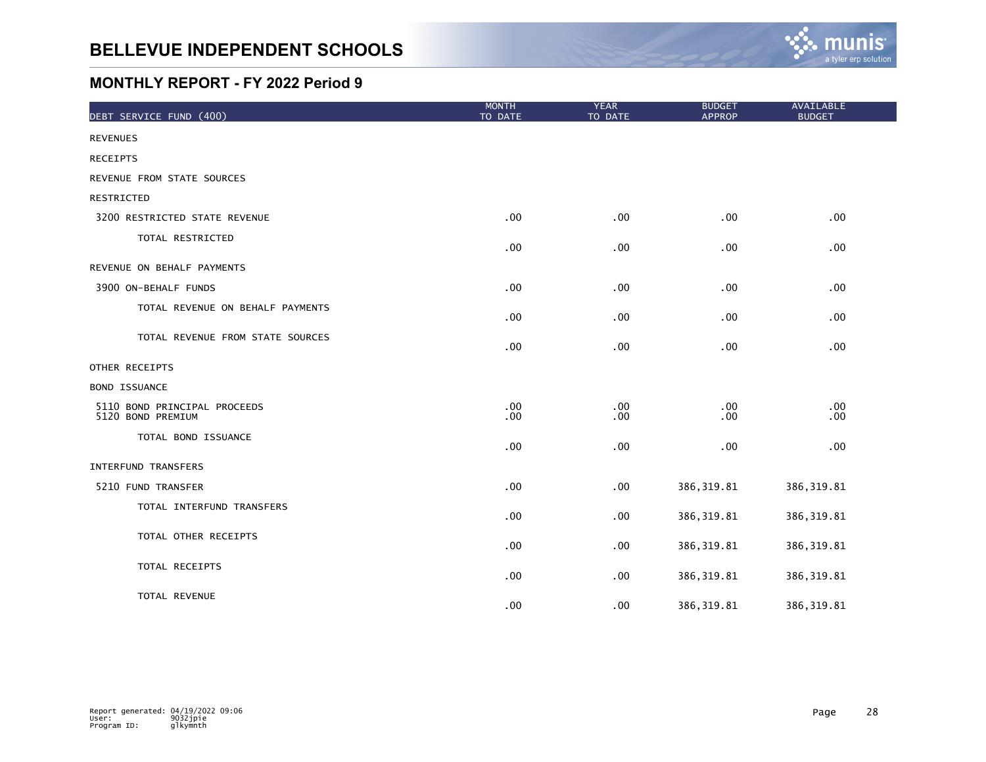

| DEBT SERVICE FUND (400)                           | <b>MONTH</b><br>TO DATE | <b>YEAR</b><br>TO DATE | <b>BUDGET</b><br><b>APPROP</b> | <b>AVAILABLE</b><br><b>BUDGET</b> |
|---------------------------------------------------|-------------------------|------------------------|--------------------------------|-----------------------------------|
| <b>REVENUES</b>                                   |                         |                        |                                |                                   |
| <b>RECEIPTS</b>                                   |                         |                        |                                |                                   |
| REVENUE FROM STATE SOURCES                        |                         |                        |                                |                                   |
| <b>RESTRICTED</b>                                 |                         |                        |                                |                                   |
| 3200 RESTRICTED STATE REVENUE                     | .00                     | .00                    | .00                            | .00                               |
| TOTAL RESTRICTED                                  | .00                     | .00                    | .00                            | .00                               |
| REVENUE ON BEHALF PAYMENTS                        |                         |                        |                                |                                   |
| 3900 ON-BEHALF FUNDS                              | .00                     | .00                    | $.00 \,$                       | .00                               |
| TOTAL REVENUE ON BEHALF PAYMENTS                  | .00                     | .00                    | .00                            | .00                               |
| TOTAL REVENUE FROM STATE SOURCES                  | .00                     | .00                    | .00                            | .00                               |
| OTHER RECEIPTS                                    |                         |                        |                                |                                   |
| <b>BOND ISSUANCE</b>                              |                         |                        |                                |                                   |
| 5110 BOND PRINCIPAL PROCEEDS<br>5120 BOND PREMIUM | .00<br>.00              | .00<br>.00             | .00<br>$.00 \,$                | .00<br>.00                        |
| TOTAL BOND ISSUANCE                               | .00                     | .00                    | .00                            | .00                               |
| INTERFUND TRANSFERS                               |                         |                        |                                |                                   |
| 5210 FUND TRANSFER                                | .00                     | .00                    | 386, 319.81                    | 386, 319.81                       |
| TOTAL INTERFUND TRANSFERS                         | .00                     | .00                    | 386, 319.81                    | 386, 319.81                       |
| TOTAL OTHER RECEIPTS                              | .00                     | .00                    | 386, 319.81                    | 386, 319.81                       |
| TOTAL RECEIPTS                                    | .00                     | .00                    | 386, 319.81                    | 386, 319.81                       |
| TOTAL REVENUE                                     | .00                     | .00                    | 386, 319.81                    | 386, 319.81                       |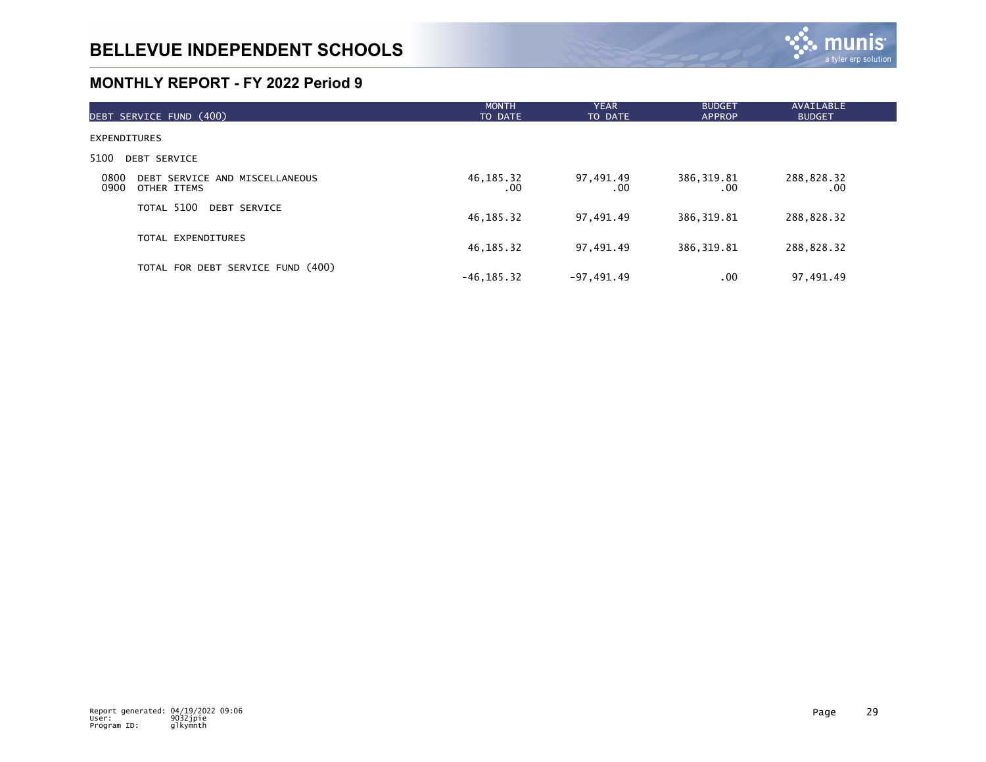

| DEBT SERVICE FUND (400)                                       | <b>MONTH</b><br>TO DATE | <b>YEAR</b><br>TO DATE | <b>BUDGET</b><br><b>APPROP</b> | AVAILABLE<br><b>BUDGET</b> |
|---------------------------------------------------------------|-------------------------|------------------------|--------------------------------|----------------------------|
| <b>EXPENDITURES</b>                                           |                         |                        |                                |                            |
| 5100<br><b>DEBT SERVICE</b>                                   |                         |                        |                                |                            |
| 0800<br>DEBT SERVICE AND MISCELLANEOUS<br>0900<br>OTHER ITEMS | 46,185.32<br>.00        | 97,491.49<br>.00       | 386, 319.81<br>.00             | 288,828.32<br>.00          |
| TOTAL 5100<br><b>DEBT SERVICE</b>                             | 46,185.32               | 97,491.49              | 386, 319.81                    | 288,828.32                 |
| TOTAL EXPENDITURES                                            | 46,185.32               | 97,491.49              | 386, 319.81                    | 288,828.32                 |
| TOTAL FOR DEBT SERVICE FUND (400)                             | $-46, 185.32$           | $-97,491.49$           | .00                            | 97,491.49                  |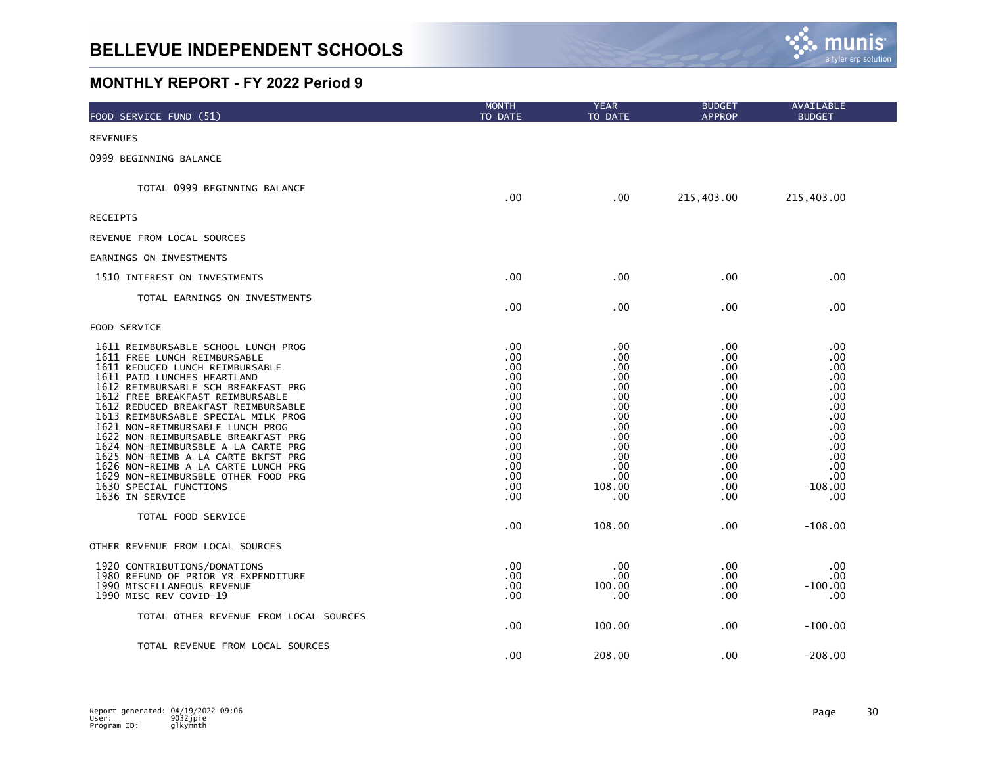

| FOOD SERVICE FUND (51)                                                                                                                                                                                                                                                                                                                                                                                                                                                                                                                                                                                   | <b>MONTH</b><br>TO DATE                                                                                                  | <b>YEAR</b><br>TO DATE                                                                                                    | <b>BUDGET</b><br><b>APPROP</b>                                                                                      | AVAILABLE<br><b>BUDGET</b>                                                                                                      |
|----------------------------------------------------------------------------------------------------------------------------------------------------------------------------------------------------------------------------------------------------------------------------------------------------------------------------------------------------------------------------------------------------------------------------------------------------------------------------------------------------------------------------------------------------------------------------------------------------------|--------------------------------------------------------------------------------------------------------------------------|---------------------------------------------------------------------------------------------------------------------------|---------------------------------------------------------------------------------------------------------------------|---------------------------------------------------------------------------------------------------------------------------------|
| <b>REVENUES</b>                                                                                                                                                                                                                                                                                                                                                                                                                                                                                                                                                                                          |                                                                                                                          |                                                                                                                           |                                                                                                                     |                                                                                                                                 |
| 0999 BEGINNING BALANCE                                                                                                                                                                                                                                                                                                                                                                                                                                                                                                                                                                                   |                                                                                                                          |                                                                                                                           |                                                                                                                     |                                                                                                                                 |
| TOTAL 0999 BEGINNING BALANCE                                                                                                                                                                                                                                                                                                                                                                                                                                                                                                                                                                             | .00                                                                                                                      | $.00 \,$                                                                                                                  | 215,403.00                                                                                                          | 215,403.00                                                                                                                      |
| <b>RECEIPTS</b>                                                                                                                                                                                                                                                                                                                                                                                                                                                                                                                                                                                          |                                                                                                                          |                                                                                                                           |                                                                                                                     |                                                                                                                                 |
| REVENUE FROM LOCAL SOURCES                                                                                                                                                                                                                                                                                                                                                                                                                                                                                                                                                                               |                                                                                                                          |                                                                                                                           |                                                                                                                     |                                                                                                                                 |
| EARNINGS ON INVESTMENTS                                                                                                                                                                                                                                                                                                                                                                                                                                                                                                                                                                                  |                                                                                                                          |                                                                                                                           |                                                                                                                     |                                                                                                                                 |
| 1510 INTEREST ON INVESTMENTS                                                                                                                                                                                                                                                                                                                                                                                                                                                                                                                                                                             | .00                                                                                                                      | .00                                                                                                                       | .00                                                                                                                 | .00.                                                                                                                            |
| TOTAL EARNINGS ON INVESTMENTS                                                                                                                                                                                                                                                                                                                                                                                                                                                                                                                                                                            | .00                                                                                                                      | .00                                                                                                                       | .00                                                                                                                 | .00                                                                                                                             |
| FOOD SERVICE                                                                                                                                                                                                                                                                                                                                                                                                                                                                                                                                                                                             |                                                                                                                          |                                                                                                                           |                                                                                                                     |                                                                                                                                 |
| 1611 REIMBURSABLE SCHOOL LUNCH PROG<br>1611 FREE LUNCH REIMBURSABLE<br>1611 REDUCED LUNCH REIMBURSABLE<br>1611 PAID LUNCHES HEARTLAND<br>1612 REIMBURSABLE SCH BREAKFAST PRG<br>1612 FREE BREAKFAST REIMBURSABLE<br>1612 REDUCED BREAKFAST REIMBURSABLE<br>1613 REIMBURSABLE SPECIAL MILK PROG<br>1621 NON-REIMBURSABLE LUNCH PROG<br>1622 NON-REIMBURSABLE BREAKFAST PRG<br>1624 NON-REIMBURSBLE A LA CARTE PRG<br>1625 NON-REIMB A LA CARTE BKFST PRG<br>1626 NON-REIMB A LA CARTE LUNCH PRG<br>1629 NON-REIMBURSBLE OTHER FOOD PRG<br>1630 SPECIAL FUNCTIONS<br>1636 IN SERVICE<br>TOTAL FOOD SERVICE | .00<br>.00<br>.00<br>.00<br>.00<br>.00<br>.00.<br>.00<br>.00<br>.00.<br>.00<br>.00<br>.00.<br>.00<br>.00<br>.00.<br>.00. | .00<br>.00<br>.00<br>.00<br>.00<br>.00<br>.00<br>.00<br>.00<br>.00<br>.00<br>.00<br>.00<br>.00<br>108.00<br>.00<br>108.00 | .00<br>.00<br>.00<br>.00<br>.00<br>.00<br>.00<br>.00<br>.00<br>.00<br>.00<br>.00<br>.00<br>.00<br>.00<br>.00<br>.00 | .00<br>.00<br>.00<br>.00<br>.00<br>.00<br>.00<br>.00<br>.00<br>.00<br>.00<br>.00<br>.00<br>.00<br>$-108.00$<br>.00<br>$-108.00$ |
| OTHER REVENUE FROM LOCAL SOURCES                                                                                                                                                                                                                                                                                                                                                                                                                                                                                                                                                                         |                                                                                                                          |                                                                                                                           |                                                                                                                     |                                                                                                                                 |
| 1920 CONTRIBUTIONS/DONATIONS<br>1980 REFUND OF PRIOR YR EXPENDITURE<br>1990 MISCELLANEOUS REVENUE<br>1990 MISC REV COVID-19                                                                                                                                                                                                                                                                                                                                                                                                                                                                              | .00<br>.00<br>.00<br>.00                                                                                                 | .00<br>.00<br>100.00<br>.00                                                                                               | .00<br>.00<br>.00<br>.00                                                                                            | .00<br>.00<br>$-100.00$<br>.00                                                                                                  |
| TOTAL OTHER REVENUE FROM LOCAL SOURCES                                                                                                                                                                                                                                                                                                                                                                                                                                                                                                                                                                   | .00                                                                                                                      | 100.00                                                                                                                    | .00                                                                                                                 | $-100.00$                                                                                                                       |
| TOTAL REVENUE FROM LOCAL SOURCES                                                                                                                                                                                                                                                                                                                                                                                                                                                                                                                                                                         | .00                                                                                                                      | 208.00                                                                                                                    | .00                                                                                                                 | $-208.00$                                                                                                                       |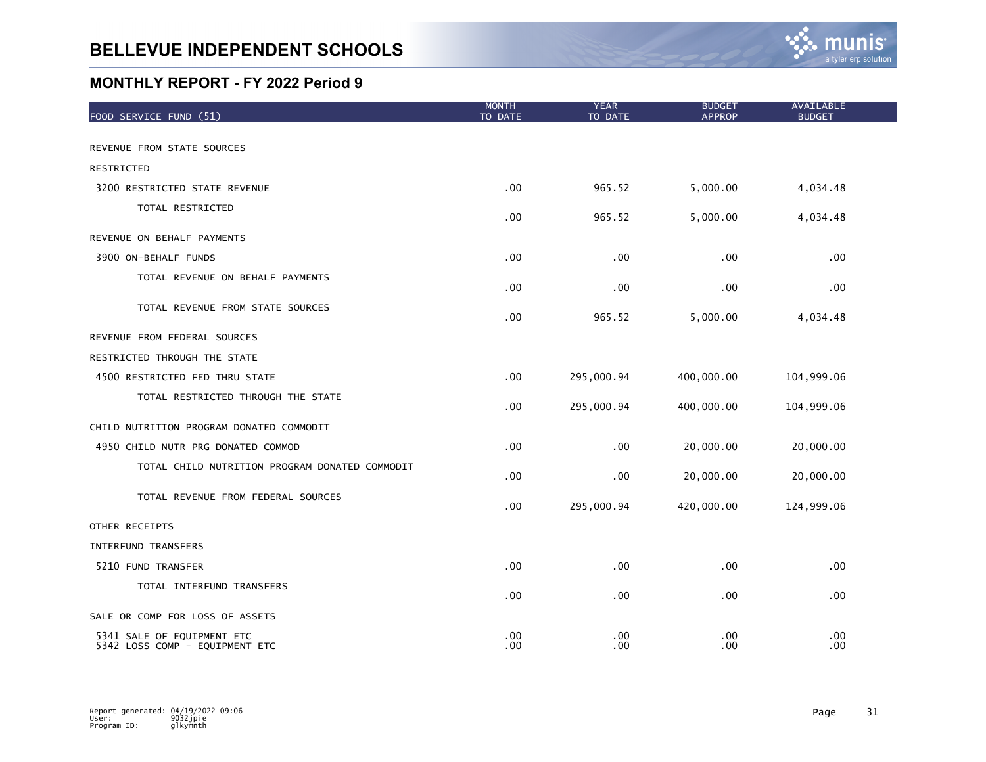

| FOOD SERVICE FUND (51)                                       | <b>MONTH</b><br>TO DATE | <b>YEAR</b><br>TO DATE | <b>BUDGET</b><br><b>APPROP</b> | AVAILABLE<br><b>BUDGET</b> |  |
|--------------------------------------------------------------|-------------------------|------------------------|--------------------------------|----------------------------|--|
|                                                              |                         |                        |                                |                            |  |
| REVENUE FROM STATE SOURCES                                   |                         |                        |                                |                            |  |
| RESTRICTED                                                   |                         |                        |                                |                            |  |
| 3200 RESTRICTED STATE REVENUE                                | .00                     | 965.52                 | 5,000.00                       | 4,034.48                   |  |
| TOTAL RESTRICTED                                             | .00                     | 965.52                 | 5,000.00                       | 4,034.48                   |  |
| REVENUE ON BEHALF PAYMENTS                                   |                         |                        |                                |                            |  |
| 3900 ON-BEHALF FUNDS                                         | .00                     | .00                    | .00                            | .00                        |  |
| TOTAL REVENUE ON BEHALF PAYMENTS                             | .00                     | .00                    | .00                            | .00                        |  |
| TOTAL REVENUE FROM STATE SOURCES                             | .00                     | 965.52                 | 5,000.00                       | 4,034.48                   |  |
| REVENUE FROM FEDERAL SOURCES                                 |                         |                        |                                |                            |  |
| RESTRICTED THROUGH THE STATE                                 |                         |                        |                                |                            |  |
| 4500 RESTRICTED FED THRU STATE                               | .00                     | 295,000.94             | 400,000.00                     | 104,999.06                 |  |
| TOTAL RESTRICTED THROUGH THE STATE                           | .00                     | 295,000.94             | 400,000.00                     | 104,999.06                 |  |
| CHILD NUTRITION PROGRAM DONATED COMMODIT                     |                         |                        |                                |                            |  |
| 4950 CHILD NUTR PRG DONATED COMMOD                           | .00                     | .00                    | 20,000.00                      | 20,000.00                  |  |
| TOTAL CHILD NUTRITION PROGRAM DONATED COMMODIT               | .00                     | .00                    | 20,000.00                      | 20,000.00                  |  |
| TOTAL REVENUE FROM FEDERAL SOURCES                           | .00                     | 295,000.94             | 420,000.00                     | 124,999.06                 |  |
| OTHER RECEIPTS                                               |                         |                        |                                |                            |  |
| INTERFUND TRANSFERS                                          |                         |                        |                                |                            |  |
| 5210 FUND TRANSFER                                           | .00                     | .00                    | .00                            | .00                        |  |
| TOTAL INTERFUND TRANSFERS                                    | .00                     | .00                    | .00                            | .00                        |  |
| SALE OR COMP FOR LOSS OF ASSETS                              |                         |                        |                                |                            |  |
| 5341 SALE OF EQUIPMENT ETC<br>5342 LOSS COMP - EQUIPMENT ETC | .00<br>.00              | .00<br>.00             | .00<br>.00                     | .00<br>.00                 |  |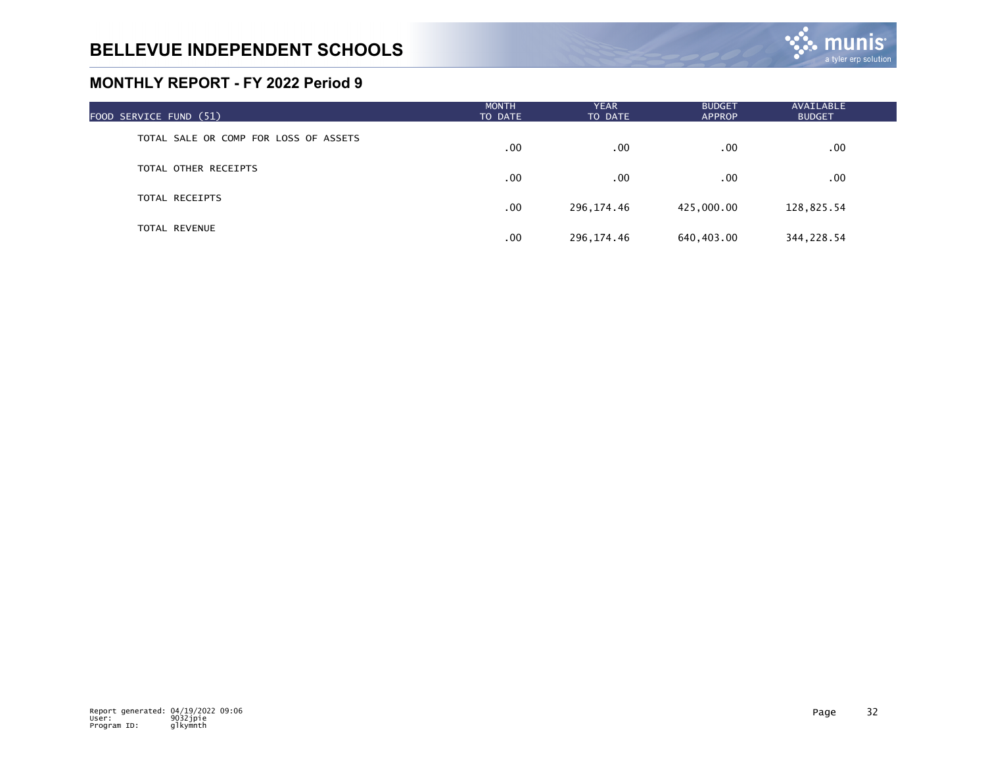

| FOOD SERVICE FUND (51)                | <b>MONTH</b><br>TO DATE | <b>YEAR</b><br>TO DATE | <b>BUDGET</b><br><b>APPROP</b> | AVAILABLE<br><b>BUDGET</b> |  |
|---------------------------------------|-------------------------|------------------------|--------------------------------|----------------------------|--|
| TOTAL SALE OR COMP FOR LOSS OF ASSETS | $.00 \times$            | $.00 \,$               | .00                            | .00.                       |  |
| TOTAL OTHER RECEIPTS                  | .00                     | .00 <sub>1</sub>       | .00                            | .00.                       |  |
| TOTAL RECEIPTS                        | $.00 \times$            | 296,174.46             | 425,000.00                     | 128,825.54                 |  |
| TOTAL REVENUE                         | .00                     | 296,174.46             | 640,403.00                     | 344,228.54                 |  |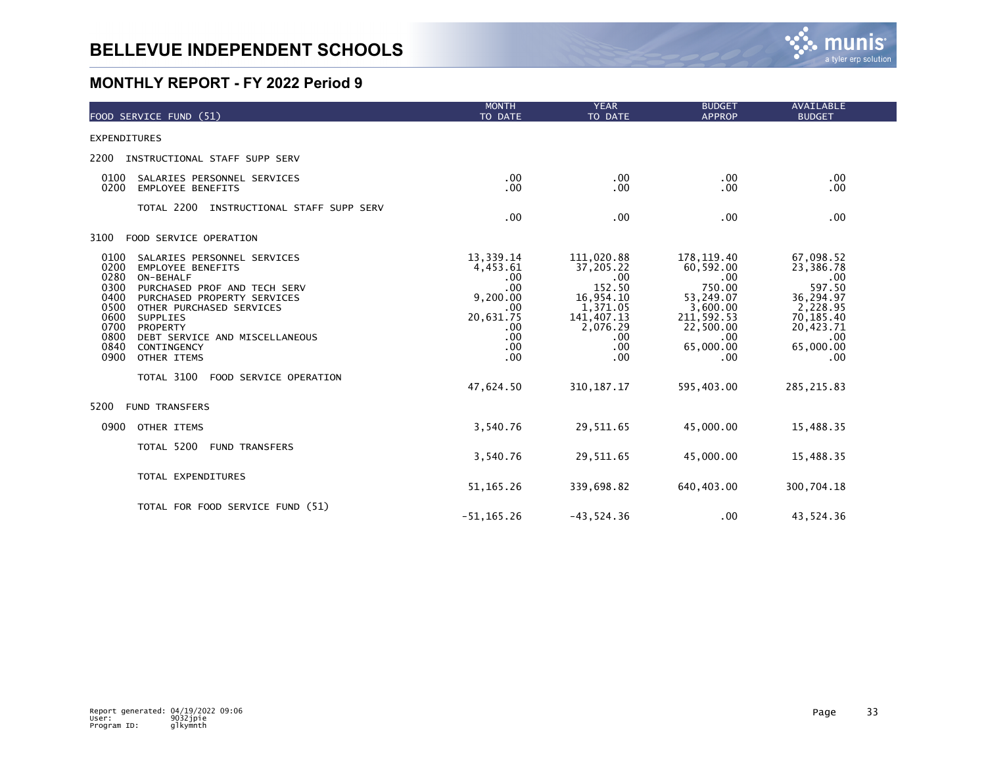

| FOOD SERVICE FUND (51)                                                                                                                                                                                                                                                                                                                                                                         | <b>MONTH</b><br>TO DATE                                                                         | <b>YEAR</b><br>TO DATE                                                                                             | <b>BUDGET</b><br><b>APPROP</b>                                                                                             | AVAILABLE<br><b>BUDGET</b>                                                                                             |  |
|------------------------------------------------------------------------------------------------------------------------------------------------------------------------------------------------------------------------------------------------------------------------------------------------------------------------------------------------------------------------------------------------|-------------------------------------------------------------------------------------------------|--------------------------------------------------------------------------------------------------------------------|----------------------------------------------------------------------------------------------------------------------------|------------------------------------------------------------------------------------------------------------------------|--|
| <b>EXPENDITURES</b>                                                                                                                                                                                                                                                                                                                                                                            |                                                                                                 |                                                                                                                    |                                                                                                                            |                                                                                                                        |  |
| 2200<br>INSTRUCTIONAL STAFF SUPP SERV                                                                                                                                                                                                                                                                                                                                                          |                                                                                                 |                                                                                                                    |                                                                                                                            |                                                                                                                        |  |
| 0100<br>SALARIES PERSONNEL SERVICES<br>0200<br><b>EMPLOYEE BENEFITS</b>                                                                                                                                                                                                                                                                                                                        | $.00 \times$<br>$.00 \times$                                                                    | $.00 \,$<br>.00                                                                                                    | .00<br>.00                                                                                                                 | $.00 \,$<br>$.00 \times$                                                                                               |  |
| TOTAL 2200<br>INSTRUCTIONAL STAFF SUPP SERV                                                                                                                                                                                                                                                                                                                                                    | .00                                                                                             | .00                                                                                                                | .00                                                                                                                        | .00                                                                                                                    |  |
| 3100<br>FOOD SERVICE OPERATION                                                                                                                                                                                                                                                                                                                                                                 |                                                                                                 |                                                                                                                    |                                                                                                                            |                                                                                                                        |  |
| 0100<br>SALARIES PERSONNEL SERVICES<br>0200<br><b>EMPLOYEE BENEFITS</b><br>0280<br>ON-BEHALF<br>0300<br>PURCHASED PROF AND TECH SERV<br>0400<br>PURCHASED PROPERTY SERVICES<br>0500<br>OTHER PURCHASED SERVICES<br>0600<br><b>SUPPLIES</b><br>0700<br>PROPERTY<br>0800<br>DEBT SERVICE AND MISCELLANEOUS<br>0840<br>CONTINGENCY<br>0900<br>OTHER ITEMS<br>TOTAL 3100<br>FOOD SERVICE OPERATION | 13,339.14<br>4,453.61<br>.00<br>.00<br>9,200.00<br>.00<br>20,631.75<br>.00<br>.00<br>.00<br>.00 | 111,020.88<br>37,205.22<br>.00<br>152.50<br>16,954.10<br>1,371.05<br>141, 407. 13<br>2,076.29<br>.00<br>.00<br>.00 | 178, 119.40<br>60,592.00<br>.00<br>750.00<br>53,249.07<br>3,600.00<br>211, 592.53<br>22,500.00<br>.00.<br>65,000.00<br>.00 | 67,098.52<br>23,386.78<br>.00<br>597.50<br>36,294.97<br>2,228.95<br>70,185.40<br>20,423.71<br>.00.<br>65,000.00<br>.00 |  |
|                                                                                                                                                                                                                                                                                                                                                                                                | 47,624.50                                                                                       | 310, 187. 17                                                                                                       | 595,403.00                                                                                                                 | 285, 215.83                                                                                                            |  |
| 5200<br><b>FUND TRANSFERS</b>                                                                                                                                                                                                                                                                                                                                                                  |                                                                                                 |                                                                                                                    |                                                                                                                            |                                                                                                                        |  |
| 0900<br>OTHER ITEMS                                                                                                                                                                                                                                                                                                                                                                            | 3,540.76                                                                                        | 29,511.65                                                                                                          | 45,000.00                                                                                                                  | 15,488.35                                                                                                              |  |
| TOTAL 5200<br><b>FUND TRANSFERS</b>                                                                                                                                                                                                                                                                                                                                                            | 3,540.76                                                                                        | 29,511.65                                                                                                          | 45,000.00                                                                                                                  | 15,488.35                                                                                                              |  |
| TOTAL EXPENDITURES                                                                                                                                                                                                                                                                                                                                                                             | 51, 165. 26                                                                                     | 339,698.82                                                                                                         | 640,403.00                                                                                                                 | 300,704.18                                                                                                             |  |
| TOTAL FOR FOOD SERVICE FUND (51)                                                                                                                                                                                                                                                                                                                                                               | $-51, 165.26$                                                                                   | $-43,524.36$                                                                                                       | .00                                                                                                                        | 43,524.36                                                                                                              |  |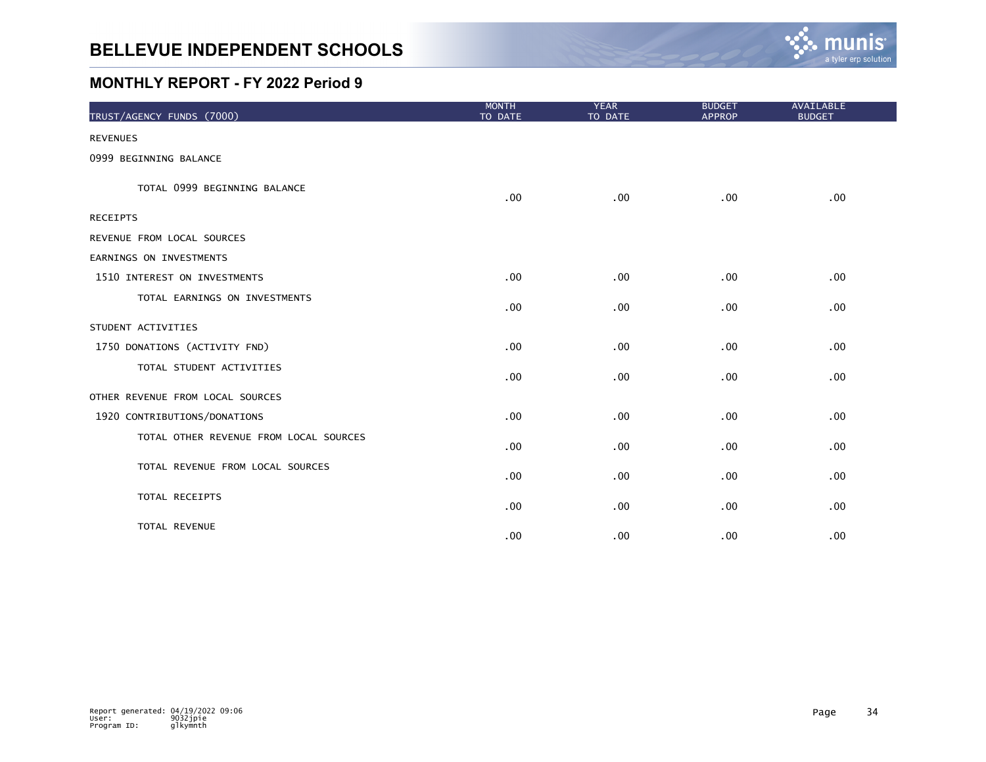

| TRUST/AGENCY FUNDS (7000)              | <b>MONTH</b><br>TO DATE | <b>YEAR</b><br>TO DATE | <b>BUDGET</b><br><b>APPROP</b> | AVAILABLE<br><b>BUDGET</b> |
|----------------------------------------|-------------------------|------------------------|--------------------------------|----------------------------|
| <b>REVENUES</b>                        |                         |                        |                                |                            |
| 0999 BEGINNING BALANCE                 |                         |                        |                                |                            |
| TOTAL 0999 BEGINNING BALANCE           | .00                     | .00                    | .00                            | .00                        |
| <b>RECEIPTS</b>                        |                         |                        |                                |                            |
| REVENUE FROM LOCAL SOURCES             |                         |                        |                                |                            |
| EARNINGS ON INVESTMENTS                |                         |                        |                                |                            |
| 1510 INTEREST ON INVESTMENTS           | .00                     | .00                    | .00                            | .00                        |
| TOTAL EARNINGS ON INVESTMENTS          | .00                     | .00                    | .00                            | .00                        |
| STUDENT ACTIVITIES                     |                         |                        |                                |                            |
| 1750 DONATIONS (ACTIVITY FND)          | .00                     | .00                    | .00                            | .00                        |
| TOTAL STUDENT ACTIVITIES               | .00                     | .00                    | $.00 \,$                       | .00                        |
| OTHER REVENUE FROM LOCAL SOURCES       |                         |                        |                                |                            |
| 1920 CONTRIBUTIONS/DONATIONS           | .00                     | .00                    | .00                            | .00                        |
| TOTAL OTHER REVENUE FROM LOCAL SOURCES | .00                     | .00                    | .00                            | .00                        |
| TOTAL REVENUE FROM LOCAL SOURCES       | .00                     | .00                    | .00                            | .00                        |
| TOTAL RECEIPTS                         | .00                     | .00                    | .00                            | .00                        |
| TOTAL REVENUE                          | .00                     | .00                    | .00                            | .00                        |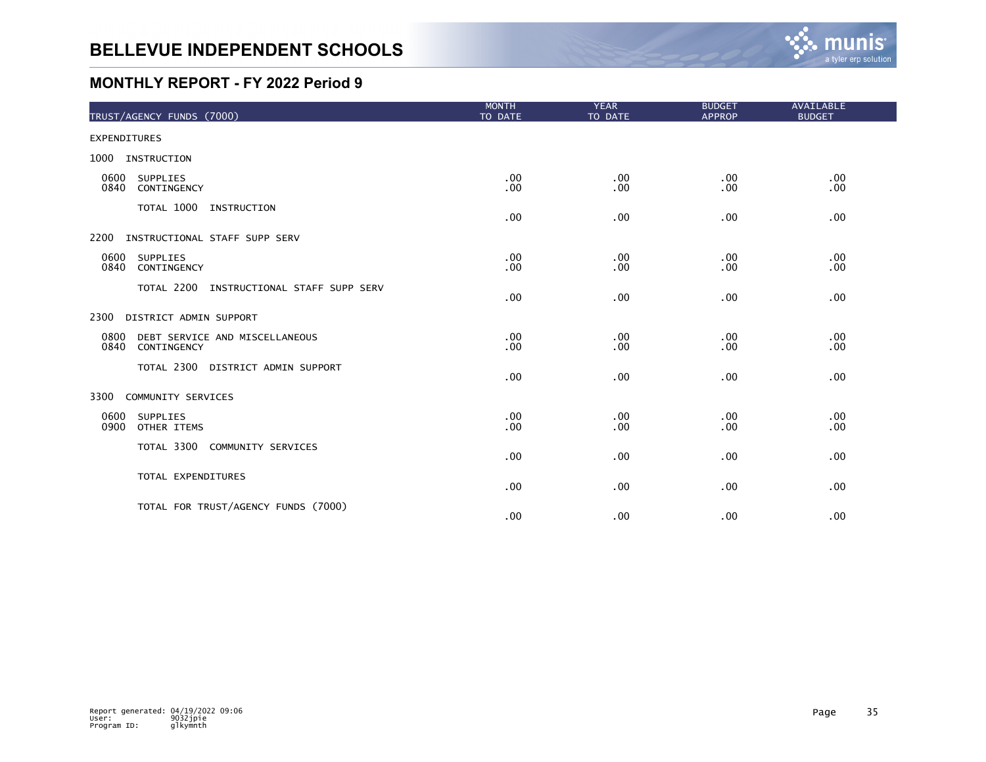

|                     | TRUST/AGENCY FUNDS (7000)                     | <b>MONTH</b><br>TO DATE | <b>YEAR</b><br>TO DATE | <b>BUDGET</b><br><b>APPROP</b> | AVAILABLE<br><b>BUDGET</b> |
|---------------------|-----------------------------------------------|-------------------------|------------------------|--------------------------------|----------------------------|
| <b>EXPENDITURES</b> |                                               |                         |                        |                                |                            |
| 1000                | INSTRUCTION                                   |                         |                        |                                |                            |
| 0600<br>0840        | SUPPLIES<br>CONTINGENCY                       | .00<br>.00              | .00<br>.00             | .00.<br>.00                    | .00<br>.00                 |
|                     | TOTAL 1000<br>INSTRUCTION                     | .00                     | .00                    | .00                            | .00                        |
| 2200                | INSTRUCTIONAL STAFF SUPP SERV                 |                         |                        |                                |                            |
| 0600<br>0840        | SUPPLIES<br>CONTINGENCY                       | .00<br>.00              | .00<br>.00             | .00<br>.00                     | .00<br>.00                 |
|                     | TOTAL 2200 INSTRUCTIONAL STAFF SUPP SERV      | .00                     | .00                    | .00                            | .00                        |
| 2300                | DISTRICT ADMIN SUPPORT                        |                         |                        |                                |                            |
| 0800<br>0840        | DEBT SERVICE AND MISCELLANEOUS<br>CONTINGENCY | .00<br>.00              | .00<br>.00             | .00<br>.00                     | .00<br>.00                 |
|                     | TOTAL 2300 DISTRICT ADMIN SUPPORT             | .00                     | .00                    | .00                            | .00                        |
| 3300                | COMMUNITY SERVICES                            |                         |                        |                                |                            |
| 0600<br>0900        | <b>SUPPLIES</b><br>OTHER ITEMS                | .00<br>$.00 \,$         | .00<br>.00             | .00<br>.00                     | .00<br>.00.                |
|                     | TOTAL 3300 COMMUNITY SERVICES                 | .00                     | .00                    | .00                            | .00                        |
|                     | TOTAL EXPENDITURES                            | .00                     | .00                    | .00                            | .00                        |
|                     | TOTAL FOR TRUST/AGENCY FUNDS (7000)           | .00                     | .00                    | .00                            | .00                        |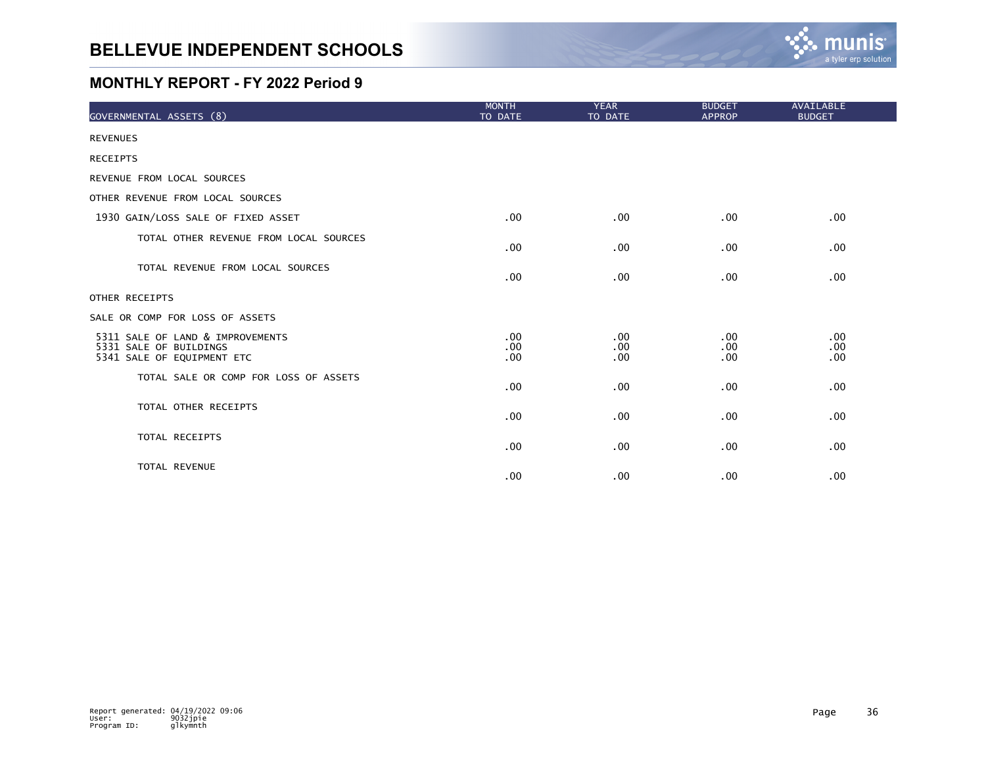

| GOVERNMENTAL ASSETS (8)                                                                  | <b>MONTH</b><br>TO DATE | <b>YEAR</b><br>TO DATE | <b>BUDGET</b><br><b>APPROP</b> | AVAILABLE<br><b>BUDGET</b> |
|------------------------------------------------------------------------------------------|-------------------------|------------------------|--------------------------------|----------------------------|
| <b>REVENUES</b>                                                                          |                         |                        |                                |                            |
| <b>RECEIPTS</b>                                                                          |                         |                        |                                |                            |
| REVENUE FROM LOCAL SOURCES                                                               |                         |                        |                                |                            |
| OTHER REVENUE FROM LOCAL SOURCES                                                         |                         |                        |                                |                            |
| 1930 GAIN/LOSS SALE OF FIXED ASSET                                                       | .00 <sub>1</sub>        | .00                    | .00.                           | .00                        |
| TOTAL OTHER REVENUE FROM LOCAL SOURCES                                                   | .00                     | .00                    | .00.                           | $.00 \,$                   |
| TOTAL REVENUE FROM LOCAL SOURCES                                                         | .00 <sub>1</sub>        | .00                    | .00                            | .00                        |
| OTHER RECEIPTS                                                                           |                         |                        |                                |                            |
| SALE OR COMP FOR LOSS OF ASSETS                                                          |                         |                        |                                |                            |
| 5311 SALE OF LAND & IMPROVEMENTS<br>5331 SALE OF BUILDINGS<br>5341 SALE OF EQUIPMENT ETC | .00<br>.00<br>.00.      | .00<br>.00<br>.00      | $.00 \,$<br>.00<br>.00         | $.00 \,$<br>.00<br>.00.    |
| TOTAL SALE OR COMP FOR LOSS OF ASSETS                                                    | .00                     | .00                    | .00                            | .00                        |
| TOTAL OTHER RECEIPTS                                                                     | .00                     | .00                    | .00                            | $.00 \,$                   |
| TOTAL RECEIPTS                                                                           | .00                     | .00                    | .00                            | $.00 \,$                   |
| TOTAL REVENUE                                                                            | .00                     | .00                    | .00                            | .00                        |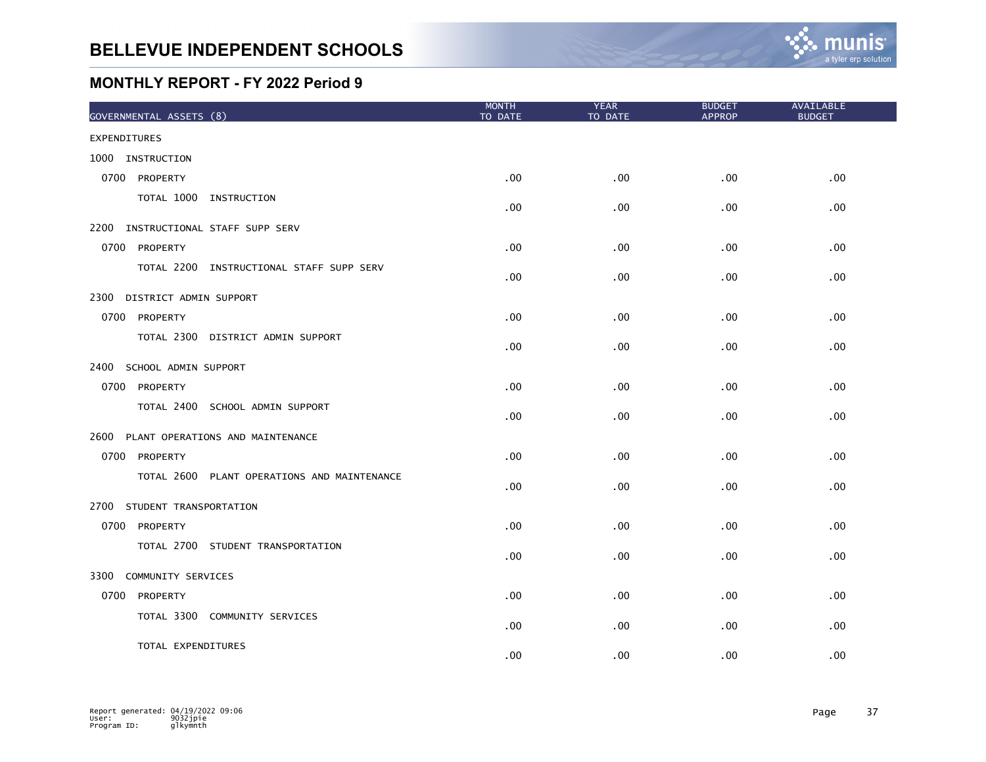| GOVERNMENTAL ASSETS (8)                     | <b>MONTH</b><br>TO DATE | <b>YEAR</b><br>TO DATE | <b>BUDGET</b><br><b>APPROP</b> | AVAILABLE<br><b>BUDGET</b> |
|---------------------------------------------|-------------------------|------------------------|--------------------------------|----------------------------|
| <b>EXPENDITURES</b>                         |                         |                        |                                |                            |
| 1000 INSTRUCTION                            |                         |                        |                                |                            |
| 0700 PROPERTY                               | .00                     | .00                    | $.00 \,$                       | .00                        |
| TOTAL 1000 INSTRUCTION                      | .00                     | .00                    | $.00 \,$                       | .00                        |
| 2200<br>INSTRUCTIONAL STAFF SUPP SERV       |                         |                        |                                |                            |
| 0700 PROPERTY                               | .00.                    | .00                    | .00 <sub>1</sub>               | .00                        |
| TOTAL 2200 INSTRUCTIONAL STAFF SUPP SERV    | .00.                    | .00                    | .00 <sub>1</sub>               | .00                        |
| 2300<br>DISTRICT ADMIN SUPPORT              |                         |                        |                                |                            |
| 0700 PROPERTY                               | $.00 \,$                | .00                    | $.00 \,$                       | .00.                       |
| TOTAL 2300 DISTRICT ADMIN SUPPORT           | .00                     | .00                    | .00                            | .00                        |
| 2400 SCHOOL ADMIN SUPPORT                   |                         |                        |                                |                            |
| 0700 PROPERTY                               | .00                     | .00                    | .00                            | .00                        |
| TOTAL 2400 SCHOOL ADMIN SUPPORT             | .00                     | .00                    | .00                            | .00                        |
| 2600 PLANT OPERATIONS AND MAINTENANCE       |                         |                        |                                |                            |
| 0700 PROPERTY                               | .00                     | .00                    | .00.                           | .00                        |
| TOTAL 2600 PLANT OPERATIONS AND MAINTENANCE | .00                     | .00                    | $.00 \,$                       | .00.                       |
| 2700<br>STUDENT TRANSPORTATION              |                         |                        |                                |                            |
| 0700 PROPERTY                               | .00                     | .00                    | $.00 \,$                       | .00                        |
| TOTAL 2700 STUDENT TRANSPORTATION           | .00                     | .00                    | .00                            | .00                        |
| COMMUNITY SERVICES<br>3300                  |                         |                        |                                |                            |
| 0700<br>PROPERTY                            | .00                     | .00                    | .00                            | .00                        |
| TOTAL 3300 COMMUNITY SERVICES               | .00                     | .00                    | .00                            | .00                        |
| TOTAL EXPENDITURES                          | .00                     | .00                    | .00                            | .00                        |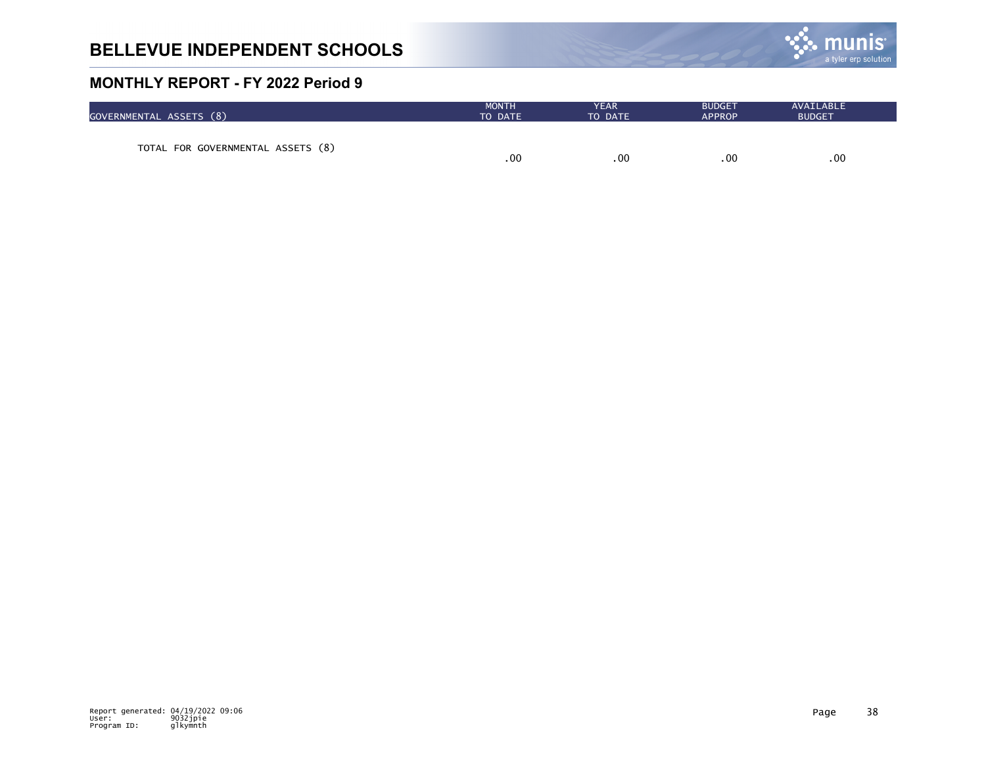

| GOVERNMENTAL ASSETS (8)           | <b>MONTH</b> | <b>YEAR</b> | <b>BUDGET</b> | AVAILABLE     |
|-----------------------------------|--------------|-------------|---------------|---------------|
|                                   | TO DATE      | TO DATE     | <b>APPROP</b> | <b>BUDGET</b> |
| TOTAL FOR GOVERNMENTAL ASSETS (8) | .00          | .00         | .00           | .00           |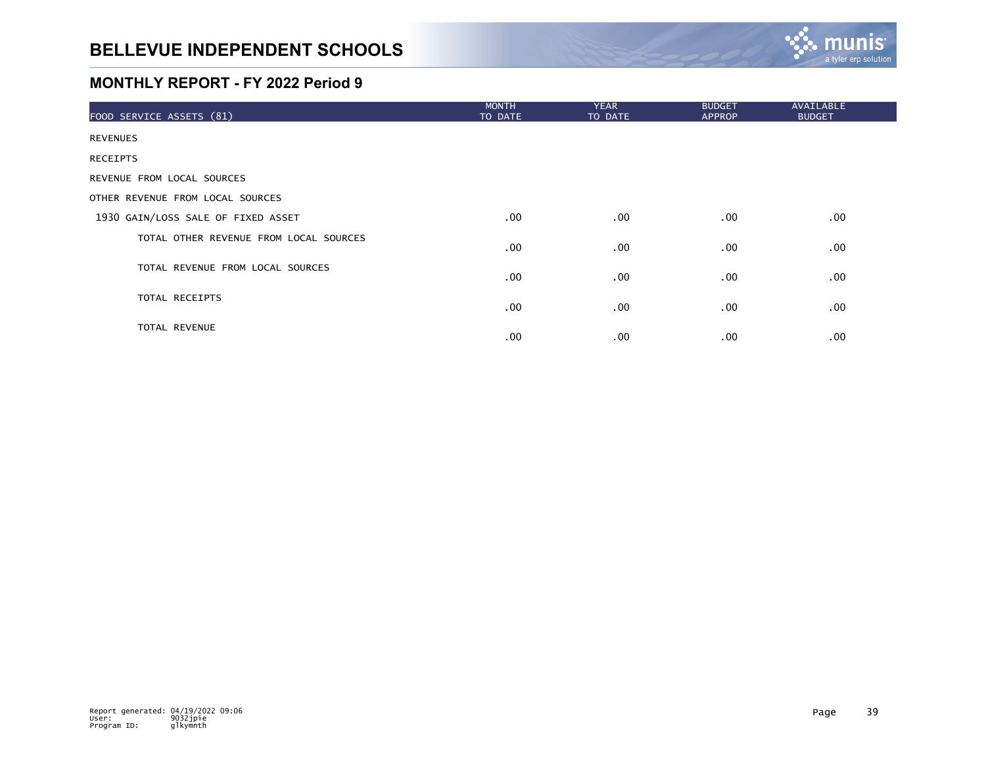

| FOOD SERVICE ASSETS (81)               | <b>MONTH</b><br>TO DATE | <b>YEAR</b><br>TO DATE | <b>BUDGET</b><br><b>APPROP</b> | <b>AVAILABLE</b><br><b>BUDGET</b> |
|----------------------------------------|-------------------------|------------------------|--------------------------------|-----------------------------------|
| <b>REVENUES</b>                        |                         |                        |                                |                                   |
| <b>RECEIPTS</b>                        |                         |                        |                                |                                   |
| REVENUE FROM LOCAL SOURCES             |                         |                        |                                |                                   |
| OTHER REVENUE FROM LOCAL SOURCES       |                         |                        |                                |                                   |
| 1930 GAIN/LOSS SALE OF FIXED ASSET     | $.00 \,$                | $.00 \,$               | $.00 \,$                       | .00                               |
| TOTAL OTHER REVENUE FROM LOCAL SOURCES | .00                     | $.00 \,$               | $.00 \,$                       | .00                               |
| TOTAL REVENUE FROM LOCAL SOURCES       | .00                     | .00                    | $.00 \,$                       | .00                               |
| TOTAL RECEIPTS                         | $.00 \,$                | $.00 \,$               | $.00 \,$                       | .00                               |
| TOTAL REVENUE                          | .00                     | $.00 \,$               | $.00 \,$                       | .00                               |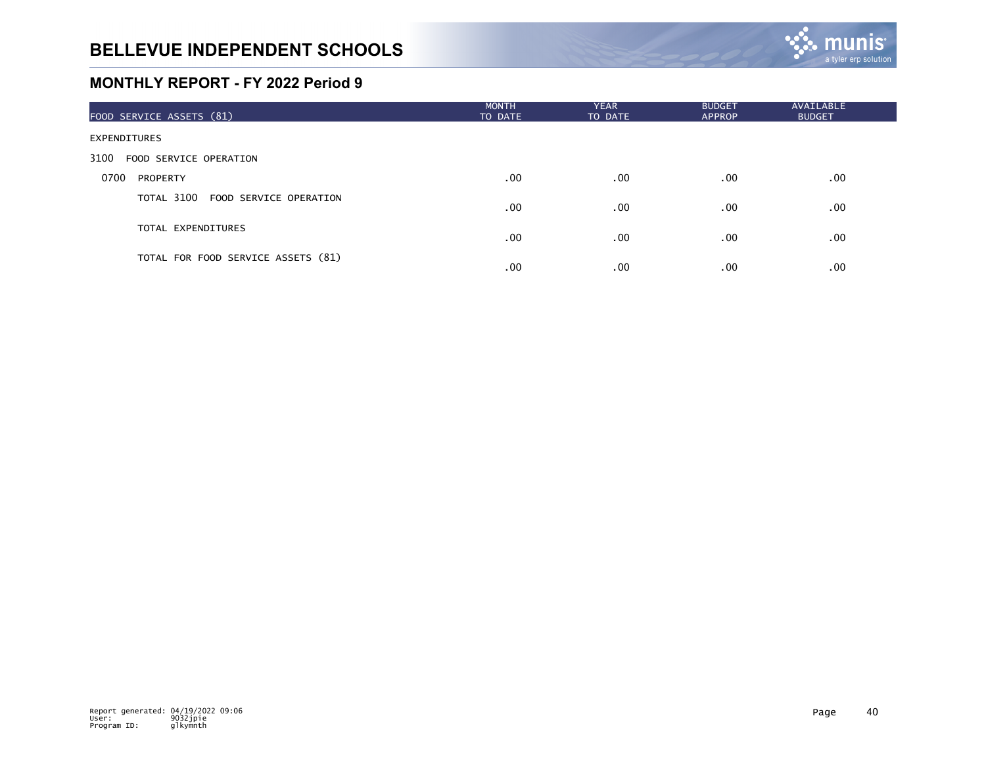

| FOOD SERVICE ASSETS (81)           | <b>MONTH</b><br>TO DATE | <b>YEAR</b><br>TO DATE | <b>BUDGET</b><br><b>APPROP</b> | AVAILABLE<br><b>BUDGET</b> |
|------------------------------------|-------------------------|------------------------|--------------------------------|----------------------------|
| <b>EXPENDITURES</b>                |                         |                        |                                |                            |
| 3100<br>FOOD SERVICE OPERATION     |                         |                        |                                |                            |
| 0700<br><b>PROPERTY</b>            | .00                     | $.00 \,$               | .00                            | .00                        |
| TOTAL 3100 FOOD SERVICE OPERATION  | .00 <sub>1</sub>        | $.00 \,$               | .00                            | .00                        |
| TOTAL EXPENDITURES                 | .00                     | .00                    | .00                            | .00                        |
| TOTAL FOR FOOD SERVICE ASSETS (81) | .00                     | .00                    | .00                            | .00                        |